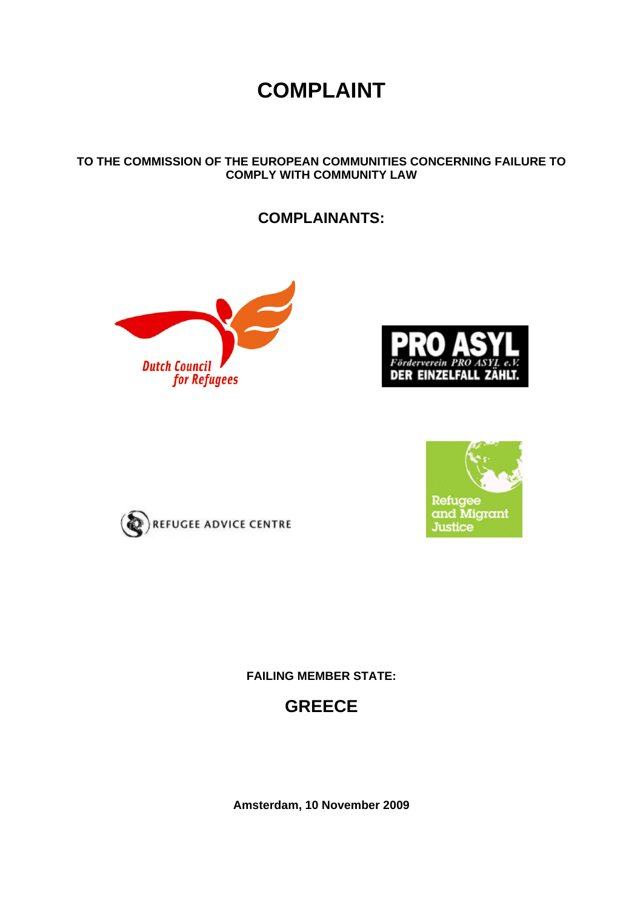# **COMPLAINT**

## **TO THE COMMISSION OF THE EUROPEAN COMMUNITIES CONCERNING FAILURE TO COMPLY WITH COMMUNITY LAW**

## **COMPLAINANTS:**







Refugee and Migrant **Justice** 

**FAILING MEMBER STATE:**

# **GREECE**

**Amsterdam, 10 November 2009**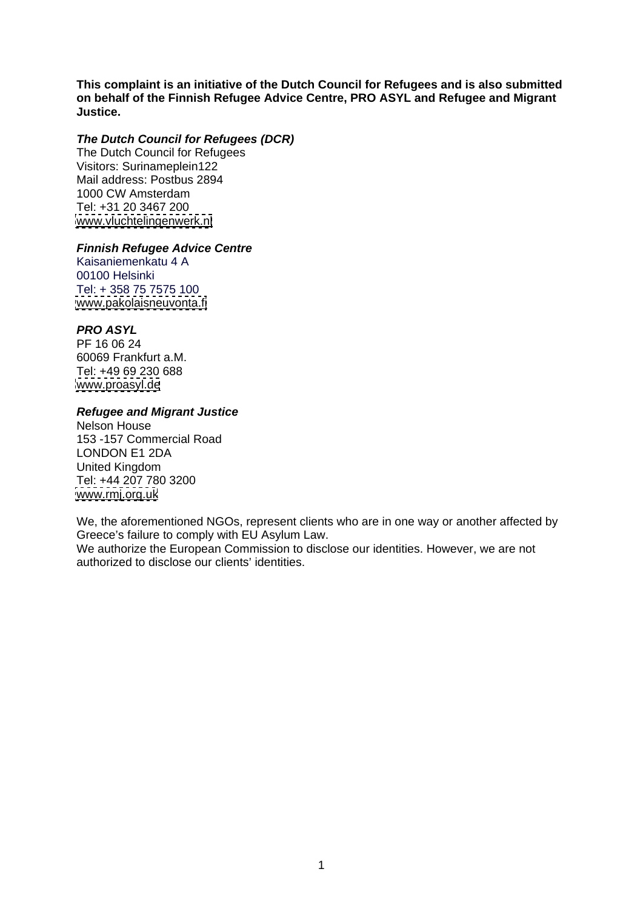**This complaint is an initiative of the Dutch Council for Refugees and is also submitted on behalf of the Finnish Refugee Advice Centre, PRO ASYL and Refugee and Migrant Justice.**

## **The Dutch Council for Refugees (DCR)**

The Dutch Council for Refugees Visitors: Surinameplein122 Mail address: Postbus 2894 1000 CW Amsterdam Tel: +31 20 3467 200 [www.vluchtelingenwerk.nl](http://www.vluchtelingenwerk.nl)

## **Finnish Refugee Advice Centre**

Kaisaniemenkatu 4 A 00100 Helsinki Tel: + 358 75 7575 100 [www.pakolaisneuvonta.fi](http://www.pakolaisneuvonta.fi)

## **PRO ASYL**

PF 16 06 24 60069 Frankfurt a.M. Tel: +49 69 230 688 [www.proasyl.de](http://www.proasyl.de)

# **Refugee and Migrant Justice**

Nelson House 153 -157 Commercial Road LONDON E1 2DA United Kingdom Tel: +44 207 780 3200 [www.rmj.org.uk](http://www.rmj.org.uk)

We, the aforementioned NGOs, represent clients who are in one way or another affected by Greece's failure to comply with EU Asylum Law.

We authorize the European Commission to disclose our identities. However, we are not authorized to disclose our clients' identities.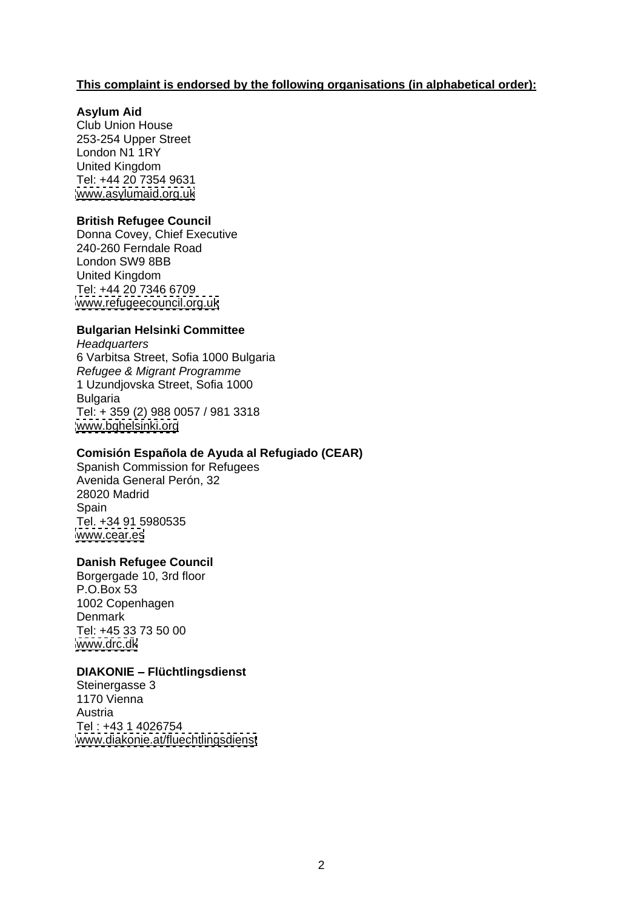## **This complaint is endorsed by the following organisations (in alphabetical order):**

## **Asylum Aid**

Club Union House 253-254 Upper Street London N1 1RY United Kingdom Tel: +44 20 7354 9631 [www.asylumaid.org.uk](http://www.asylumaid.org.uk)

## **British Refugee Council**

Donna Covey, Chief Executive 240-260 Ferndale Road London SW9 8BB United Kingdom Tel: +44 20 7346 6709 [www.refugeecouncil.org.uk](http://www.refugeecouncil.org.uk)

## **Bulgarian Helsinki Committee**

**Headquarters** and the contract of the contract of the contract of the contract of the contract of the contract of the contract of the contract of the contract of the contract of the contract of the contract of the contrac 6 Varbitsa Street, Sofia 1000 Bulgaria Refugee & Migrant Programme 1 Uzundjovska Street, Sofia 1000 Bulgaria Tel: + 359 (2) 988 0057 / 981 3318 [www.bghelsinki.org](http://www.bghelsinki.org)

## **Comisión Española de Ayuda al Refugiado (CEAR)**

Spanish Commission for Refugees Avenida General Perón, 32 28020 Madrid Spain **Spain Spain Spain Spain Spain Spain Spain Spain Spain Spain Spain Spain Spain Spain Spain Spain Spain Spain Spain Spain Spain Spain Spain Spain Spain Spain Spain** Tel. +34 91 5980535 [www.cear.es](http://www.cear.es) experience and the second service of the service of the service of the service of the service of the service of the service of the service of the service of the service of the service of the service of the serv

## **Danish Refugee Council**

Borgergade 10, 3rd floor P.O.Box 53 1002 Copenhagen Denmark **Executive Community Community** Community Community Community Community Community Community Community Community Community Community Community Community Community Community Community Community Community Community Co Tel: +45 33 73 50 00 [www.drc.dk](http://www.drc.dk)

## **DIAKONIE Flüchtlingsdienst**

Steinergasse 3 1170 Vienna Austria Tel : +43 1 4026754 [www.diakonie.at/fluechtlingsdienst](http://www.diakonie.at/fluechtlingsdienst)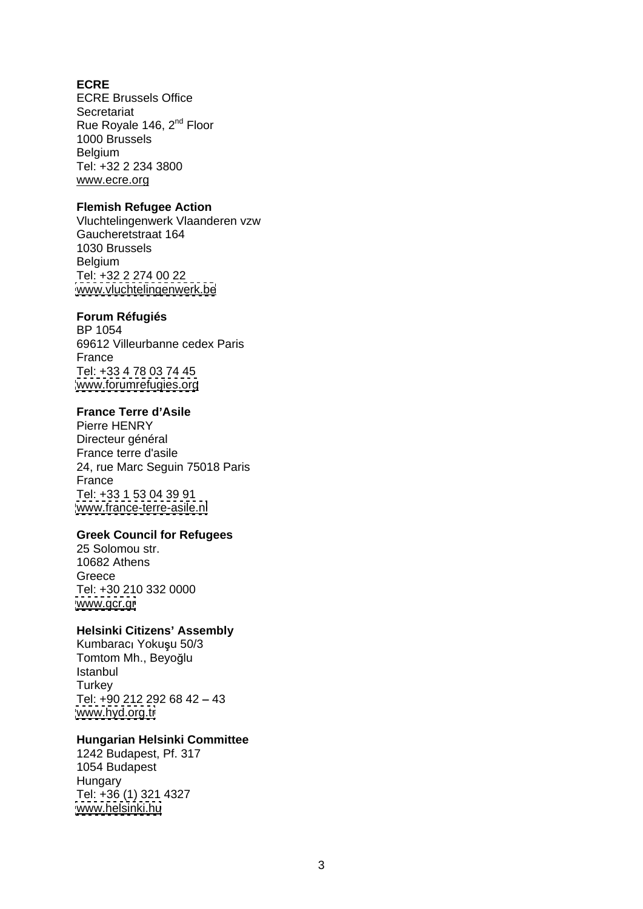## **ECRE**

ECRE Brussels Office Secretariat **Secretariat** and the secretarian of the secretarian and the secretarian of the secretarian of the secretarian of the secretarian of the secretarian of the secretarian of the secretarian of the secretarian of t Rue Royale 146, 2<sup>nd</sup> Floor and 200 and 200 and 200 and 200 and 200 and 200 and 200 and 200 and 200 and 200 and 200 and 200 and 200 and 200 and 200 and 200 and 200 and 200 and 200 and 200 and 200 and 200 and 200 and 200 an nd Floor and the state of the state of the state of the state of the state of the state of the state of the state of the state of the state of the state of the state of the state of the state of the state of the state of t 1000 Brussels Belgium Tel: +32 2 234 3800 www.ecre.org and the contract of the contract of the contract of the contract of the contract of the contract of the contract of the contract of the contract of the contract of the contract of the contract of the contract

## **Flemish Refugee Action**

Vluchtelingenwerk Vlaanderen vzw Gaucheretstraat 164 1030 Brussels Belgium Tel: +32 2 274 00 22 [www.vluchtelingenwerk.be](http://www.vluchtelingenwerk.be)

## **Forum Réfugiés**

BP 1054 69612 Villeurbanne cedex Paris France **France France France France France France France France France** Tel: +33 4 78 03 74 45 [www.forumrefugies.org](http://www.forumrefugies.org)

## **France Terre d Asile**

Pierre HENRY Directeur général France terre d'asile 24, rue Marc Seguin 75018 Paris France **France France France France France France France France France** Tel: +33 1 53 04 39 91 [www.france-terre-asile.nl](http://www.france-terre-asile.nl)

## **Greek Council for Refugees**

25 Solomou str. 10682 Athens Greece **Greece Greece Greece Greece Greece Greece Greece Greece Greece** Tel: +30 210 332 0000 [www.gcr.gr](http://www.gcr.gr)\_community.com/www.gcr.gr\_community.com/www.gcr.gr\_community.com/www.gcr.gr\_

# **Helsinki Citizens' Assembly**<br> **Kumbaraci Yokusu 50/3**

Kumbarac Yoku u 50/3 Tomtom Mh., Beyo lu Istanbul Turkey Tel: +90 212 292 68 42 – 43 [www.hyd.org.tr](http://www.hyd.org.tr)

# **Hungarian Helsinki Committee**

1242 Budapest, Pf. 317 1054 Budapest Hungary Tel: +36 (1) 321 4327 [www.helsinki.hu](http://www.helsinki.hu)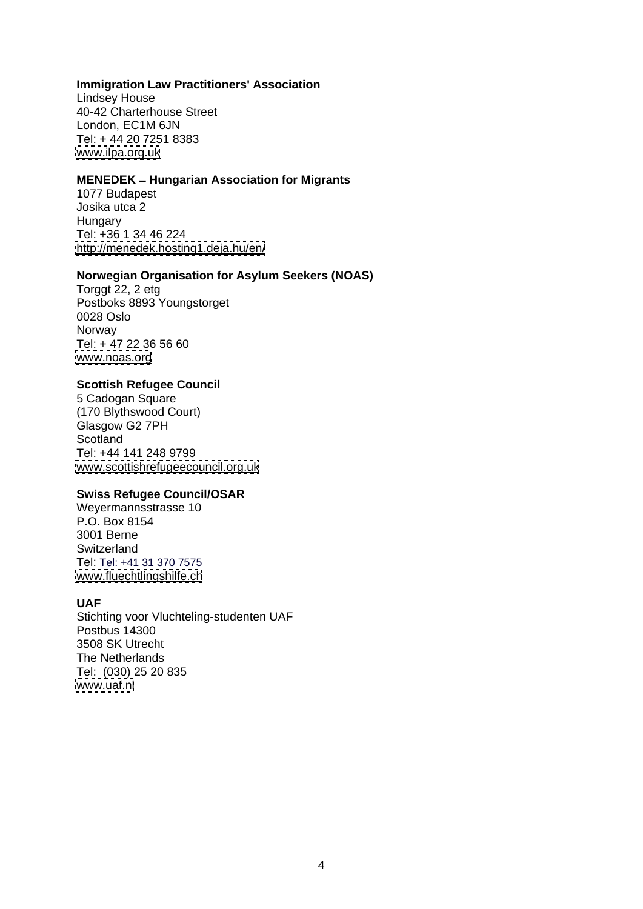#### **Immigration Law Practitioners' Association**

Lindsey House 40-42 Charterhouse Street London, EC1M 6JN Tel: + 44 20 7251 8383 [www.ilpa.org.uk](http://www.ilpa.org.uk)

### **MENEDEK Hungarian Association for Migrants**

1077 Budapest Josika utca 2 Hungary Tel: +36 1 34 46 224 <http://menedek.hosting1.deja.hu/en/>

#### **Norwegian Organisation for Asylum Seekers (NOAS)**

Torggt 22, 2 etg Postboks 8893 Youngstorget 0028 Oslo Norway Tel: + 47 22 36 56 60 [www.noas.org](http://www.noas.org)

### **Scottish Refugee Council**

5 Cadogan Square (170 Blythswood Court) Glasgow G2 7PH Scotland **Scotland Scotland Scotland Scotland Scotland Scotland Scotland Scotland Scotland Scotland Scotland Scotland Scotland Scotland Scotland Scotland Scotland Scotland Scotland Sco** Tel: +44 141 248 9799 [www.scottishrefugeecouncil.org.uk](http://www.scottishrefugeecouncil.org.uk)

#### **Swiss Refugee Council/OSAR**

Weyermannsstrasse 10 P.O. Box 8154 3001 Berne Switzerland Tel: Tel: +41 31 370 7575 [www.fluechtlingshilfe.ch](http://www.fluechtlingshilfe.ch)

### **UAF**

Stichting voor Vluchteling-studenten UAF Postbus 14300 3508 SK Utrecht The Netherlands Tel: (030) 25 20 835 [www.uaf.nl](http://www.uaf.nl)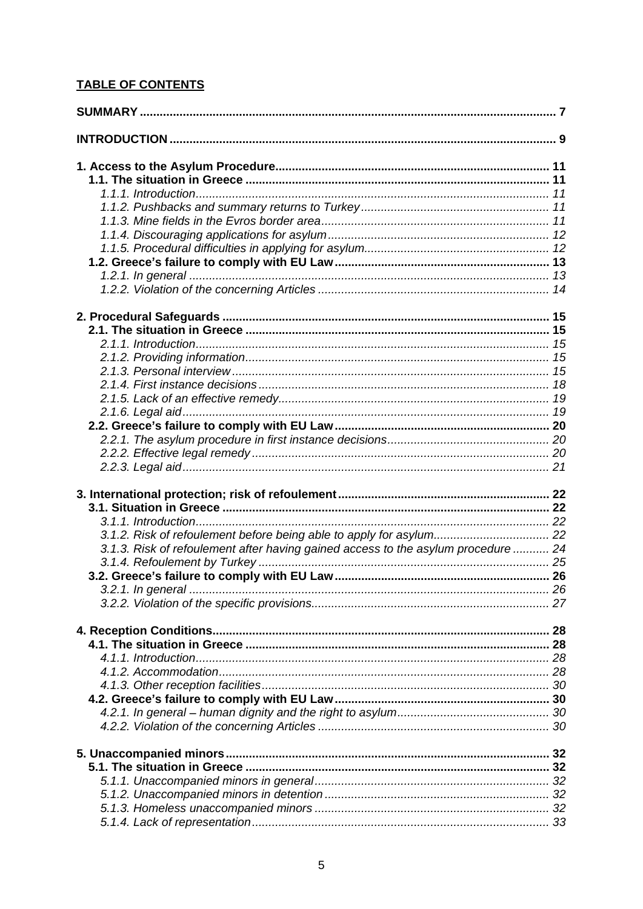## **TABLE OF CONTENTS**

| 3.1.3. Risk of refoulement after having gained access to the asylum procedure  24 |  |
|-----------------------------------------------------------------------------------|--|
|                                                                                   |  |
|                                                                                   |  |
|                                                                                   |  |
|                                                                                   |  |
|                                                                                   |  |
|                                                                                   |  |
|                                                                                   |  |
|                                                                                   |  |
|                                                                                   |  |
|                                                                                   |  |
|                                                                                   |  |
|                                                                                   |  |
|                                                                                   |  |
|                                                                                   |  |
|                                                                                   |  |
|                                                                                   |  |
|                                                                                   |  |
|                                                                                   |  |
|                                                                                   |  |
|                                                                                   |  |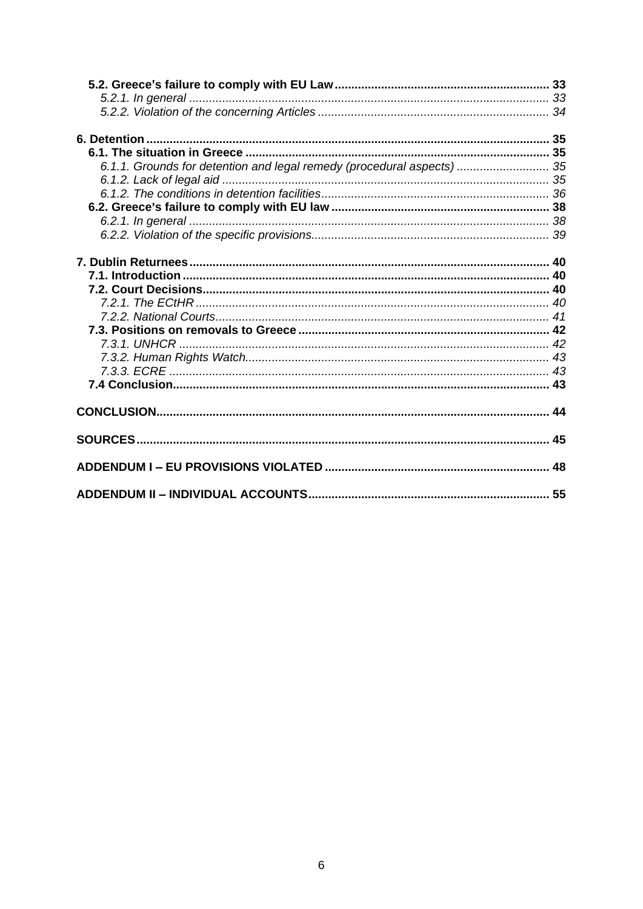| 6.1.1. Grounds for detention and legal remedy (procedural aspects)  35 |    |
|------------------------------------------------------------------------|----|
|                                                                        |    |
|                                                                        |    |
|                                                                        |    |
|                                                                        |    |
|                                                                        |    |
|                                                                        |    |
|                                                                        |    |
|                                                                        |    |
|                                                                        |    |
|                                                                        |    |
|                                                                        |    |
|                                                                        |    |
|                                                                        |    |
|                                                                        |    |
|                                                                        |    |
|                                                                        |    |
|                                                                        |    |
|                                                                        |    |
|                                                                        |    |
|                                                                        |    |
|                                                                        | 48 |
|                                                                        |    |
|                                                                        |    |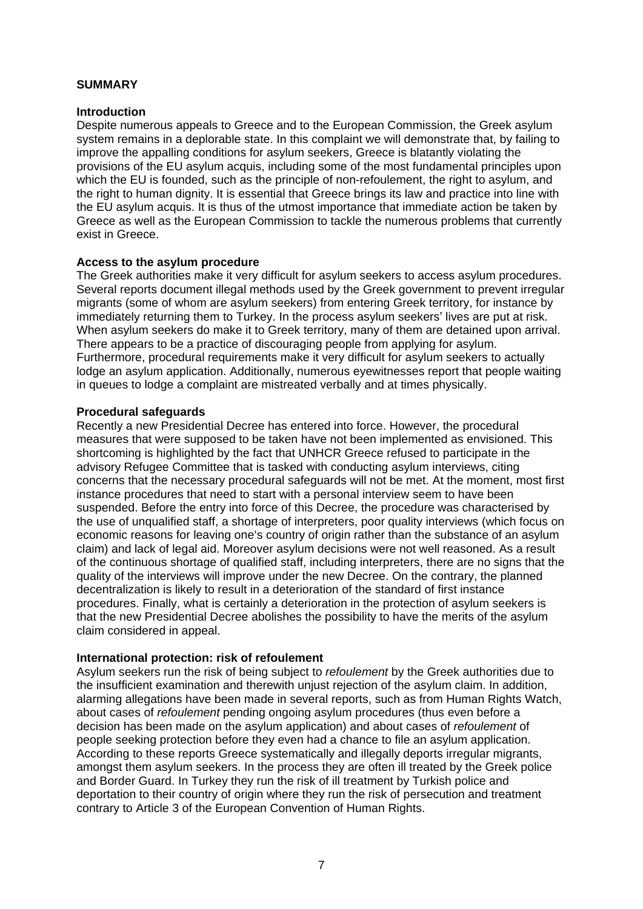## **SUMMARY**

## **Introduction**

Despite numerous appeals to Greece and to the European Commission, the Greek asylum system remains in a deplorable state. In this complaint we will demonstrate that, by failing to improve the appalling conditions for asylum seekers, Greece is blatantly violating the provisions of the EU asylum acquis, including some of the most fundamental principles upon which the EU is founded, such as the principle of non-refoulement, the right to asylum, and the right to human dignity. It is essential that Greece brings its law and practice into line with the EU asylum acquis. It is thus of the utmost importance that immediate action be taken by Greece as well as the European Commission to tackle the numerous problems that currently exist in Greece.

## **Access to the asylum procedure**

The Greek authorities make it very difficult for asylum seekers to access asylum procedures. Several reports document illegal methods used by the Greek government to prevent irregular migrants (some of whom are asylum seekers) from entering Greek territory, forinstance by immediately returning them to Turkey. In the process asylum seekers' lives are put at risk. When asylum seekers do make it to Greek territory, many of them are detained upon arrival. There appears to be a practice of discouraging people from applying for asylum. Furthermore, procedural requirements make it very difficult for asylum seekers to actually lodge an asylum application. Additionally, numerous eyewitnesses report that people waiting in queues to lodge a complaint are mistreated verbally and at times physically.

## **Procedural safeguards**

Recently a new Presidential Decree has entered into force. However, the procedural measures that were supposed to be taken have not been implemented as envisioned. This shortcoming is highlighted by the fact that UNHCR Greece refused to participate in the advisory Refugee Committee that is tasked with conducting asylum interviews, citing concerns that the necessary procedural safeguards will not be met. At the moment, most first instance procedures that need to start with a personal interview seem to have been suspended. Before the entry into force of this Decree, the procedure was characterised by the use of unqualified staff, a shortage of interpreters, poor quality interviews (which focus on economic reasons for leaving one's country of origin rather than the substance of an asylum claim) and lack of legal aid. Moreover asylum decisions were not well reasoned. As a result of the continuous shortage of qualified staff, including interpreters, there are no signs that the quality of the interviews will improve under the new Decree. On the contrary, the planned decentralization is likely to result in a deterioration of the standard of first instance procedures. Finally, what is certainly a deterioration in the protection of asylum seekers is that the new Presidential Decree abolishes the possibility to have the merits of the asylum claim considered in appeal.

## **International protection: risk of refoulement**

Asylum seekers run the risk of being subject to refoulement by the Greek authorities due to the insufficient examination and therewith unjust rejection of the asylum claim. In addition, alarming allegations have been made in several reports, such as from Human Rights Watch, about cases of refoulement pending ongoing asylum procedures (thus even before a decision has been made on the asylum application) and about cases of refoulement of people seeking protection before they even had a chance to file an asylum application. According to these reports Greece systematically and illegally deports irregular migrants, amongst them asylum seekers. In the process they are often ill treated by the Greek police and Border Guard. In Turkey they run the risk of ill treatment by Turkish police and deportation to their country of origin where they run the risk of persecution and treatment contrary to Article 3 of the European Convention of Human Rights.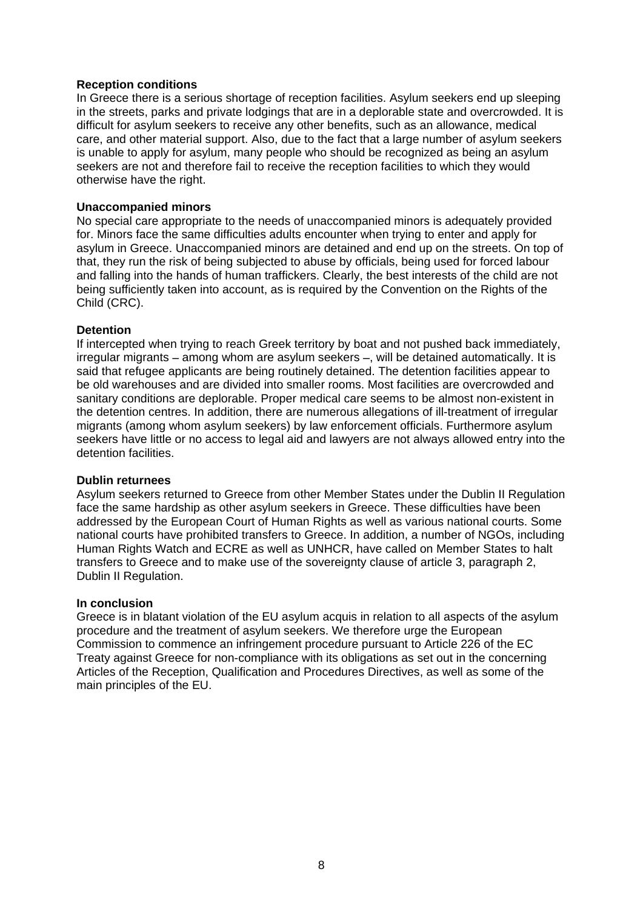## **Reception conditions**

In Greece there is a serious shortage of reception facilities. Asylum seekers end up sleeping in the streets, parks and private lodgings that are in a deplorable state and overcrowded. It is difficult for asylum seekers to receive any other benefits, such as an allowance, medical care, and other material support. Also, due to the fact that a large number of asylum seekers is unable to apply for asylum, many people who should be recognized as being an asylum seekers are not and therefore fail to receive the reception facilities to which they would otherwise have the right.

## **Unaccompanied minors**

No special care appropriate to the needs of unaccompanied minors is adequately provided for. Minors face the same difficulties adults encounter when trying to enter and apply for asylum in Greece. Unaccompanied minors are detained and end up on the streets. On top of that, they run the risk of being subjected to abuse by officials, being used for forced labour and falling into the hands of human traffickers. Clearly, the best interests of the child are not being sufficiently taken into account, as is required by the Convention on the Rights of the Child (CRC).

## **Detention**

If intercepted when trying to reach Greek territory by boat and not pushed back immediately,  $irregular$  migrants  $-$  among whom are asylum seekers  $-$ , will be detained automatically. It is said that refugee applicants are being routinely detained. The detention facilities appear to be old warehouses and are divided into smaller rooms. Most facilities are overcrowded and sanitary conditions are deplorable. Proper medical care seems to be almost non-existent in the detention centres. In addition, there are numerous allegations of ill-treatment of irregular migrants (among whom asylum seekers) by law enforcement officials. Furthermore asylum seekers have little or no access to legal aid and lawyers are not always allowed entry into the detention facilities. The contract of the contract of the contract of the contract of the contract of the contract of the contract of the contract of the contract of the contract of the contract of the contract of the cont

### **Dublin returnees**

Asylum seekers returned to Greece from other Member States under the Dublin II Regulation face the same hardship as other asylum seekers in Greece. These difficulties have been addressed by the European Court of Human Rights as well as various national courts. Some national courts have prohibited transfers to Greece. In addition, a number of NGOs, including Human Rights Watch and ECRE as well as UNHCR, have called on Member States to halt transfers to Greece and to make use of the sovereignty clause of article 3, paragraph 2, Dublin II Regulation.

### **In conclusion**

Greece is in blatant violation of the EU asylum acquis in relation to all aspects of the asylum procedure and the treatment of asylum seekers. We therefore urge the European Commission to commence an infringement procedure pursuant to Article 226 of the EC Treaty against Greece for non-compliance with its obligations as set out in the concerning Articles of the Reception, Qualification and Procedures Directives, as well as some of the main principles of the EU.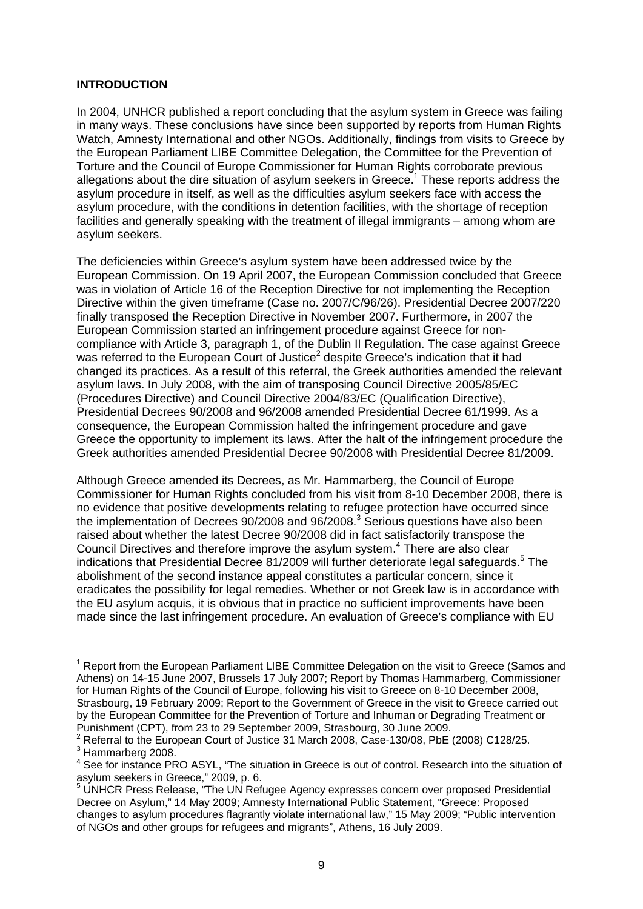## **INTRODUCTION**

In 2004, UNHCR published a report concluding that the asylum system in Greece was failing in many ways. These conclusions have since been supported by reports from Human Rights Watch, Amnesty International and other NGOs. Additionally, findings from visits to Greece by the European Parliament LIBE Committee Delegation, the Committee for the Prevention of Torture and the Council of Europe Commissioner for Human Rights corroborate previous allegations about the dire situation of asylum seekers in Greece.<sup>1</sup> These reports address the asylum procedure in itself, as well as the difficulties asylum seekers face with access the asylum procedure, with the conditions in detention facilities, with the shortage of reception facilities and generally speaking with the treatment of illegal immigrants – among whom are asylum seekers.

The deficiencies within Greece's asylum system have been addressed twice by the European Commission. On 19 April 2007, the European Commission concluded that Greece was in violation of Article 16 of the Reception Directive for not implementing the Reception Directive within the given timeframe (Case no. 2007/C/96/26). Presidential Decree 2007/220 finally transposed the Reception Directive in November 2007. Furthermore, in 2007 the European Commission started an infringement procedure against Greece for non compliance with Article 3, paragraph 1, of the Dublin II Regulation. The case against Greece was referred to the European Court of Justice<sup>2</sup> despite Greece's indication that it had changed its practices. As a result of this referral, the Greek authorities amended the relevant asylum laws. In July 2008, with the aim of transposing Council Directive 2005/85/EC (Procedures Directive) and Council Directive 2004/83/EC (Qualification Directive), Presidential Decrees 90/2008 and 96/2008 amended Presidential Decree 61/1999. As a consequence, the European Commission halted the infringement procedure and gave Greece the opportunity to implement its laws. After the halt of the infringement procedure the Greek authorities amended Presidential Decree 90/2008 with Presidential Decree 81/2009.

Although Greece amended its Decrees, as Mr. Hammarberg, the Council of Europe Commissioner for Human Rights concluded from his visit from 8-10 December 2008, there is no evidence that positive developments relating to refugee protection have occurred since the implementation of Decrees 90/2008 and 96/2008.<sup>3</sup> Serious questions have also been raised about whether the latest Decree 90/2008 did in fact satisfactorily transpose the Council Directives and therefore improve the asylum system.<sup>4</sup> There are also clear indications that Presidential Decree 81/2009 will further deteriorate legal safeguards.<sup>5</sup> The abolishment of the second instance appeal constitutes a particular concern, since it eradicates the possibility for legal remedies. Whether or not Greek law is in accordance with the EU asylum acquis, it is obvious that in practice no sufficient improvements have been made since the last infringement procedure. An evaluation of Greece's compliance with EU

 $1$  Report from the European Parliament LIBE Committee Delegation on the visit to Greece (Samos and Athens) on 14-15 June 2007, Brussels 17 July 2007; Report by Thomas Hammarberg, Commissioner for Human Rights of the Council of Europe, following his visit to Greece on 8-10 December 2008, Strasbourg, 19 February 2009; Report to the Government of Greece in the visit to Greece carried out by the European Committee for the Prevention of Torture and Inhuman or Degrading Treatment or Punishment (CPT), from 23 to 29 September 2009. Strasbourg, 30 June 2009.

Punishment (CPT), from 23 to 29 September 2009, Strasbourg, 30 June 2009.<br><sup>2</sup> Referral to the European Court of Justice 31 March 2008, Case-130/08, PbE (2008) C128/25.<br><sup>3</sup> Hammarberg 2008.<br><sup>4</sup> See for instance PRO ASYL, "T

asylum seekers in Greece," 2009, p. 6.<br><sup>5</sup> UNHCR Press Release, "The UN Refugee Agency expresses concern over proposed Presidential

Decree on Asylum," 14 May 2009; Amnesty International Public Statement, "Greece: Proposed changes to asylum procedures flagrantly violate international law," 15 May 2009; "Public intervention of NGOs and other groups for refugees and migrants", Athens, 16 July 2009.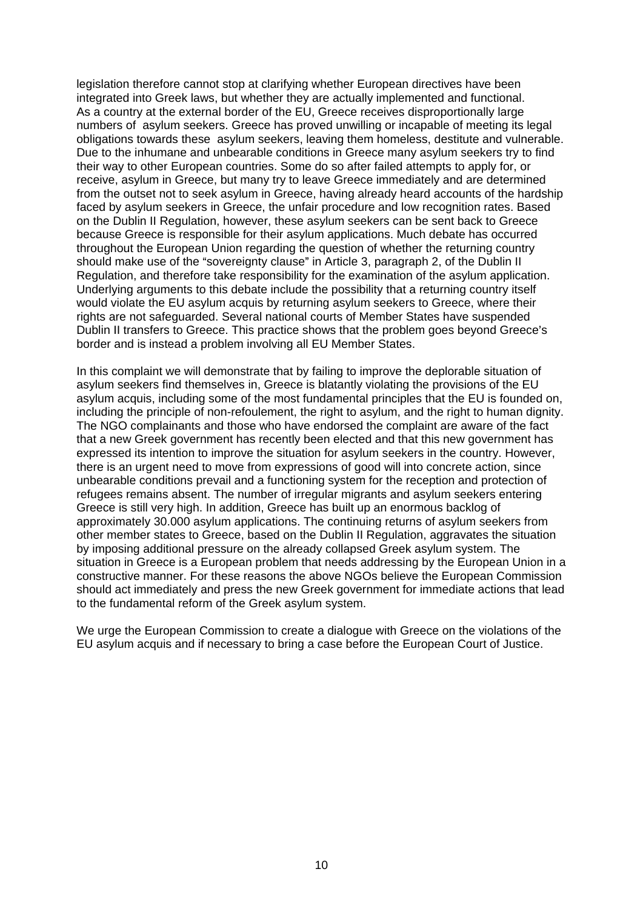legislation therefore cannot stop at clarifying whether European directives have been integrated into Greek laws, but whether they are actually implemented and functional. As a country at the external border of the EU, Greece receives disproportionally large numbers of asylum seekers. Greece has proved unwilling or incapable of meeting its legal obligations towards these asylum seekers, leaving them homeless, destitute and vulnerable. Due to the inhumane and unbearable conditions in Greece many asylum seekers try to find their way to other European countries. Some do so after failed attempts to apply for, or receive, asylum in Greece, but many try to leave Greece immediately and are determined from the outset not to seek asylum in Greece, having already heard accounts of the hardship faced by asylum seekers in Greece, the unfair procedure and low recognition rates. Based on the Dublin II Regulation, however, these asylum seekers can be sent back to Greece because Greece is responsible for their asylum applications. Much debate has occurred throughout the European Union regarding the question of whether the returning country should make use of the "sovereignty clause" in Article 3, paragraph 2, of the Dublin II Regulation, and therefore take responsibility for the examination of the asylum application. Underlying arguments to this debate include the possibility that a returning country itself would violate the EU asylum acquis by returning asylum seekers to Greece, where their rights are not safeguarded. Several national courts of Member States have suspended Dublin II transfers to Greece. This practice shows that the problem goes beyond Greece's border and is instead a problem involving all EU Member States.

In this complaint we will demonstrate that by failing to improve the deplorable situation of asylum seekers find themselves in, Greece is blatantly violating the provisions of the EU asylum acquis, including some of the most fundamental principles that the EU is founded on, including the principle of non-refoulement, the right to asylum, and the right to human dignity. The NGO complainants and those who have endorsed the complaint are aware of the fact that a new Greek government has recently been elected and that this new government has expressed its intention to improve the situation for asylum seekers in the country. However, there is an urgent need to move from expressions of good will into concrete action, since unbearable conditions prevail and a functioning system for the reception and protection of refugees remains absent. The number of irregular migrants and asylum seekers entering Greece is still very high. In addition, Greece has built up an enormous backlog of approximately 30.000 asylum applications. The continuing returns of asylum seekers from other member states to Greece, based on the Dublin II Regulation, aggravates the situation by imposing additional pressure on the already collapsed Greek asylum system. The situation in Greece is a European problem that needs addressing by the European Union in a constructive manner. For these reasons the above NGOs believe the European Commission should act immediately and press the new Greek government for immediate actions that lead to the fundamental reform of the Greek asylum system.

We urge the European Commission to create a dialogue with Greece on the violations of the EU asylum acquis and if necessary to bring a case before the European Court of Justice.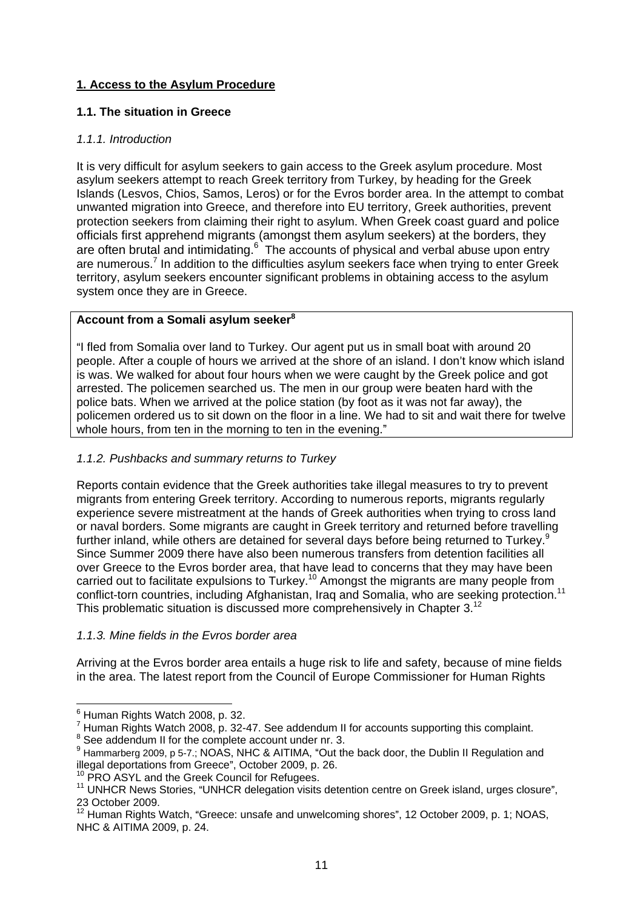## **1. Access to the Asylum Procedure**

## **1.1. The situation in Greece**

## 1.1.1. Introduction

It is very difficult for asylum seekers to gain access to the Greek asylum procedure. Most asylum seekers attempt to reach Greek territory from Turkey, by heading for the Greek Islands (Lesvos, Chios, Samos, Leros) or for the Evros border area. In the attempt to combat unwanted migration into Greece, and therefore into EU territory, Greek authorities, prevent protection seekers from claiming their right to asylum. When Greek coast guard and police officials first apprehend migrants (amongst them asylum seekers) at the borders, they are often brutal and intimidating.<sup>6</sup> The accounts of physical and verbal abuse upon entry are numerous.<sup>7</sup> In addition to the difficulties asylum seekers face when trying to enter Greek territory, asylum seekers encounter significant problems in obtaining access to the asylum system once they are in Greece. **Example 20**  $\leq$  **System once they are in Greece.** 

## **Account from a Somali asylum seeker8**

"I fled from Somalia over land to Turkey. Our agent put us in small boat with around 20 people. After a couple of hours we arrived at the shore of an island. I don't know which island is was. We walked for about four hours when we were caught by the Greek police and got arrested. The policemen searched us. The men in our group were beaten hard with the police bats. When we arrived at the police station (by foot as it was not far away), the policemen ordered us to sit down on the floor in a line. We had to sit and wait there for twelve whole hours, from ten in the morning to ten in the evening."

## 1.1.2. Pushbacks and summary returns to Turkey

Reports contain evidence that the Greek authorities take illegal measures to try to prevent migrants from entering Greek territory. According to numerous reports, migrants regularly experience severe mistreatment at the hands of Greek authorities when trying to cross land or naval borders. Some migrants are caught in Greek territory and returned before travelling further inland, while others are detained for several days before being returned to Turkey.<sup>9</sup> Since Summer 2009 there have also been numerous transfers from detention facilities all over Greece to the Evros border area, that have lead to concerns that they may have been carried out to facilitate expulsions to Turkey.<sup>10</sup> Amongst the migrants are many people from conflict-torn countries, including Afghanistan, Iraq and Somalia, who are seeking protection.<sup>11</sup> This problematic situation is discussed more comprehensively in Chapter  $3.12$ 

## 1.1.3. Mine fields in the Evros border area

Arriving at the Evros border area entails a huge risk to life and safety, because of mine fields in the area. The latest report from the Council of Europe Commissioner for Human Rights

<sup>&</sup>lt;sup>6</sup> Human Rights Watch 2008, p. 32.<br><sup>7</sup> Human Rights Watch 2008, p. 32-47. See addendum II for accounts supporting this complaint.<br><sup>8</sup> See addendum II for the complete account under nr. 3.<br><sup>9</sup> Hammarberg 2009, p 5-7.; NOAS

illegal deportations from Greece", October 2009, p. 26.<br><sup>10</sup> PRO ASYL and the Greek Council for Refugees.<br><sup>11</sup> UNHCR News Stories, "UNHCR delegation visits detention centre on Greek island, urges closure",

<sup>23</sup> October 2009.<br><sup>12</sup> Human Rights Watch, "Greece: unsafe and unwelcoming shores", 12 October 2009, p. 1; NOAS,

NHC & AITIMA 2009, p. 24.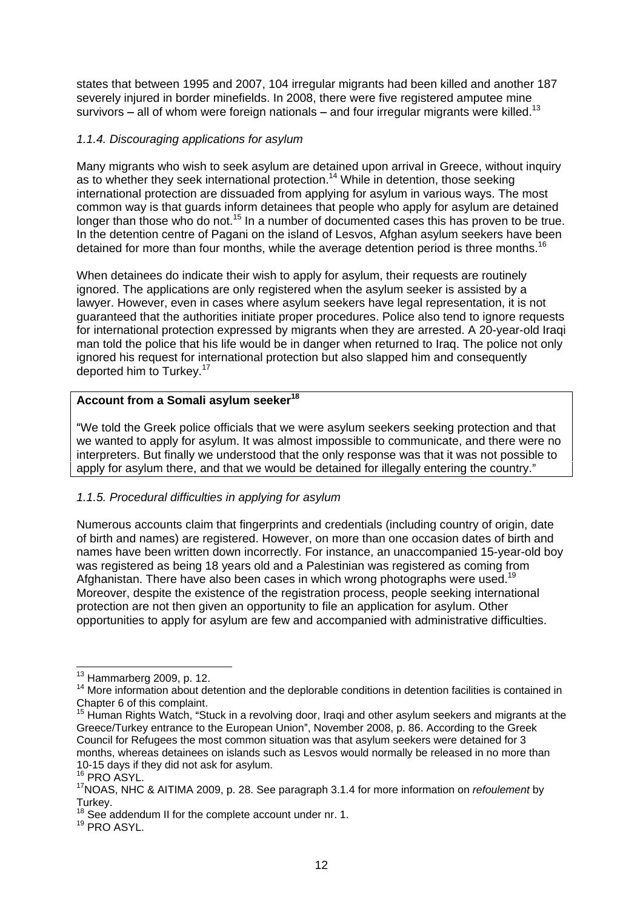states that between 1995 and 2007, 104 irregular migrants had been killed and another 187 severely injured in border minefields. In 2008, there were five registered amputee mine survivors – all of whom were foreign nationals – and four irregular migrants were killed.<sup>13</sup>

## 1.1.4. Discouraging applications for asylum

Many migrants who wish to seek asylum are detained upon arrival in Greece, without inquiry as to whether they seek international protection.<sup>14</sup> While in detention, those seeking international protection are dissuaded from applying for asylum in various ways. The most common way is that guards inform detainees that people who apply for asylum are detained longer than those who do not.<sup>15</sup> In a number of documented cases this has proven to be true. In the detention centre of Pagani on the island of Lesvos, Afghan asylum seekers have been detained for more than four months, while the average detention period is three months.<sup>16</sup>

When detainees do indicate their wish to apply for asylum, their requests are routinely ignored. The applications are only registered when the asylum seeker is assisted by a lawyer. However, even in cases where asylum seekers have legal representation, it is not guaranteed that the authorities initiate proper procedures. Police also tend to ignore requests for international protection expressed by migrants when they are arrested. A 20-year-old Iragi man told the police that his life would be in danger when returned to Iraq. The police not only ignored his request for international protection but also slapped him and consequently deported him to Turkey. $^{17}$  and the set of the set of the set of the set of the set of the set of the set of the set of the set of the set of the set of the set of the set of the set of the set of the set of the set of

## **Account from a Somali asylum seeker18**

We told the Greek police officials that we were asylum seekers seeking protection and that we wanted to apply for asylum. It was almost impossible to communicate, and there were no interpreters. But finally we understood that the only response was that it was not possible to apply for asylum there, and that we would be detained for illegally entering the country."

## 1.1.5. Procedural difficulties in applying for asylum

Numerous accounts claim that fingerprints and credentials (including country of origin, date of birth and names) are registered. However, on more than one occasion dates of birth and names have been written down incorrectly. For instance, an unaccompanied 15-year-old boy was registered as being 18 years old and a Palestinian was registered as coming from Afghanistan. There have also been cases in which wrong photographs were used.<sup>19</sup> Moreover, despite the existence of the registration process, people seeking international protection are not then given an opportunity to file an application for asylum. Other opportunities to apply for asylum are few and accompanied with administrative difficulties.

<sup>&</sup>lt;sup>13</sup> Hammarberg 2009, p. 12.<br><sup>14</sup> More information about detention and the deplorable conditions in detention facilities is contained in<br>Chapter 6 of this complaint.

<sup>&</sup>lt;sup>15</sup> Human Rights Watch, "Stuck in a revolving door, Iraqi and other asylum seekers and migrants at the Greece/Turkey entrance to the European Union", November 2008, p. 86. According to the Greek Council for Refugees the most common situation was that asylum seekers were detained for 3 months, whereas detainees on islands such as Lesvos would normally be released in no more than 10-15 days if they did not ask for asylum.<br><sup>16</sup> PRO ASYL.<br><sup>17</sup>NOAS, NHC & AITIMA 2009, p. 28. See paragraph 3.1.4 for more information on *refoulement* by

Turkey.<br><sup>18</sup> See addendum II for the complete account under nr. 1.<br><sup>19</sup> PRO ASYL.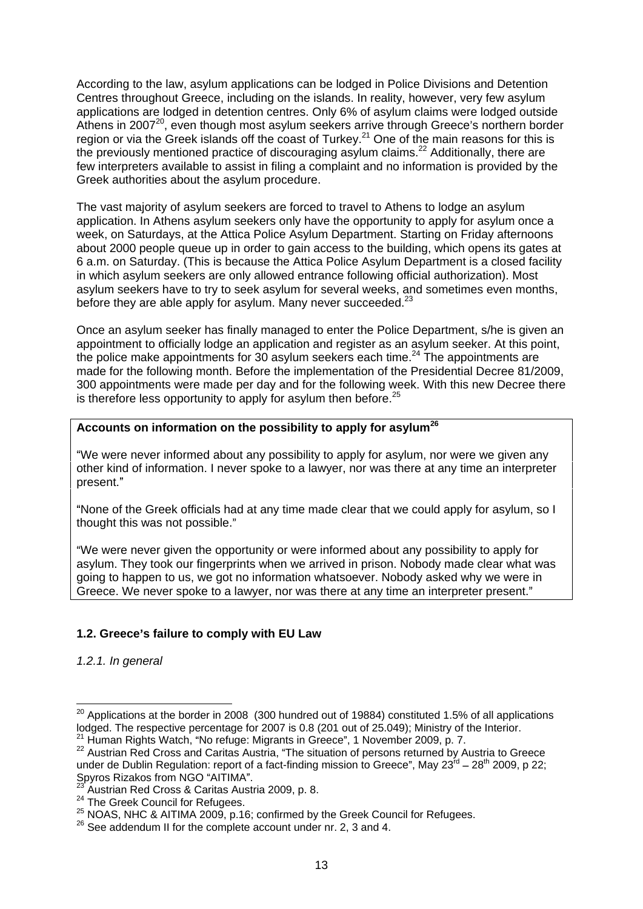According to the law, asylum applications can be lodged in Police Divisions and Detention Centres throughout Greece, including on the islands. In reality, however, very few asylum applications are lodged in detention centres. Only 6% of asylum claims were lodged outside Athens in 2007<sup>20</sup>, even though most asylum seekers arrive through Greece's northern border region or via the Greek islands off the coast of Turkey.<sup>21</sup> One of the main reasons for this is the previously mentioned practice of discouraging asylum claims.<sup>22</sup> Additionally, there are few interpreters available to assist in filing a complaint and no information is provided by the Greek authorities about the asylum procedure.

The vast majority of asylum seekers are forced to travel to Athens to lodge an asylum application. In Athens asylum seekers only have the opportunity to apply for asylum once a week, on Saturdays, at the Attica Police Asylum Department. Starting on Friday afternoons about 2000 people queue up in order to gain access to the building, which opens its gates at 6 a.m. on Saturday. (This is because the Attica Police Asylum Department is a closed facility in which asylum seekers are only allowed entrance following official authorization). Most asylum seekers have to try to seek asylum for several weeks, and sometimes even months, before they are able apply for asylum. Many never succeeded.<sup>23</sup>

Once an asylum seeker has finally managed to enter the Police Department, s/he is given an appointment to officially lodge an application and register as an asylum seeker. At this point, the police make appointments for 30 asylum seekers each time.<sup>24</sup> The appointments are made for the following month. Before the implementation of the Presidential Decree 81/2009, 300 appointments were made per day and for the following week. With this new Decree there is therefore less opportunity to apply for asylum then before. $^{25}$ 

#### **Accounts on information on the possibility to apply for asylum 26**

We were never informed about any possibility to apply for asylum, nor were we given any other kind of information. I never spoke to a lawyer, nor was there at any time an interpreter present." The contract of the contract of the contract of the contract of the contract of the contract of the contract of the contract of the contract of the contract of the contract of the contract of the contract of the

None of the Greek officials had at any time made clear that we could apply for asylum, so I thought this was not possible.

We were never given the opportunity or were informed about any possibility to apply for asylum. They took our fingerprints when we arrived in prison. Nobody made clear what was going to happen to us, we got no information whatsoever. Nobody asked why we were in Greece. We never spoke to a lawyer, nor was there at any time an interpreter present."

## **1.2. Greece s failure to comply with EU Law**

1.2.1. In general

<sup>&</sup>lt;sup>20</sup> Applications at the border in 2008 (300 hundred out of 19884) constituted 1.5% of all applications lodged. The respective percentage for 2007 is 0.8 (201 out of 25.049): Ministry of the Interior.

<sup>&</sup>lt;sup>21</sup> Human Rights Watch, "No refuge: Migrants in Greece", 1 November 2009, p. 7.<br><sup>22</sup> Austrian Red Cross and Caritas Austria, "The situation of persons returned by Austria to Greece under de Dublin Regulation: report of a fact-finding mission to Greece", May  $23^{rd} - 28^{th}$  2009, p 22;<br>Spyros Rizakos from NGO "AITIMA".  $\mathsf{r}$ d no<sup>th</sup> noon n no.  $28<sup>th</sup>$  2009, p 22;  $th$  2000  $r$  22. 2009, p 22; Spyros Rizakos from NGO "AITIMA".<br><sup>23</sup> Austrian Red Cross & Caritas Austria 2009, p. 8.<br><sup>24</sup> The Greek Council for Refugees.<br><sup>25</sup> NOAS, NHC & AITIMA 2009, p.16; confirmed by the Greek Council for Refugees.<br><sup>26</sup> See addendu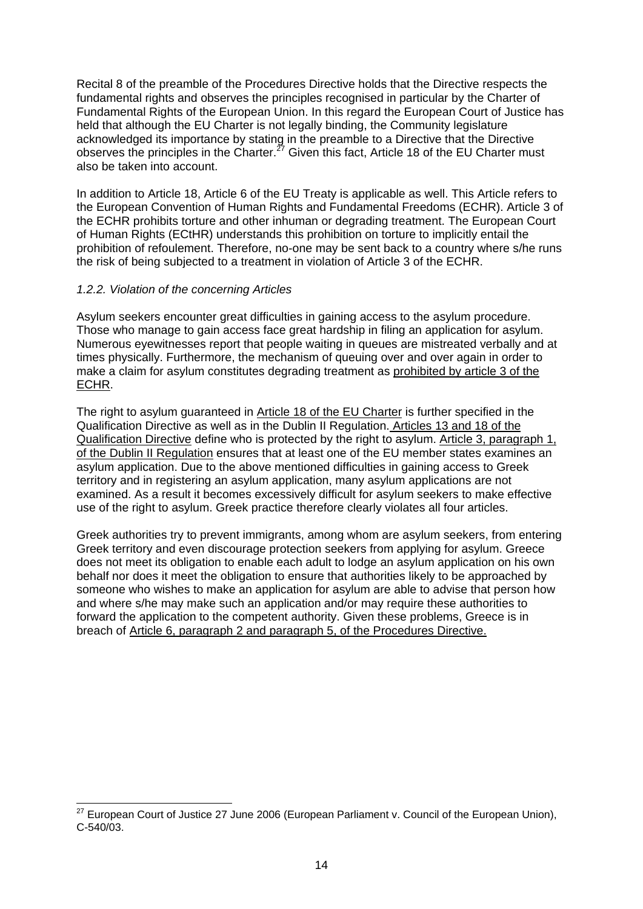Recital 8 of the preamble of the Procedures Directive holds that the Directive respects the fundamental rights and observes the principles recognised in particular by the Charter of Fundamental Rights of the European Union. In this regard the European Court of Justice has held that although the EU Charter is not legally binding, the Community legislature acknowledged its importance by stating in the preamble to a Directive that the Directive observes the principles in the Charter.<sup>27</sup> Given this fact, Article 18 of the EU Charter must also be taken into account.

In addition to Article 18, Article 6 of the EU Treaty is applicable as well. This Article refers to the European Convention of Human Rights and Fundamental Freedoms (ECHR). Article 3 of the ECHR prohibits torture and other inhuman or degrading treatment. The European Court of Human Rights (ECtHR) understands this prohibition on torture to implicitly entail the prohibition of refoulement. Therefore, no-one may be sent back to a country where s/he runs the risk of being subjected to a treatment in violation of Article 3 of the ECHR.

## 1.2.2. Violation of the concerning Articles

Asylum seekers encounter great difficulties in gaining access to the asylum procedure. Those who manage to gain access face great hardship in filing an application for asylum. Numerous eyewitnesses report that people waiting in queues are mistreated verbally and at times physically. Furthermore, the mechanism of queuing over and over again in order to make a claim for asylum constitutes degrading treatment as prohibited by article 3 of the <u>ECHR</u>. ECHR. In the contract of the contract of the contract of the contract of the contract of the contract of the contract of the contract of the contract of the contract of the contract of the contract of the contract

The right to asylum guaranteed in Article 18 of the EU Charter is further specified in the Qualification Directive as well as in the Dublin II Regulation. Articles 13 and 18 of the Qualification Directive define who is protected by the right to asylum. Article 3, paragraph 1, of the Dublin II Regulation ensures that at least one of the EU member states examines an asylum application. Due to the above mentioned difficulties in gaining access to Greek territory and in registering an asylum application, many asylum applications are not examined. As a result it becomes excessively difficult for asylum seekers to make effective use of the right to asylum. Greek practice therefore clearly violates all four articles.

Greek authorities try to prevent immigrants, among whom are asylum seekers, from entering Greek territory and even discourage protection seekers from applying for asylum. Greece does not meet its obligation to enable each adult to lodge an asylum application on his own behalf nor does it meet the obligation to ensure that authorities likely to be approached by someone who wishes to make an application for asylum are able to advise that person how and where s/he may make such an application and/or mayrequire these authorities to forward the application to the competent authority. Given these problems, Greece is in breach of Article 6, paragraph 2 and paragraph 5, of the Procedures Directive.

 $27$  European Court of Justice 27 June 2006 (European Parliament v. Council of the European Union), C-540/03.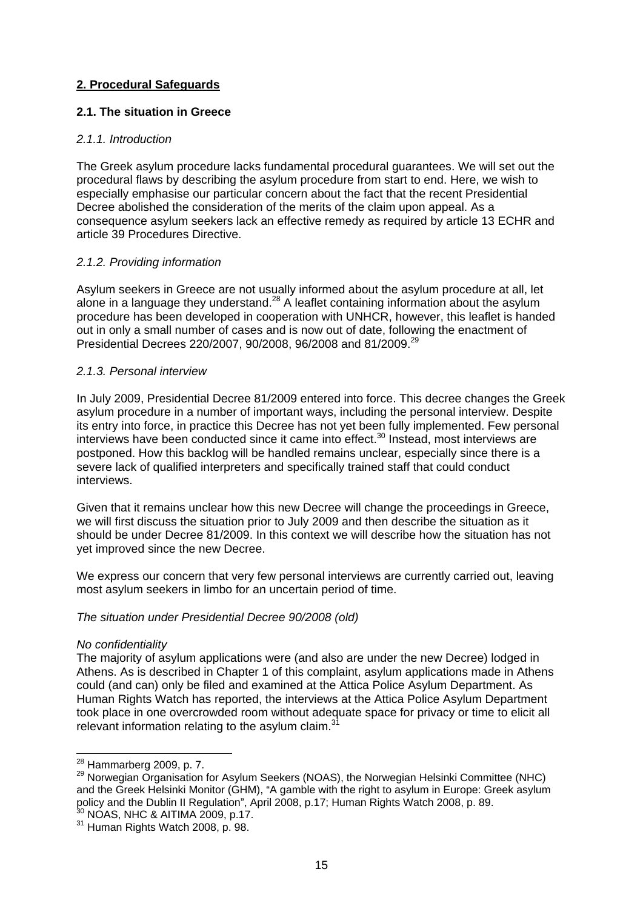## **2. Procedural Safeguards**

## **2.1. The situation in Greece**

## 2.1.1. Introduction

The Greek asylum procedure lacks fundamental procedural guarantees. We will set out the procedural flaws by describing the asylum procedure from start to end. Here, we wish to especially emphasise our particular concern about the fact that the recent Presidential Decree abolished the consideration of the merits of the claim upon appeal. As a consequence asylum seekers lack an effective remedy as required by article 13 ECHR and article 39 Procedures Directive.

## 2.1.2. Providing information

Asylum seekers in Greece are not usually informed about the asylum procedure at all, let alone in a language they understand. $28$  A leaflet containing information about the asylum procedure has been developed in cooperation with UNHCR, however, thisleaflet is handed out in only a small number of cases and is now out of date, following the enactment of Presidential Decrees 220/2007, 90/2008, 96/2008 and 81/2009.<sup>29</sup>

## 2.1.3. Personal interview

In July 2009, Presidential Decree 81/2009 entered into force. This decree changes the Greek asylum procedure in a number of important ways, including the personal interview. Despite its entry into force, in practice this Decree has not yet been fully implemented. Few personal interviews have been conducted since it came into effect.<sup>30</sup> Instead, most interviews are Instead, most interviews are postponed. How this backlog will be handled remains unclear, especially since there is a severe lack of qualified interpreters and specifically trained staff that could conduct interviews.

Given that it remains unclear how this new Decree will change the proceedings in Greece, we will first discuss the situation prior to July 2009 and then describe the situation as it should be under Decree 81/2009. In this context we will describe how the situation has not yet improved since the new Decree.

We express our concern that very few personal interviews are currently carried out, leaving most asylum seekers in limbo for an uncertain period of time.

## The situation under Presidential Decree 90/2008 (old)

### No confidentiality

The majority of asylum applications were (and also are under the new Decree) lodged in Athens. As is described in Chapter 1 of this complaint, asylum applications made in Athens could (and can) only be filed and examined at the Attica Police Asylum Department. As Human Rights Watch has reported, the interviews at the Attica Police Asylum Department took place in one overcrowded room without adequate space for privacy or time to elicitall relevant information relating to the asylum claim.<sup>31</sup>

<sup>&</sup>lt;sup>28</sup> Hammarberg 2009, p. 7.<br><sup>29</sup> Norwegian Organisation for Asylum Seekers (NOAS), the Norwegian Helsinki Committee (NHC) and the Greek Helsinki Monitor (GHM), "A gamble with the right to asylum in Europe: Greek asylum policy and the Dublin II Regulation", April 2008, p.17; Human Rights Watch 2008, p. 89.<br><sup>30</sup> NOAS, NHC & AITIMA 2009, p.17.<br><sup>31</sup> Human Rights Watch 2008, p. 98.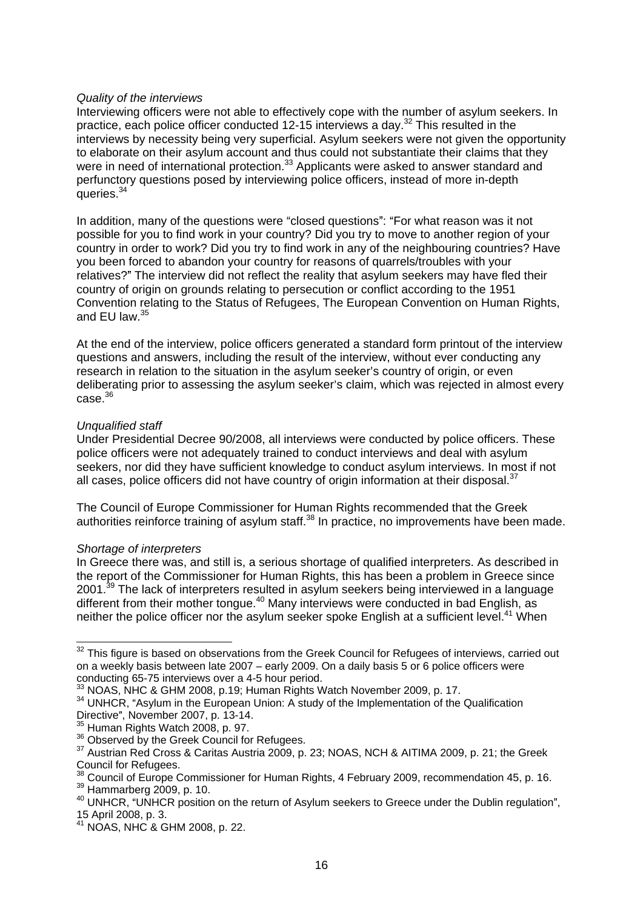## Quality of the interviews

Interviewing officers were not able to effectively cope with the number of asylum seekers. In practice, each police officer conducted 12-15 interviews a day.<sup>32</sup> This resulted in the interviews by necessity being very superficial. Asylum seekers were not given the opportunity to elaborate on their asylum account and thus could not substantiate their claims that they were in need of international protection.<sup>33</sup> Applicants were asked to answer standard and perfunctory questions posed by interviewing police officers, instead of more in-depth queries.<sup>34</sup> queries.<sup>34</sup> and the contract of the contract of the contract of the contract of the contract of the contract of the contract of the contract of the contract of the contract of the contract of the contract of the contract

In addition, many of the questions were "closed questions": "For what reason was it not possible for you to find work in your country? Did you try to move to another region of your country in order to work? Did you try to find workin any of the neighbouring countries? Have you been forced to abandon your country for reasons of quarrels/troubles with your relatives?" The interview did not reflect the reality that asylum seekers may have fled their country of origin on grounds relating to persecution or conflict according to the 1951 Convention relating to the Status of Refugees, The European Convention on Human Rights, and FU law.<sup>35</sup> and EU law.<sup>35</sup> and the set of the set of the set of the set of the set of the set of the set of the set of the set of the set of the set of the set of the set of the set of the set of the set of the set of the set of the

At the end of the interview, police officers generated a standard form printout of the interview questions and answers, including the result of the interview, without ever conducting any research in relation to the situation in the asylum seeker's country of origin, or even deliberating prior to assessing the asylum seeker's claim, which was rejected in almost every case  $36$  $\text{case.}^{36}$ 

## Unqualified staff **Exercise State Exercise State State State State State State State State State State State State State State State State State State State State State State State State State State State State State Sta**

Under Presidential Decree 90/2008, all interviews were conducted by police officers. These police officers were not adequately trained to conduct interviews and deal with asylum seekers, nor did they have sufficient knowledge to conduct asylum interviews. In most if not all cases, police officers did not have country of origin information at their disposal. $37$ 

The Council of Europe Commissioner for Human Rights recommended that the Greek authorities reinforce training of asylum staff.<sup>38</sup> In practice, no improvements have been made.

## Shortage of interpreters **Shortage of interpreters**

In Greece there was, and still is, a serious shortage of qualified interpreters. As described in the report of the Commissioner for Human Rights, this has been a problem in Greece since 2001.<sup>39</sup> The lack of interpreters resulted in asylum seekers being interviewed in a language different from their mother tongue.<sup>40</sup> Many interviews were conducted in bad English, as neither the police officer nor the asylum seeker spoke English at a sufficient level.<sup>41</sup> When

<sup>&</sup>lt;sup>32</sup> This figure is based on observations from the Greek Council for Refugees of interviews, carried out on a weekly basis between late 2007 – early 2009. On a daily basis 5 or 6 police officers were

conducting 65-75 interviews over a 4-5 hour period.<br><sup>33</sup> NOAS, NHC & GHM 2008, p.19; Human Rights Watch November 2009, p. 17.<br><sup>34</sup> UNHCR, "Asylum in the European Union: A study of the Implementation of the Qualification

Directive", November 2007, p. 13-14.<br><sup>35</sup> Human Rights Watch 2008, p. 97.<br><sup>36</sup> Observed by the Greek Council for Refugees.<br><sup>37</sup> Austrian Red Cross & Caritas Austria 2009, p. 23; NOAS, NCH & AITIMA 2009, p. 21; the Greek

Council for Refugees.<br><sup>38</sup> Council of Europe Commissioner for Human Rights, 4 February 2009, recommendation 45, p. 16.<br><sup>39</sup> Hammarberg 2009, p. 10.<br><sup>40</sup> UNHCR, "UNHCR position on the return of Asylum seekers to Greece unde

<sup>15</sup> April 2008, p. 3.<br><sup>41</sup> NOAS, NHC & GHM 2008, p. 22.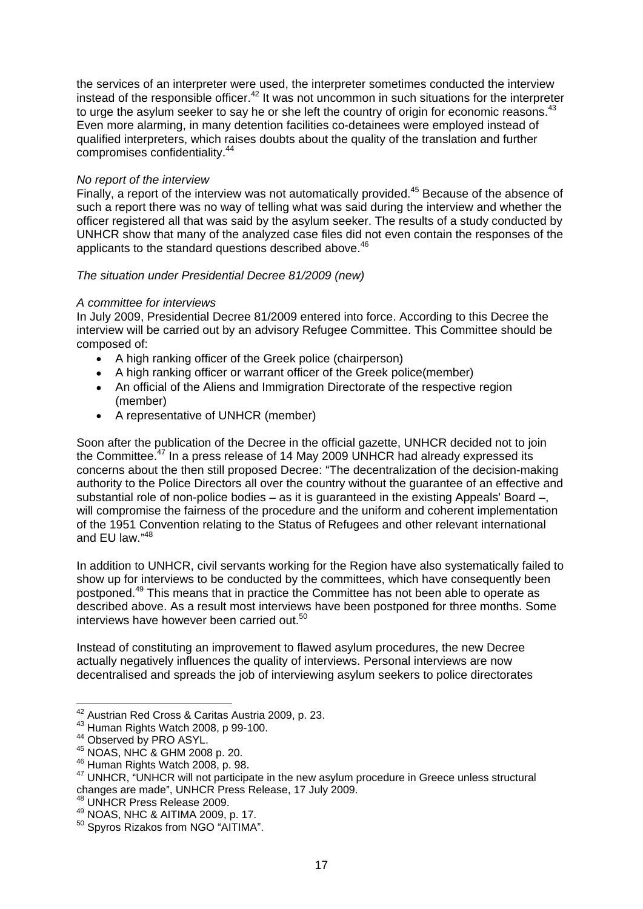the services of an interpreter were used, the interpreter sometimes conducted the interview instead of the responsible officer.<sup>42</sup> It was not uncommon in such situations for the interpreter to urge the asylum seeker to say he or she left the country of origin for economic reasons.<sup>43</sup> Even more alarming, in many detention facilities co-detainees were employed instead of qualified interpreters, which raises doubts about the quality of the translation and further compromises confidentiality.<sup>44</sup>

## No report of the interview

Finally, a report of the interview was not automatically provided.<sup>45</sup> Because of the absence of such a report there was no way of telling what was said during the interview and whether the officer registered all that was said by the asylum seeker. The results of a study conducted by UNHCR show that many of the analyzed case files did not even contain the responses of the applicants to the standard questions described above.<sup>46</sup>

## The situation under Presidential Decree 81/2009 (new)

## A committee for interviews

In July 2009, Presidential Decree 81/2009 entered into force. According to this Decree the interview will be carried out by an advisory Refugee Committee. This Committee should be composed of:

- A high ranking officer of the Greek police (chairperson)
- A high ranking officer or warrant officer of the Greek police(member)
- An official of the Aliens and Immigration Directorate of the respective region (member)
- A representative of UNHCR (member)

Soon after the publication of the Decree in the official gazette, UNHCR decided not to join the Committee.<sup>47</sup> In a press release of 14 May 2009 UNHCR had already expressed its concerns about the then still proposed Decree: The decentralization of the decision-making authority to the Police Directors all over the country without the guarantee of an effective and substantial role of non-police bodies  $-$  as it is guaranteed in the existing Appeals' Board  $-$ , will compromise the fairness of the procedure and the uniform and coherent implementation of the 1951 Convention relating to the Status of Refugees and other relevant international and EU law."<sup>48</sup> and EU law. $148$ 

In addition to UNHCR, civil servants working for the Region have also systematically failed to show up for interviews to be conducted by the committees, which have consequently been postponed.49 This means that in practice the Committee has not been able to operate as described above. As a result most interviews have been postponed for three months. Some interviews have however been carried out.<sup>50</sup>

Instead of constituting an improvement to flawed asylum procedures, the new Decree actually negatively influences the quality of interviews. Personal interviews are now decentralised and spreads the job of interviewing asylum seekers to police directorates

<sup>&</sup>lt;sup>42</sup> Austrian Red Cross & Caritas Austria 2009, p. 23.<br><sup>43</sup> Human Rights Watch 2008, p 99-100.<br><sup>44</sup> Observed by PRO ASYL.<br><sup>45</sup> NOAS, NHC & GHM 2008 p. 20.<br><sup>46</sup> Human Rights Watch 2008, p. 98.<br><sup>47</sup> UNHCR, "UNHCR will not pa changes are made", UNHCR Press Release, 17 July 2009.<br><sup>48</sup> UNHCR Press Release 2009.<br><sup>49</sup> NOAS, NHC & AITIMA 2009, p. 17.<br><sup>50</sup> Spyros Rizakos from NGO "AITIMA".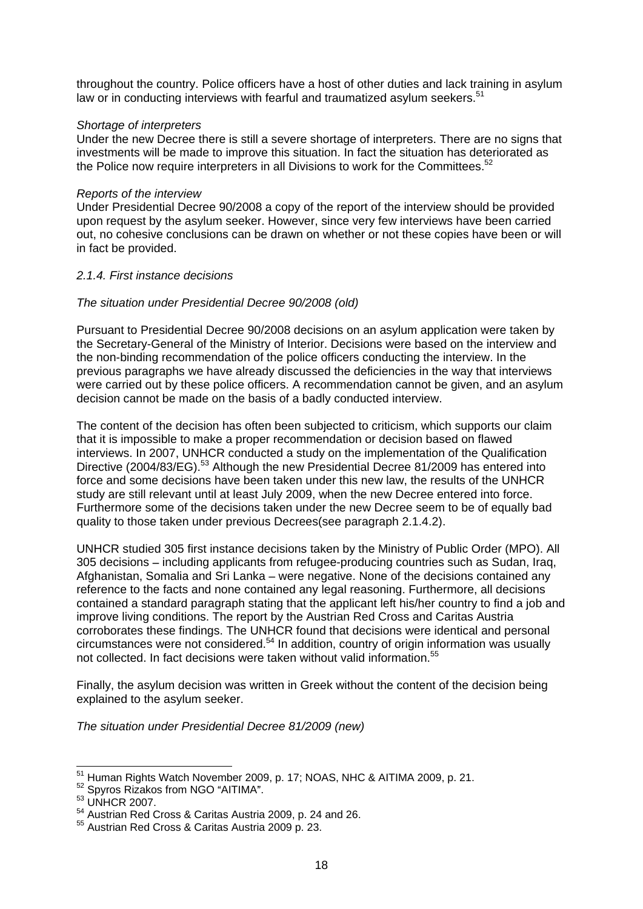throughout the country. Police officers have a host of other duties and lack training in asylum law or in conducting interviews with fearful and traumatized asylum seekers.<sup>51</sup>

## Shortage of interpreters **Shortage of interpreters**

Under the new Decree there is still a severe shortage of interpreters. There are no signs that investments will be made to improve this situation. In fact the situation has deteriorated as the Police now require interpreters in all Divisions to work for the Committees. $52$ 

## Reports of the interview experience of the interview of the interview of the interview of the interview of the interview of the interview of the interview of the interview of the interview of the interview of the interview

Under Presidential Decree 90/2008 a copy of the report of the interview should be provided upon request by the asylum seeker. However, since very few interviews have been carried out, no cohesive conclusions can be drawn on whether or not these copies have been or will in fact be provided.

## 2.1.4. First instance decisions

## The situation under Presidential Decree 90/2008 (old)

Pursuant to Presidential Decree 90/2008 decisions on an asylum application were taken by the Secretary-General of the Ministry of Interior. Decisions were based on the interview and the non-binding recommendation of the police officers conducting the interview. In the previous paragraphs we have already discussed the deficiencies in the way that interviews were carried out by these police officers. A recommendation cannot be given, and an asylum decision cannot be made on the basis of a badly conducted interview.

The content of the decision has often been subjected to criticism, which supports our claim that it is impossible to make a proper recommendation or decision based on flawed interviews. In 2007, UNHCR conducted a study on the implementation of the Qualification Directive (2004/83/EG).<sup>53</sup> Although the new Presidential Decree 81/2009 has entered into force and some decisions have been taken under this new law, the results of the UNHCR study are still relevant until at least July 2009, when the new Decree entered into force. Furthermore some of the decisions taken under the new Decree seem to be of equally bad quality to those taken under previous Decrees(see paragraph 2.1.4.2).

UNHCR studied 305 first instance decisionstaken by the Ministry of Public Order (MPO). All 305 decisions – including applicants from refugee-producing countries such as Sudan, Iraq, Afghanistan, Somalia and Sri Lanka – were negative. None of the decisions contained any reference to the facts and none contained any legal reasoning. Furthermore, all decisions contained a standard paragraph stating that the applicant left his/her country to find a job and improve living conditions. The report by the Austrian Red Cross and Caritas Austria corroborates these findings. The UNHCR found that decisions were identical and personal circumstances were not considered.<sup>54</sup> In addition, country of origin information was usually not collected. In fact decisions were taken without valid information.<sup>55</sup>

Finally, the asylum decision was written in Greek without the content of the decision being explained to the asylum seeker.

The situation under Presidential Decree 81/2009 (new)

<sup>&</sup>lt;sup>51</sup> Human Rights Watch November 2009, p. 17; NOAS, NHC & AITIMA 2009, p. 21.<br><sup>52</sup> Spyros Rizakos from NGO "AITIMA".<br><sup>53</sup> UNHCR 2007.<br><sup>54</sup> Austrian Red Cross & Caritas Austria 2009, p. 24 and 26.<br><sup>55</sup> Austrian Red Cross &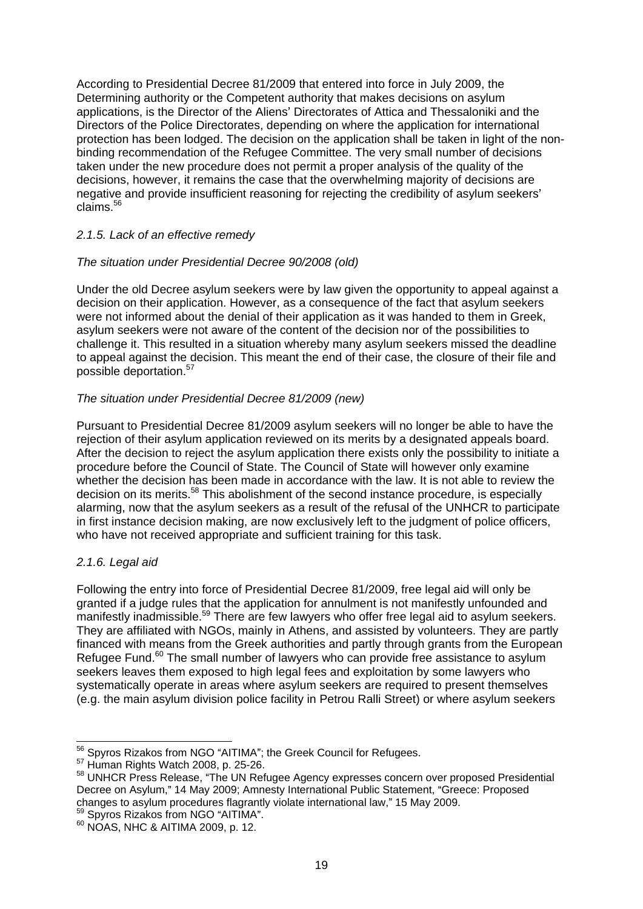According to Presidential Decree 81/2009 that entered into force in July 2009, the Determining authority or the Competent authority that makes decisions on asylum applications, is the Director of the Aliens' Directorates of Attica and Thessaloniki and the Directors of the Police Directorates, depending on where the application for international protection has been lodged. The decision on the application shall be taken in light of the non binding recommendation of the Refugee Committee. The very small number of decisions taken under the new procedure does not permit a proper analysis of the quality of the decisions, however, it remains the case that the overwhelming majority of decisions are negative and provide insufficient reasoning for rejecting the credibility of asylum seekers' claims.<sup>56</sup> claims.  $56$ 

## 2.1.5. Lack of an effective remedy

## The situation under Presidential Decree 90/2008 (old)

Under the old Decree asylum seekers were by law given the opportunity to appeal against a decision on their application. However, as a consequence of the fact that asylum seekers were not informed about the denial of their application as it was handed to them in Greek, asylum seekers were not aware of the content of the decision nor of the possibilities to challenge it. This resulted in a situation whereby many asylum seekers missed the deadline to appeal against the decision. This meant the end of their case, the closure of their file and possible deportation. $57$ 

## The situation under Presidential Decree 81/2009 (new)

Pursuant to Presidential Decree 81/2009 asylum seekers will no longer be able to have the rejection of their asylum application reviewed on its merits by a designated appeals board. After the decision to reject the asylum application there exists only the possibility to initiate a procedure before the Council of State. The Council of State will however only examine whether the decision has been made in accordance with the law. It is not able to review the decision on its merits.<sup>58</sup> This abolishment of the second instance procedure, is especially alarming, now that the asylum seekers as a result of the refusal of the UNHCR to participate in first instance decision making, are now exclusively left to the judgment of police officers, who have not received appropriate and sufficient training for this task.

## 2.1.6. Legal aid

Following the entry into force of Presidential Decree 81/2009, free legal aid will only be granted if a judge rules that the application for annulment is not manifestly unfounded and manifestly inadmissible.<sup>59</sup> There are few lawyers who offer free legal aid to asylum seekers. They are affiliated with NGOs, mainly in Athens, and assisted by volunteers. They are partly financed with means from the Greek authorities and partly through grants from the European Refugee Fund.<sup>60</sup> The small number of lawyers who can provide free assistance to asylum seekers leaves them exposed to high legal fees and exploitation by some lawyers who systematically operate in areas where asylum seekers are required to present themselves (e.g. the main asylum division police facility in Petrou Ralli Street) or where asylum seekers

<sup>&</sup>lt;sup>56</sup> Spyros Rizakos from NGO "AITIMA"; the Greek Council for Refugees.<br><sup>57</sup> Human Rights Watch 2008, p. 25-26.<br><sup>58</sup> UNHCR Press Release, "The UN Refugee Agency expresses concern over proposed Presidential Decree on Asylum," 14 May 2009; Amnesty International Public Statement, "Greece: Proposed changes to asylum procedures flagrantly violate international law," 15 May 2009.<br><sup>59</sup> Spyros Rizakos from NGO "AITIMA".<br><sup>60</sup> NOAS, NHC & AITIMA 2009, p. 12.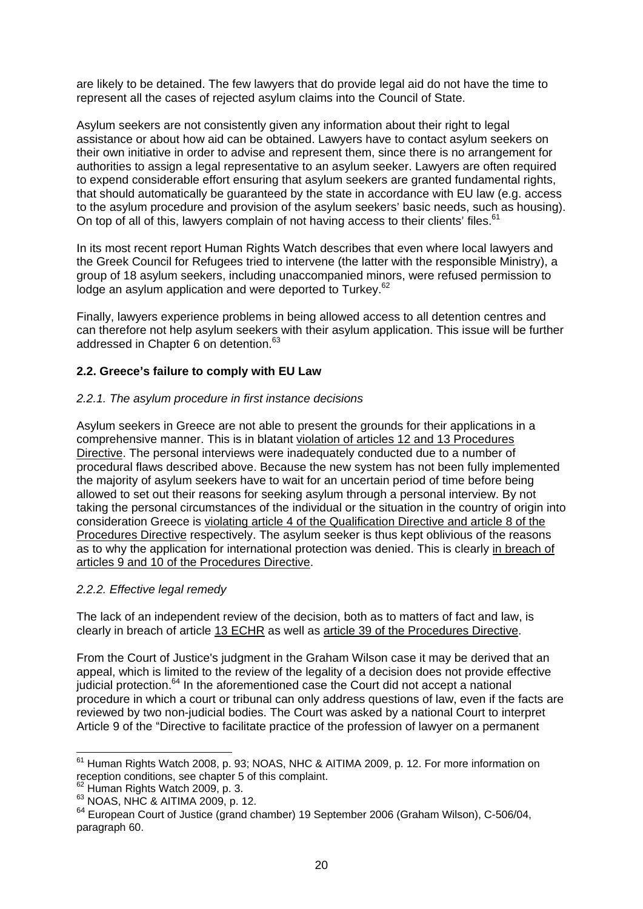are likely to be detained. The few lawyers that do provide legal aid do not have the time to represent all the cases of rejected asylum claims into the Council of State.

Asylum seekers are not consistently given any information about their right to legal assistance or about how aid can be obtained. Lawyers have to contact asylum seekers on their own initiative in order to advise and represent them, since there is no arrangement for authorities to assign a legal representative to an asylum seeker. Lawyers are often required to expend considerable effort ensuring that asylum seekers are granted fundamental rights, that should automatically be guaranteed by the state in accordance with EU law (e.g. access to the asylum procedure and provision of the asylum seekers' basic needs, such as housing). On top of all of this, lawyers complain of not having access to their clients' files.<sup>61</sup>

In its most recent report Human Rights Watch describes that even where local lawyers and the Greek Council for Refugees tried to intervene (the latter with the responsible Ministry), a group of 18 asylum seekers, including unaccompanied minors, were refused permission to lodge an asylum application and were deported to Turkey.<sup>62</sup>

Finally, lawyers experience problems in being allowed access to all detention centres and can therefore not help asylum seekers with their asylum application. This issue will be further addressed in Chapter 6 on detention.<sup>63</sup>

## **2.2. Greece s failure to comply with EU Law**

## 2.2.1. The asylum procedure in first instance decisions

Asylum seekers in Greece are not able to present the grounds for their applications in a comprehensive manner. This is in blatant violation of articles 12 and 13 Procedures Directive. The personal interviews were inadequately conducted due to a number of procedural flaws described above. Because the new system has not been fully implemented the majority of asylum seekers have to wait for an uncertain period of time before being allowed to set out their reasons for seeking asylum through a personal interview. By not taking the personal circumstances of the individual or the situation in the countryof origin into consideration Greece is violating article 4 of the Qualification Directive and article 8 of the Procedures Directive respectively. The asylum seeker is thus kept oblivious of the reasons as to why the application for international protection was denied. This is clearly in breach of articles 9 and 10 of the Procedures Directive.

## 2.2.2. Effective legal remedy

The lack of an independent review of the decision, both as to matters of fact and law, is clearly in breach of article 13 ECHR as well as article 39 of the Procedures Directive.

From the Court of Justice's judgment in the Graham Wilson case it may be derived that an appeal, which is limited to the review of the legality of a decision does not provide effective judicial protection.<sup>64</sup> In the aforementioned case the Court did not accept a national procedure in which a court or tribunal can only address questions of law, even if the facts are reviewed by two non-judicial bodies. The Court was asked by a national Court to interpret Article 9 of the "Directive to facilitate practice of the profession of lawyer on a permanent

 $61$  Human Rights Watch 2008, p. 93; NOAS, NHC & AITIMA 2009, p. 12. For more information on reception conditions, see chapter 5 of this complaint.

reception conditions, see chapter 5 of this complaint.<br><sup>62</sup> Human Rights Watch 2009, p. 3.<br><sup>63</sup> NOAS, NHC & AITIMA 2009, p. 12.<br><sup>64</sup> European Court of Justice (grand chamber) 19 September 2006 (Graham Wilson), C-506/04, paragraph 60.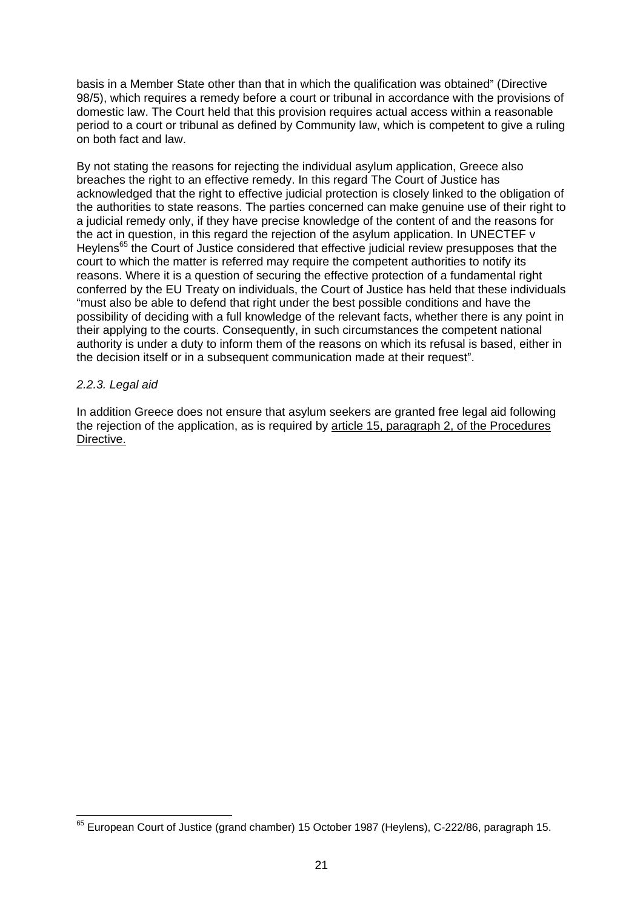basis in a Member State other than that in which the qualification was obtained" (Directive 98/5), which requires a remedy before a court or tribunal in accordance with the provisions of domestic law. The Court held that this provision requires actual access within a reasonable period to a court or tribunal as defined by Community law, which is competent to give a ruling on both fact and law.

By not stating the reasons for rejecting the individual asylum application, Greece also breaches the right to an effective remedy. In this regard The Court of Justice has acknowledged that the right to effective judicial protection is closely linked to the obligation of the authorities to state reasons. The parties concerned can make genuine use of their right to a judicial remedy only, if they have precise knowledge of the content of and the reasons for the act in question, in this regard the rejection of the asylum application. In UNECTEF v Heylens<sup>65</sup> the Court of Justice considered that effective judicial review presupposes that the court to which the matter is referred may require the competent authorities to notify its reasons. Where it is a question of securing the effective protection of a fundamental right conferred by the EU Treaty on individuals, the Court of Justice has held that these individuals must also be able to defend that right under the best possible conditions and have the possibility of deciding with a full knowledge of the relevant facts, whether there is any point in their applying to the courts. Consequently, in such circumstances the competent national authority is under a duty to inform them of the reasons on which its refusal is based, either in the decision itself or in a subsequent communication made at their request".

## 2.2.3. Legal aid

In addition Greece does not ensure that asylum seekers are granted free legal aid following the rejection of the application, as is required by article 15, paragraph 2, of the Procedures **Directive.** The contract of the contract of the contract of the contract of the contract of the contract of the contract of the contract of the contract of the contract of the contract of the contract of the contract of t

<sup>&</sup>lt;sup>65</sup> European Court of Justice (grand chamber) 15 October 1987 (Heylens), C-222/86, paragraph 15.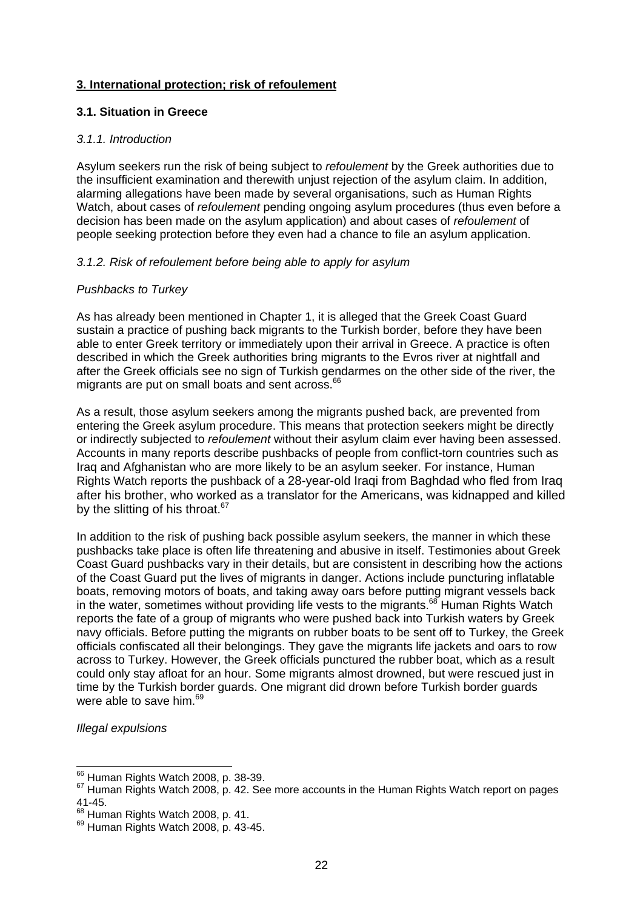## **3. International protection; risk of refoulement**

## **3.1. Situation in Greece**

## 3.1.1. Introduction

Asylum seekers run the risk of being subject to refoulement by the Greek authorities due to the insufficient examination and therewith unjust rejection of the asylum claim. In addition, alarming allegations have been made by several organisations, such as Human Rights Watch, about cases of refoulement pending ongoing asylum procedures (thus even before a decision has been made on the asylum application) and about cases of refoulement of people seeking protection before they even had a chance to file an asylum application.

## 3.1.2. Risk of refoulement before being able to apply for asylum

## Pushbacks to Turkey

As has already been mentioned in Chapter 1, it is alleged that the Greek Coast Guard sustain a practice of pushing back migrants to the Turkish border, before they have been able to enter Greek territory or immediately upon their arrival in Greece. A practice is often described in which the Greek authorities bring migrants to the Evros river at nightfall and after the Greek officials see no sign of Turkish gendarmes on the other side of the river, the migrants are put on small boats and sent across.<sup>66</sup>

As a result, those asylum seekers among the migrants pushed back, are prevented from entering the Greek asylum procedure. This means that protection seekers might be directly or indirectly subjected to *refoulement* without their asylum claim ever having been assessed. Accounts in many reports describe pushbacks of people from conflict-torn countries such as Iraq and Afghanistan who are more likely to be an asylum seeker. For instance, Human Rights Watch reports the pushback of a 28-year-old Iragi from Baghdad who fled from Irag after his brother, who worked as a translator for the Americans, was kidnapped and killed by the slitting of his throat. $67$ 

In addition to the risk of pushing back possible asylum seekers, the manner in which these pushbacks take place is often life threatening and abusive in itself. Testimonies about Greek Coast Guard pushbacks vary in their details, but are consistent in describing how the actions of the Coast Guard put the lives of migrants in danger. Actions include puncturing inflatable boats, removing motors of boats, and taking away oars before putting migrant vessels back in the water, sometimes without providing life vests to the migrants.<sup>68</sup> Human Rights Watch reports the fate of a group of migrants who were pushed back into Turkish waters by Greek navy officials. Before putting the migrants on rubber boats to be sent off to Turkey, the Greek officials confiscated all their belongings. They gave the migrants life jackets and oars to row across to Turkey. However, the Greek officials punctured the rubber boat, which as a result could only stay afloat for an hour. Some migrants almost drowned, but were rescued just in time by the Turkish border guards. One migrant did drown before Turkish border guards were able to save him. $^{69}$ 

### Illegal expulsions

 $^{66}$  Human Rights Watch 2008, p. 38-39.<br> $^{67}$  Human Rights Watch 2008, p. 42. See more accounts in the Human Rights Watch report on pages 41-45.<br><sup>68</sup> Human Rights Watch 2008, p. 41.<br><sup>69</sup> Human Rights Watch 2008, p. 43-45.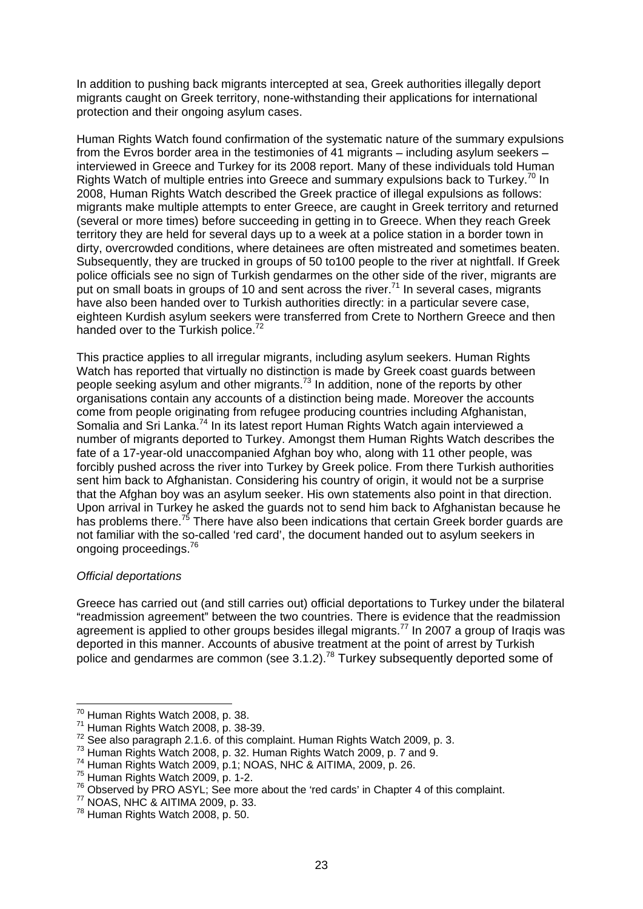In addition to pushing back migrants intercepted at sea, Greek authorities illegally deport migrants caught on Greek territory, none-withstanding their applications for international protection and their ongoing asylum cases.

Human Rights Watch found confirmation of the systematic nature of the summary expulsions from the Evros border area in the testimonies of 41 migrants  $-$  including asylum seekers  $$ interviewed in Greece and Turkey for its 2008 report. Many of these individuals told Human Rights Watch of multiple entries into Greece and summary expulsions back to Turkey.<sup>70</sup> In In 2008, Human Rights Watch described the Greek practice of illegal expulsions as follows: migrants make multiple attempts to enter Greece, are caught in Greek territory and returned (several or more times) before succeeding in getting in to Greece. When they reach Greek territory they are held for several days up to a week at a police station in a border town in dirty, overcrowded conditions, where detainees are often mistreated and sometimes beaten. Subsequently, they are trucked in groups of 50 to100 people to the river at nightfall. If Greek police officials see no sign of Turkish gendarmes on the other side of the river, migrants are put on small boats in groups of 10 and sent across the river.<sup>71</sup> In several cases, migrants have also been handed over to Turkish authorities directly: in a particular severe case, eighteen Kurdish asylum seekers were transferred from Crete to Northern Greece and then handed over to the Turkish police.<sup>72</sup>

This practice applies to all irregular migrants, including asylum seekers. Human Rights Watch has reported that virtually no distinction is made by Greek coast guards between people seeking asylum and other migrants.<sup>73</sup> In addition, none of the reports by other organisations contain any accounts of a distinction being made. Moreover the accounts come from people originating from refugee producing countries including Afghanistan. Somalia and Sri Lanka.<sup>74</sup> In its latest report Human Rights Watch again interviewed a number of migrants deported to Turkey. Amongst them Human Rights Watch describes the fate of a 17-year-old unaccompanied Afghan boy who, along with 11 other people, was forcibly pushed across the river into Turkey by Greek police. From there Turkish authorities sent him back to Afghanistan. Considering his country of origin, it would not be a surprise that the Afghan boy was an asylum seeker. His own statements also point in that direction. Upon arrival in Turkey he asked the guards not to send him back to Afghanistan because he has problems there.<sup>75</sup> There have also been indications that certain Greek border guards are not familiar with the so-called 'red card', the document handed out to asylum seekers in ongoing proceedings. $^{76}$ 

## Official deportations

Greece has carried out (and still carries out) official deportations to Turkey under the bilateral "readmission agreement" between the two countries. There is evidence that the readmission agreement is applied to other groups besides illegal migrants.<sup>77</sup> In 2007 a group of Iraqis was deported in this manner. Accounts of abusive treatment at the point of arrest by Turkish police and gendarmes are common (see 3.1.2).<sup>78</sup> Turkey subsequently deported some of

<sup>&</sup>lt;sup>70</sup> Human Rights Watch 2008, p. 38.<br><sup>71</sup> Human Rights Watch 2008, p. 38-39.<br><sup>72</sup> See also paragraph 2.1.6. of this complaint. Human Rights Watch 2009, p. 3.<br><sup>73</sup> Human Rights Watch 2008, p. 32. Human Rights Watch 2009, p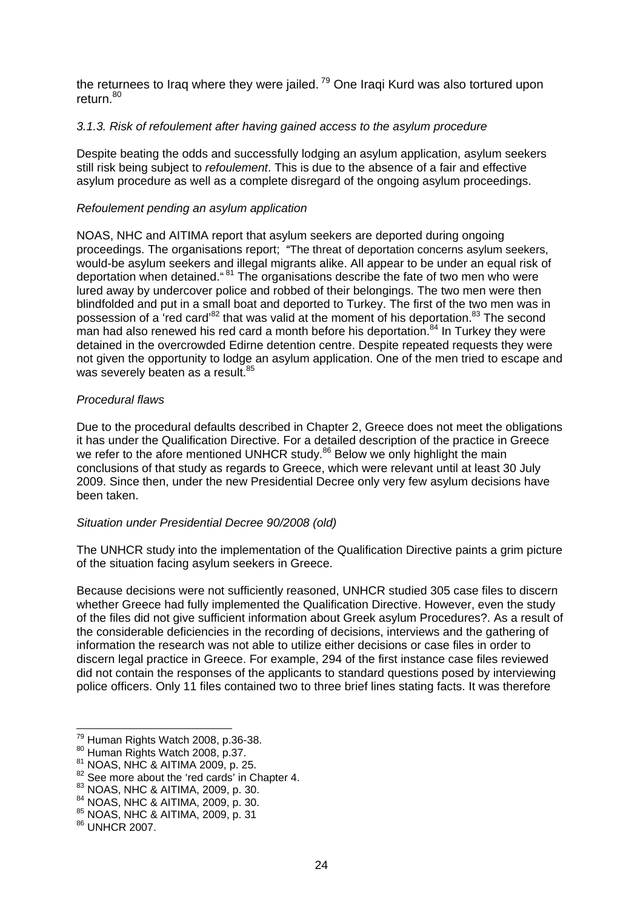the returnees to Iraq where they were jailed.<sup>79</sup> One Iraqi Kurd was also tortured upon return.<sup>80</sup> return.<sup>80</sup> and the set of the set of the set of the set of the set of the set of the set of the set of the set of the set of the set of the set of the set of the set of the set of the set of the set of the set of the set

## 3.1.3. Risk of refoulement after having gained access to the asylum procedure

Despite beating the odds and successfully lodging an asylum application, asylum seekers still risk being subject to *refoulement*. This is due to the absence of a fair and effective asylum procedure as well as a complete disregard of the ongoing asylum proceedings.

## Refoulement pending an asylum application

NOAS, NHC and AITIMA report that asylum seekers are deported during ongoing proceedings. The organisations report; "The threat of deportation concerns asylum seekers, would-be asylum seekers and illegal migrants alike. All appear to be under an equal risk of deportation when detained. $64$  The organisations describe the fate of two men who were lured away by undercover police and robbed of their belongings. The two men were then blindfolded and put in a small boat and deported to Turkey. The first of the two men was in possession of a 'red card'<sup>82</sup> that was valid at the moment of his deportation.<sup>83</sup> The second man had also renewed his red card a month before his deportation.<sup>84</sup> In Turkey they were In Turkey they were detained in the overcrowded Edirne detention centre. Despite repeated requests they were not given the opportunity to lodge an asylum application. One of the men tried to escape and was severely beaten as a result.<sup>85</sup>

## Procedural flaws

Due to the procedural defaults described in Chapter 2, Greece does not meet the obligations it has under the Qualification Directive. For a detailed description of the practice in Greece we refer to the afore mentioned UNHCR study.<sup>86</sup> Below we only highlight the main conclusions of that study as regards to Greece, which were relevant until at least 30 July 2009. Since then, under the new Presidential Decree only very few asylum decisions have been taken.

## Situation under Presidential Decree 90/2008 (old)

The UNHCR study into the implementation of the Qualification Directive paints a grim picture of the situation facing asylum seekers in Greece.

Because decisions were not sufficiently reasoned, UNHCR studied 305 case files to discern whether Greece had fully implemented the Qualification Directive. However, even the study of the files did not give sufficient information about Greek asylum Procedures?. As a result of the considerable deficiencies in the recording of decisions, interviews and the gathering of information the research was not able to utilize either decisions or case files in order to discern legal practice in Greece. For example, 294 of the first instance case files reviewed did not contain the responses of the applicants to standard questions posed by interviewing police officers. Only 11 files contained two to three brief lines stating facts. It was therefore

<sup>&</sup>lt;sup>79</sup> Human Rights Watch 2008, p.36-38.<br><sup>80</sup> Human Rights Watch 2008, p.37.<br><sup>81</sup> NOAS, NHC & AITIMA 2009, p. 25.<br><sup>82</sup> See more about the 'red cards' in Chapter 4.<br><sup>83</sup> NOAS, NHC & AITIMA, 2009, p. 30.<br><sup>84</sup> NOAS, NHC & AITI

 $86$  UNHCR 2007.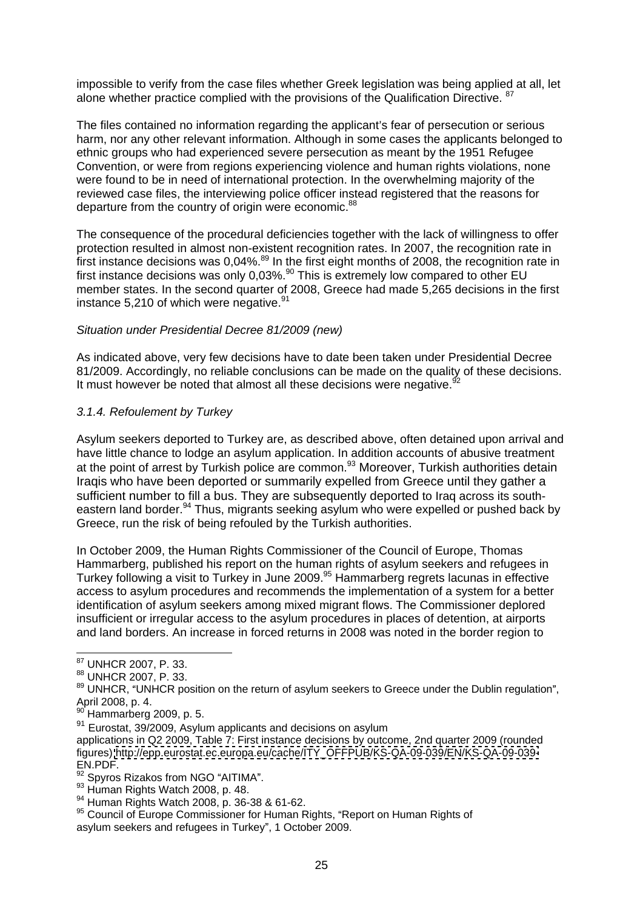impossible to verify from the case files whether Greek legislation was being applied at all, let alone whether practice complied with the provisions of the Qualification Directive. <sup>87</sup>

The files contained no information regarding the applicant's fear of persecution or serious harm, nor any other relevant information. Although in some cases the applicants belonged to ethnic groups who had experienced severe persecution as meant by the 1951 Refugee Convention, or were from regions experiencing violence and human rights violations, none were found to be in need of international protection. In the overwhelming majority of the reviewed case files, the interviewing police officer instead registered that the reasons for departure from the country of origin were economic.<sup>88</sup>

The consequence of the procedural deficiencies together with the lack of willingness to offer protection resulted in almost non-existent recognition rates. In 2007, the recognition rate in first instance decisions was 0,04%.<sup>89</sup> In the first eight months of 2008, the recognition rate in first instance decisions was only 0,03%.<sup>90</sup> This is extremely low compared to other EU member states. In the second quarter of 2008, Greece had made 5,265 decisions in the first instance 5,210 of which were negative.  $91$ 

## Situation under Presidential Decree 81/2009 (new)

As indicated above, very few decisions have to date been taken under Presidential Decree 81/2009. Accordingly, no reliable conclusions can be made on the quality of these decisions. It must however be noted that almost all these decisions were negative.<sup>92</sup>

## 3.1.4. Refoulement by Turkey

Asylum seekers deported to Turkey are, as described above, often detained upon arrival and have little chance to lodge an asylum application. In addition accounts of abusive treatment at the point of arrest by Turkish police are common.<sup>93</sup> Moreover, Turkish authorities detain Iraqis who have been deported or summarily expelled from Greece until they gather a sufficient number to fill a bus. They are subsequently deported to Iraq across its south eastern land border.<sup>94</sup> Thus, migrants seeking asylum who were expelled or pushed back by Greece, run the risk of being refouled by the Turkish authorities.

In October 2009, the Human Rights Commissioner of the Council of Europe, Thomas Hammarberg, published his report on the human rights of asylum seekers and refugees in Turkey following a visit to Turkey in June 2009.<sup>95</sup> Hammarberg regrets lacunas in effective access to asylum procedures and recommends the implementation of a system for a better identification of asylum seekers among mixed migrant flows. The Commissioner deplored insufficient or irregular access to the asylum procedures in places of detention, at airports and land borders. An increase in forced returns in 2008 was noted in the border region to

<sup>&</sup>lt;sup>87</sup> UNHCR 2007, P. 33.<br><sup>88</sup> UNHCR 2007, P. 33.<br><sup>89</sup> UNHCR, "UNHCR position on the return of asylum seekers to Greece under the Dublin regulation", April 2008, p. 4.<br><sup>90</sup> Hammarberg 2009, p. 5.<br><sup>91</sup> Eurostat, 39/2009, Asylum applicants and decisions on asylum

applications in Q2 2009, Table 7: First instance decisions by outcome, 2nd quarter 2009 (rounded figures) [http://epp.eurostat.ec.europa.eu/cache/ITY\\_OFFPUB/KS-QA-09-039/EN/KS-QA-09-039-](http://epp.eurostat.ec.europa.eu/cache/ITY_OFFPUB/KS-QA-09-039/EN/KS-QA-09-039-) EN.PDF.<br><sup>92</sup> Spyros Rizakos from NGO "AITIMA".<br><sup>93</sup> Human Rights Watch 2008, p. 48.<br><sup>94</sup> Human Rights Watch 2008, p. 36-38 & 61-62.<br><sup>95</sup> Council of Europe Commissioner for Human Rights, "Report on Human Rights of

asylum seekers and refugees in Turkey", 1 October 2009.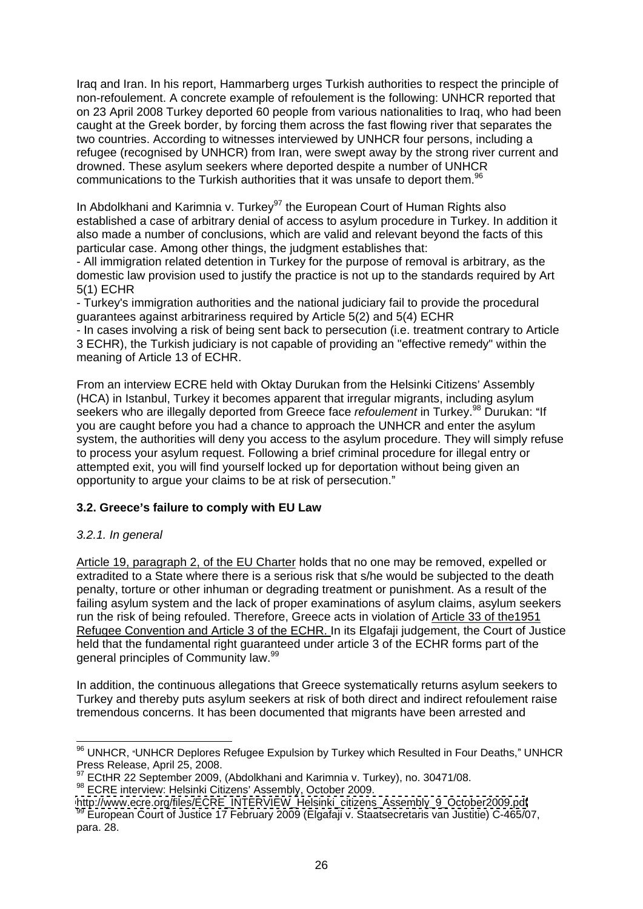Iraq and Iran. In his report, Hammarberg urges Turkish authorities to respect the principle of non-refoulement. A concrete example of refoulement is the following: UNHCR reported that on 23 April 2008 Turkey deported 60 people from various nationalities to Iraq, who had been caught at the Greek border, by forcing them across the fast flowing river that separates the two countries. According to witnesses interviewed by UNHCR four persons, including a refugee (recognised by UNHCR) from Iran, were swept away by the strong river current and drowned. These asylum seekers where deported despite a number of UNHCR communications to the Turkish authorities that it was unsafe to deport them.<sup>96</sup>

In Abdolkhani and Karimnia v. Turkey<sup>97</sup> the European Court of Human Rights also established a case of arbitrary denial of access to asylum procedure in Turkey. In addition it also made a number of conclusions, which are valid and relevant beyond the facts of this particular case. Among other things, the judgment establishes that:

- All immigration related detention in Turkey for the purpose of removal is arbitrary, as the domestic law provision used to justify the practice is not up to the standards required by Art 5(1) ECHR

- Turkey's immigration authorities and the national judiciary fail to provide the procedural guarantees against arbitrariness required by Article 5(2) and 5(4) ECHR

- In cases involving a risk of being sent back to persecution (i.e. treatment contraryto Article 3 ECHR), the Turkish judiciary is not capable of providing an "effective remedy" within the meaning of Article 13 of ECHR.

From an interview ECRE held with Oktay Durukan from the Helsinki Citizens' Assembly (HCA) in Istanbul, Turkey it becomes apparent that irregular migrants, including asylum seekers who are illegally deported from Greece face refoulement in Turkey.<sup>98</sup> Durukan: "If you are caught before you had a chance to approach the UNHCR and enter the asylum system, the authorities will deny you access to the asylum procedure. They will simply refuse to process your asylum request. Following a brief criminal procedure for illegal entry or attempted exit, you will find yourself locked up for deportation without being given an opportunity to argue your claims to be at risk of persecution.

## **3.2. Greece s failure to comply with EU Law**

## 3.2.1. In general

Article 19, paragraph 2, of the EU Charter holds that no one may be removed, expelled or extradited to a State where there is a serious risk that s/he would be subjected to the death penalty, torture or other inhuman or degrading treatment or punishment. As a result of the failing asylum system and the lack of proper examinations of asylum claims, asylum seekers run the risk of being refouled. Therefore, Greece acts in violation of Article 33 of the1951 Refugee Convention and Article 3 of the ECHR. In its Elgafaji judgement, the Court of Justice held that the fundamental right guaranteed under article 3 of the ECHR forms part of the general principles of Community law.<sup>99</sup>

In addition, the continuous allegations that Greece systematically returns asylum seekers to Turkey and thereby puts asylum seekers at risk of both direct and indirect refoulement raise tremendous concerns. It has been documented that migrants have been arrested and

<sup>&</sup>lt;sup>96</sup> UNHCR, "UNHCR Deplores Refugee Expulsion by Turkey which Resulted in Four Deaths," UNHCR<br>Press Release, April 25, 2008. Press Release, April 25, 2008.<br><sup>97</sup> ECtHR 22 September 2009, (Abdolkhani and Karimnia v. Turkey), no. 30471/08.<br><sup>98</sup> ECRE interview: Helsinki Citizens' Assembly, October 2009.

[http://www.ecre.org/files/ECRE\\_INTERVIEW\\_Helsinki\\_citizens\\_Assembly\\_9\\_October2009.pdf](http://www.ecre.org/files/ECRE_INTERVIEW_Helsinki_citizens_Assembly_9_October2009.pdf) <sup>99</sup> European Court of Justice 17 February 2009 (Elgafaji v. Staatsecretaris van Justitie) C-465/07, para. 28.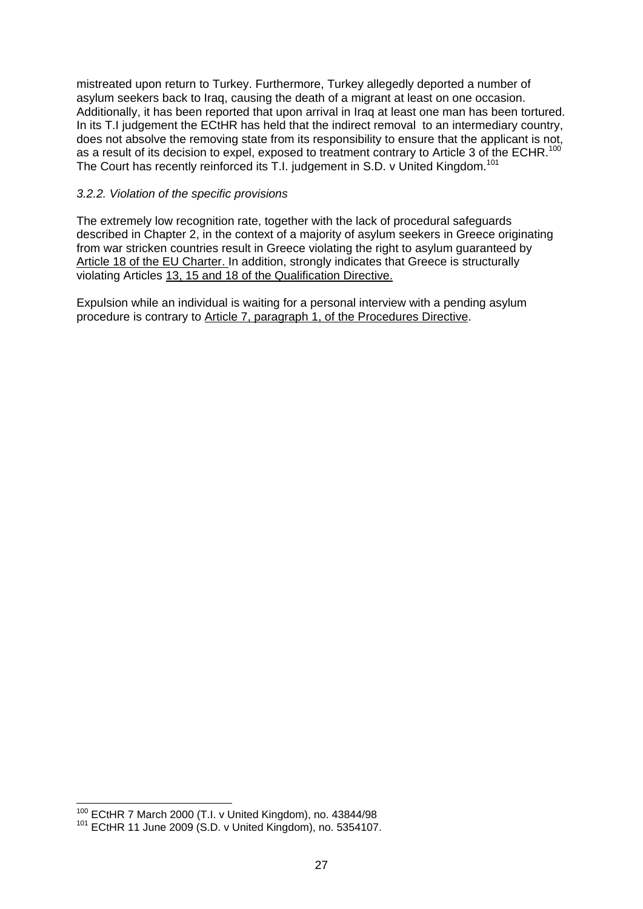mistreated upon return to Turkey. Furthermore, Turkey allegedly deported a number of asylum seekers back to Iraq, causing the death of a migrant at least on one occasion. Additionally, it has been reported that upon arrival in Iraq at least one man has been tortured. In its T.I judgement the ECtHR has held that the indirect removal to an intermediary country, does not absolve the removing state from its responsibility to ensure that the applicant is not, as a result of its decision to expel, exposed to treatment contrary to Article 3 of the ECHR.<sup>100</sup> The Court has recently reinforced its T.I. judgement in S.D. v United Kingdom.<sup>101</sup>

## 3.2.2. Violation of the specific provisions

The extremely low recognition rate, together with the lack of procedural safeguards described in Chapter 2, in the context of a majority of asylum seekers in Greece originating from war stricken countries result in Greece violating the right to asylum guaranteed by Article 18 of the EU Charter. In addition, strongly indicates that Greece is structurally violating Articles 13, 15 and 18 of the Qualification Directive.

Expulsion while an individual is waiting for a personal interview with a pending asylum procedure is contrary to Article 7, paragraph 1, of the Procedures Directive.

 $100$  ECtHR 7 March 2000 (T.I. v United Kingdom), no. 43844/98

<sup>101</sup> ECtHR 11 June 2009 (S.D. v United Kingdom), no. 5354107.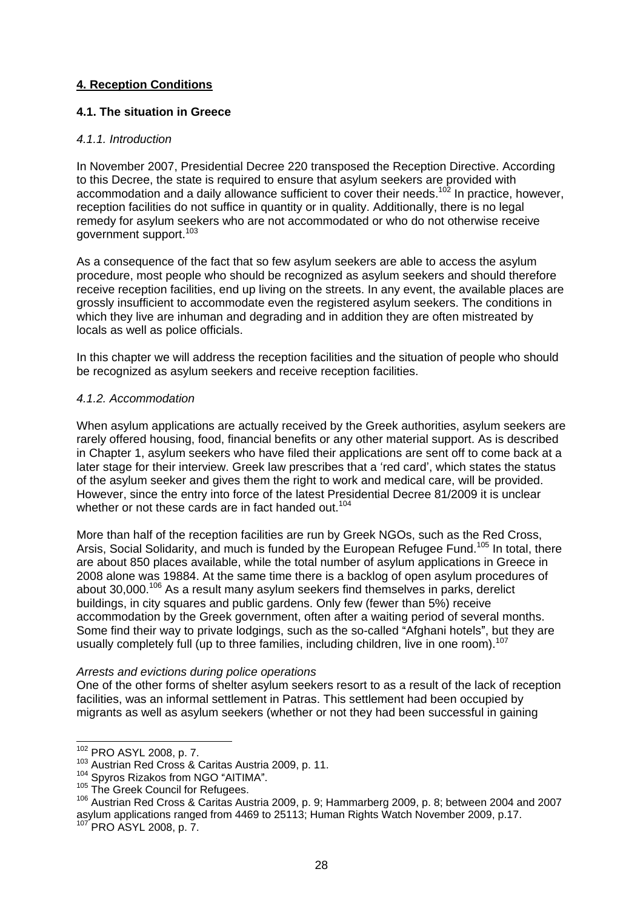## **4. Reception Conditions**

## **4.1. The situation in Greece**

## 4.1.1. Introduction

In November 2007, Presidential Decree 220 transposed the Reception Directive. According to this Decree, the state is required to ensure that asylum seekers are provided with accommodation and a daily allowance sufficient to cover their needs.<sup>102</sup> In practice, however, In practice, however, reception facilities do not suffice in quantity or in quality. Additionally, there is no legal remedy for asylum seekers who are not accommodated or who do not otherwise receive government support.<sup>103</sup> government support.<sup>103</sup><br>
<sub>government support.<sup>103</sup></sub>

As a consequence of the fact that so few asylum seekers are able to access the asylum procedure, most people who should be recognized as asylum seekers and should therefore receive reception facilities, end up living on the streets. In any event, the available places are grossly insufficient to accommodate even the registered asylum seekers. The conditions in which they live are inhuman and degrading and in addition they are often mistreated by locals as well as police officials.

In this chapter we will address the reception facilities and the situation of people who should be recognized as asylum seekers and receive reception facilities.

## 4.1.2. Accommodation

When asylum applications are actually received by the Greek authorities, asylum seekers are rarely offered housing, food, financial benefits or any other material support. As is described in Chapter 1, asylum seekers who have filed their applications are sent off to come back at a later stage for their interview. Greek law prescribes that a 'red card', which states the status of the asylum seeker and gives them the right to work and medical care, will be provided. However, since the entry into force of the latest Presidential Decree 81/2009 it is unclear whether or not these cards are in fact handed out.<sup>104</sup>

More than half of the reception facilities are run by Greek NGOs, such as the Red Cross, Arsis, Social Solidarity, and much is funded by the European Refugee Fund.<sup>105</sup> In total. there In total, there are about 850 places available, while the total number of asylum applications in Greece in 2008 alone was 19884. At the same time there is a backlog of open asylum procedures of about 30,000.<sup>106</sup> As a result many asylum seekers find themselves in parks, derelict buildings, in city squares and public gardens. Only few (fewer than 5%) receive accommodation by the Greek government, often after a waiting period of several months. Some find their way to private lodgings, such as the so-called "Afghani hotels", but they are usually completely full (up to three families, including children, live in one room).<sup>107</sup>

## Arrests and evictions during police operations

One of the other forms of shelter asylum seekers resort to as a result of the lack of reception facilities, was an informal settlement in Patras. This settlement had been occupied by migrants as well as asylum seekers (whether or not they had been successful in gaining

<sup>&</sup>lt;sup>102</sup> PRO ASYL 2008, p. 7.<br><sup>103</sup> Austrian Red Cross & Caritas Austria 2009, p. 11.<br><sup>104</sup> Spyros Rizakos from NGO "AITIMA".<br><sup>105</sup> The Greek Council for Refugees.<br><sup>106</sup> Austrian Red Cross & Caritas Austria 2009, p. 9; Hammar asylum applications ranged from 4469 to 25113; Human Rights Watch November 2009, p.17.<br><sup>107</sup> PRO ASYL 2008, p. 7.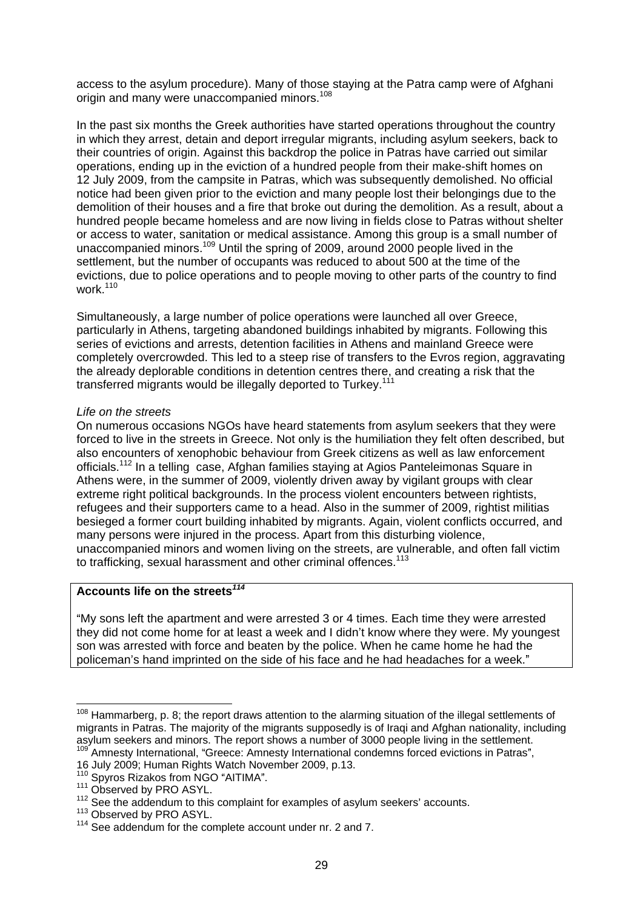access to the asylum procedure). Many of those staying at the Patra camp were of Afghani origin and many were unaccompanied minors.<sup>108</sup>

In the past six months the Greek authorities have started operations throughout the country in which they arrest, detain and deport irregular migrants, including asylum seekers, back to their countries of origin. Against this backdrop the police in Patras have carried out similar operations, ending up in the eviction of a hundred people from their make-shift homes on 12 July 2009, from the campsite in Patras, which was subsequently demolished. No official notice had been given prior to the eviction and many people lost their belongings due to the demolition of their houses and a fire that broke out during the demolition. As a result, about a hundred people became homeless and are now living in fields close to Patras without shelter or access to water, sanitation or medical assistance. Among this group is a small number of unaccompanied minors.<sup>109</sup> Until the spring of 2009, around 2000 people lived in the settlement, but the number of occupants was reduced to about 500 at the time of the evictions, due to police operations and to people moving to other parts of the country to find<br>work.<sup>110</sup>  $\text{work.}^{110}$ 

Simultaneously, a large number of police operations were launched all over Greece, particularly in Athens, targeting abandoned buildings inhabited by migrants. Following this series of evictions and arrests, detention facilities in Athens and mainland Greece were completely overcrowded. This led to a steep rise of transfers to the Evros region, aggravating the already deplorable conditions in detention centres there, and creating a risk that the transferred migrants would be illegally deported to Turkey.<sup>111</sup>

## Life on the streets

On numerous occasions NGOs have heard statements from asylum seekers that they were forced to live in the streets in Greece. Not only is the humiliation they felt often described, but also encounters of xenophobic behaviour from Greek citizens as well as law enforcement officials.<sup>112</sup> In a telling case, Afghan families staying at Agios Panteleimonas Square in Athens were, in the summer of 2009, violently driven away by vigilant groups with clear extreme right political backgrounds. In the process violent encounters between rightists, refugees and their supporters came to a head. Also in the summer of 2009, rightist militias besieged a former court building inhabited by migrants. Again, violent conflicts occurred, and many persons were injured in the process. Apart from this disturbing violence, unaccompanied minors and women living on the streets, are vulnerable, and often fall victim to trafficking, sexual harassment and other criminal offences.<sup>113</sup>

#### **Accounts life on the streets 114**

My sons left the apartment and were arrested 3 or 4 times. Each time they were arrested they did not come home for at least a week and I didn't know where they were. My youngest son was arrested with force and beaten by the police. When he came home he had the policeman's hand imprinted on the side of his face and he had headaches for a week."

<sup>&</sup>lt;sup>108</sup> Hammarberg, p. 8; the report draws attention to the alarming situation of the illegal settlements of migrants in Patras. The majority of the migrants supposedly is of Iraqi and Afghan nationality, including asylum seekers and minors. The report shows a number of 3000 people living in the settlement.<br>
<sup>109</sup> Amnesty International, "Greece: Amnesty International condemns forced evictions in Patras",<br>
16 July 2009; Human Rights W

<sup>16</sup> July 2009; Human Rights Watch November 2009, p.13.<br><sup>110</sup> Spyros Rizakos from NGO "AITIMA".<br><sup>111</sup> Observed by PRO ASYL.<br><sup>112</sup> See the addendum to this complaint for examples of asylum seekers' accounts.<br><sup>113</sup> Observed by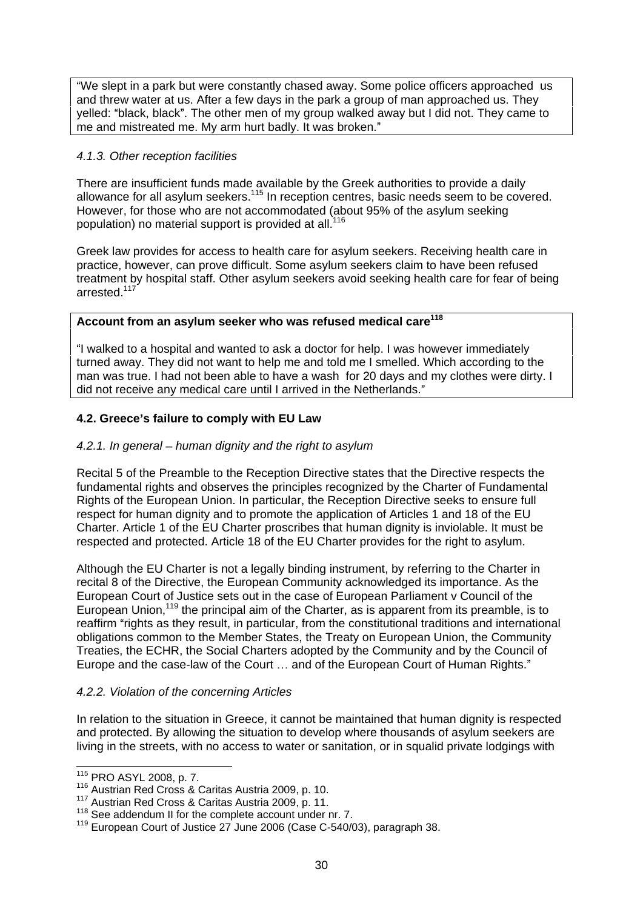We slept in a park but were constantly chased away. Some police officers approached us and threw water at us. After a few days in the park a group of man approached us. They yelled: "black, black". The other men of my group walked away but I did not. They came to me and mistreated me. My arm hurt badly. It was broken.

## 4.1.3. Other reception facilities

There are insufficient funds made available by the Greek authorities to provide a daily allowance for all asylum seekers.<sup>115</sup> In reception centres, basic needs seem to be covered. However, for those who are not accommodated (about 95% of the asylum seeking population) no material support is provided at all.<sup>116</sup>

Greek law provides for access to health care for asylum seekers. Receiving health care in practice, however, can prove difficult. Some asylum seekers claim to have been refused treatment by hospital staff. Other asylum seekers avoid seeking health care for fear of being<br>arrested.<sup>117</sup> arrested.<sup>117</sup>

#### **Account from an asylum seeker who was refused medical care 118**

"I walked to a hospital and wanted to ask a doctor for help. I was however immediately turned away. They did not want to help me and told me I smelled. Which according to the man was true. I had not been able to have a wash for 20 days and my clothes were dirty. I did not receive any medical care until I arrived in the Netherlands."

## **4.2. Greece s failure to comply with EU Law**

## 4.2.1. In general – human dignity and the right to asylum

Recital 5 of the Preamble to the Reception Directive states that the Directive respects the fundamental rights and observes the principles recognized by the Charter of Fundamental Rights of the European Union. In particular, the Reception Directive seeks to ensure full respect for human dignity and to promote the application of Articles 1 and 18 of the EU Charter. Article 1 of the EU Charter proscribes that human dignity is inviolable. It must be respected and protected. Article 18 of the EU Charter provides for the right to asylum.

Although the EU Charter is not a legally binding instrument, by referring to the Charter in recital 8 of the Directive, the European Community acknowledged its importance. As the European Court of Justice sets out in the case of European Parliament v Council of the European Union,<sup>119</sup> the principal aim of the Charter, as is apparent from its preamble, is to reaffirm "rights as they result, in particular, from the constitutional traditions and international obligations common to the Member States, the Treaty on European Union, the Community Treaties, the ECHR, the Social Charters adopted by the Community and by the Council of Europe and the case-law of the Court ... and of the European Court of Human Rights."

## 4.2.2. Violation of the concerning Articles

In relation to the situation in Greece, it cannot be maintained that human dignity is respected and protected. By allowing the situation to develop where thousands of asylum seekers are living in the streets, with no access to water or sanitation, or in squalid private lodgings with

<sup>&</sup>lt;sup>115</sup> PRO ASYL 2008, p. 7.<br><sup>116</sup> Austrian Red Cross & Caritas Austria 2009, p. 10.<br><sup>117</sup> Austrian Red Cross & Caritas Austria 2009, p. 11.<br><sup>118</sup> See addendum II for the complete account under nr. 7.<br><sup>119</sup> European Court of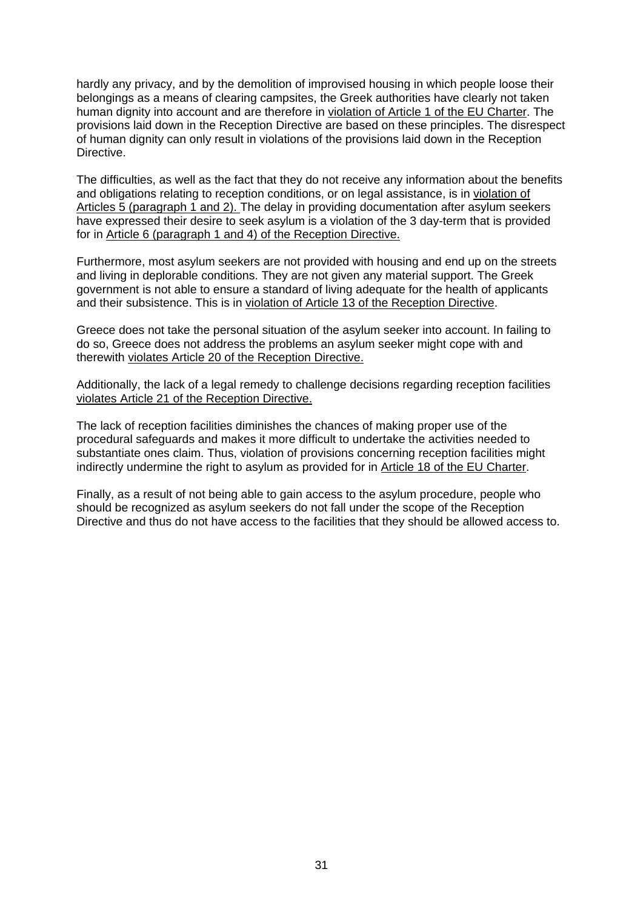hardly any privacy, and by the demolition of improvised housing in which people loose their belongings as a means of clearing campsites, the Greek authorities have clearly not taken human dignity into account and are therefore in violation of Article 1 of the EU Charter. The provisions laid down in the Reception Directive are based on these principles. The disrespect of human dignity can only result in violations of the provisions laid down in the Reception **Directive.** The contract of the contract of the contract of the contract of the contract of the contract of the contract of the contract of the contract of the contract of the contract of the contract of the contract of t

The difficulties, as well as the fact that they do not receive any information about the benefits and obligations relating to reception conditions, or on legal assistance, is in violation of Articles 5 (paragraph 1 and 2). The delay in providing documentation after asylum seekers have expressed their desire to seek asylum is a violation of the 3 day-term that is provided for in Article 6 (paragraph 1 and 4) of the Reception Directive.

Furthermore, most asylum seekers are not provided with housing and end up on the streets and living in deplorable conditions. They are not given any material support. The Greek government is not able to ensure a standard of living adequate for the health of applicants and their subsistence. This is in violation of Article 13 of the Reception Directive.

Greece does not take the personal situation of the asylum seeker into account. In failing to do so, Greece does not address the problems an asylum seeker might cope with and therewith violates Article 20 of the Reception Directive.

Additionally, the lack of a legal remedy to challenge decisions regarding reception facilities violates Article 21 of the Reception Directive.

The lack of reception facilities diminishes the chances of making proper use of the procedural safeguards and makes it more difficult to undertake the activities needed to substantiate ones claim. Thus, violation of provisions concerning reception facilities might indirectly undermine the right to asylum as provided for in Article 18 of the EU Charter.

Finally, as a result of not being able to gain access to the asylum procedure, people who should be recognized as asylum seekers do not fall under the scope of the Reception Directive and thus do not have access to the facilities that they should be allowed access to.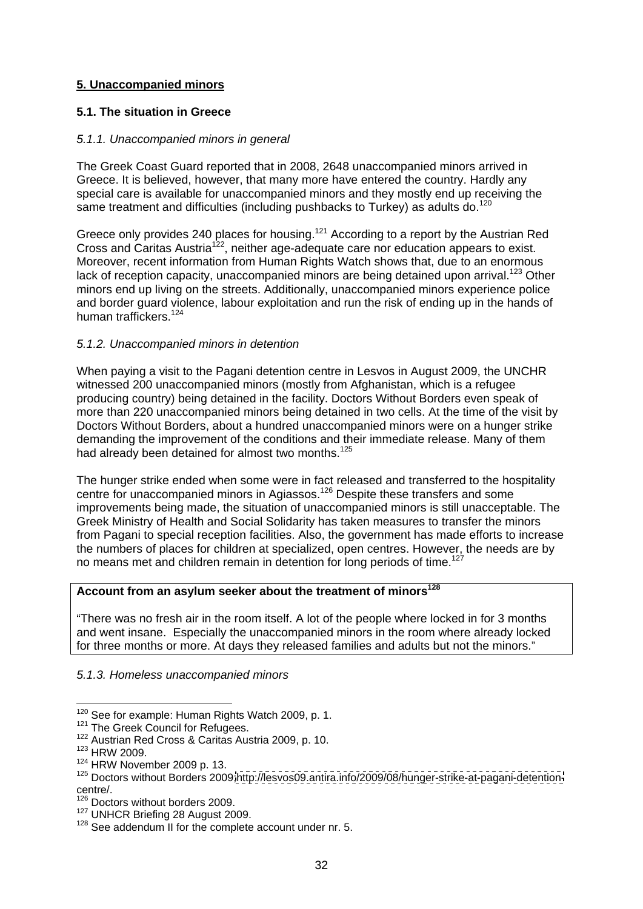## **5. Unaccompanied minors**

## **5.1. The situation in Greece**

## 5.1.1. Unaccompanied minors in general

The Greek Coast Guard reported that in 2008, 2648 unaccompanied minors arrived in Greece. It is believed, however, that many more have entered the country. Hardly any special care is available for unaccompanied minors and they mostly end up receiving the same treatment and difficulties (including pushbacks to Turkey) as adults do.<sup>120</sup>

Greece only provides 240 places for housing.<sup>121</sup> According to a report by the Austrian Red Cross and Caritas Austria<sup>122</sup>, neither age-adequate care nor education appears to exist. Moreover, recent information from Human Rights Watch shows that, due to an enormous lack of reception capacity, unaccompanied minors are being detained upon arrival.<sup>123</sup> Other minors end up living on the streets. Additionally, unaccompanied minors experience police and border guard violence, labour exploitation and run the risk of ending up in the hands of human traffickers  $124$ human traffickers.<sup>124</sup> and the set of the set of the set of the set of the set of the set of the set of the set of the set of the set of the set of the set of the set of the set of the set of the set of the set of the set

## 5.1.2. Unaccompanied minors in detention

When paying a visit to the Pagani detention centre in Lesvos in August 2009, the UNCHR witnessed 200 unaccompanied minors (mostly from Afghanistan, which is a refugee producing country) being detained in the facility. Doctors Without Borders even speak of more than 220 unaccompanied minors being detained in two cells. At the time of the visit by Doctors Without Borders, about a hundred unaccompanied minors were on a hunger strike demanding the improvement of the conditions and their immediate release. Many of them had already been detained for almost two months.<sup>125</sup>

The hunger strike ended when some were in fact released and transferred to the hospitality centre for unaccompanied minors in Agiassos.<sup>126</sup> Despite these transfers and some improvements being made, the situation of unaccompanied minors is still unacceptable. The Greek Ministry of Health and Social Solidarity has taken measures to transfer the minors from Pagani to special reception facilities. Also, the government has made efforts to increase the numbers of places for children at specialized, open centres. However, the needs are by no means met and children remain in detention for long periods of time.<sup>127</sup>

#### **Account from an asylum seeker about the treatment of minors 128**

"There was no fresh air in the room itself. A lot of the people where locked in for 3 months and went insane. Especially the unaccompanied minors in the room where already locked for three months or more. At days they released families and adults but not the minors.

## 5.1.3. Homeless unaccompanied minors

<sup>&</sup>lt;sup>120</sup> See for example: Human Rights Watch 2009, p. 1.<br><sup>121</sup> The Greek Council for Refugees.<br><sup>122</sup> Austrian Red Cross & Caritas Austria 2009, p. 10.<br><sup>123</sup> HRW November 2009 p. 13.<br><sup>124</sup> HRW November 2009 p. 13.<br><sup>125</sup> Doctor centre/.<br><sup>126</sup> Doctors without borders 2009.<br><sup>127</sup> UNHCR Briefing 28 August 2009.<br><sup>128</sup> See addendum II for the complete account under nr. 5.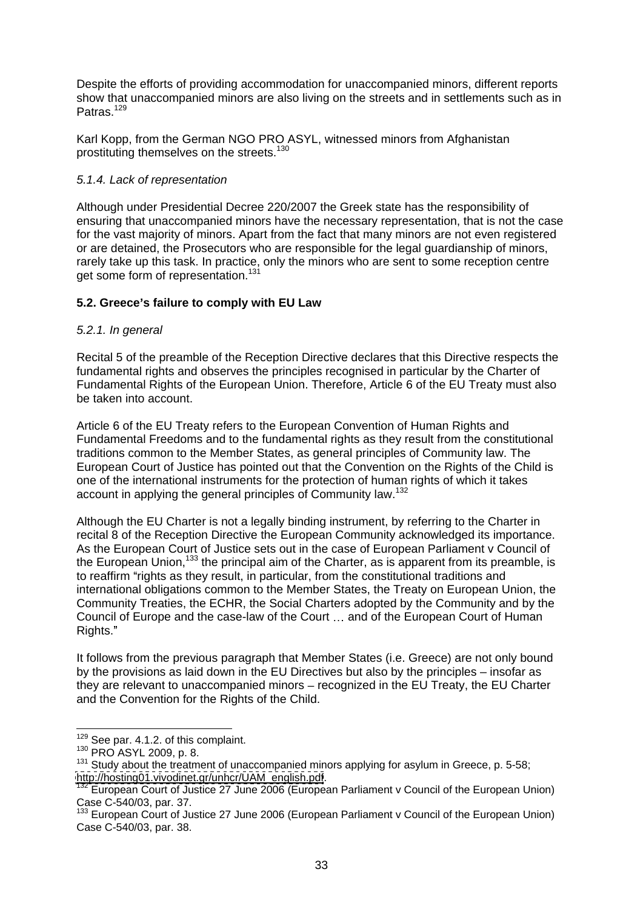Despite the efforts of providing accommodation for unaccompanied minors, different reports show that unaccompanied minors are also living on the streets and in settlements such as in Patras.<sup>129</sup> Patras.<sup>129</sup> and the set of the set of the set of the set of the set of the set of the set of the set of the set of the set of the set of the set of the set of the set of the set of the set of the set of the set of the set

Karl Kopp, from the German NGO PRO ASYL, witnessed minors from Afghanistan prostituting themselves on the streets.<sup>130</sup>

## 5.1.4. Lack of representation

Although under Presidential Decree 220/2007 the Greek state has the responsibility of ensuring that unaccompanied minors have the necessary representation, that is not the case for the vast majority of minors. Apart from the fact that many minors are not even registered or are detained, the Prosecutors who are responsible for the legal guardianship of minors, rarely take up this task. In practice, only the minors who are sent to some reception centre get some form of representation.<sup>131</sup> get some form of representation.<sup>131</sup> and the state of the state of the state of the state of the state of the state of the state of the state of the state of the state of the state of the state of the state of the state o

## **5.2. Greece s failure to comply with EU Law**

## 5.2.1. In general

Recital 5 of the preamble of the Reception Directive declares that this Directive respects the fundamental rights and observes the principles recognised in particular by the Charter of Fundamental Rights of the European Union. Therefore, Article 6 of the EU Treaty must also be taken into account.

Article 6 of the EU Treaty refers to the European Convention of Human Rights and Fundamental Freedoms and to the fundamental rights as they result from the constitutional traditions common to the Member States, asgeneral principles of Community law. The European Court of Justice has pointed out that the Convention on the Rights of the Child is one of the international instruments for the protection of human rights of which it takes account in applying the general principles of Community law.<sup>132</sup>

Although the EU Charter is not a legally binding instrument, by referring to the Charter in recital 8 of the Reception Directive the European Community acknowledged its importance. As the European Court of Justice sets out in the case of European Parliament v Council of the European Union,<sup>133</sup> the principal aim of the Charter, as is apparent from its preamble, is to reaffirm "rights as they result, in particular, from the constitutional traditions and international obligations common to the Member States, the Treaty on European Union, the Community Treaties, the ECHR, the Social Charters adopted by the Community and by the Council of Europe and the case-law of the Court ... and of the European Court of Human Rights." And the contract of the contract of the contract of the contract of the contract of the contract of the contract of the contract of the contract of the contract of the contract of the contract of the contract of t

It follows from the previous paragraph that Member States (i.e. Greece) are not only bound by the provisions as laid down in the EU Directives but also by the principles  $-$  insofar as they are relevant to unaccompanied minors - recognized in the EU Treaty, the EU Charter and the Convention for the Rights of the Child.

<sup>&</sup>lt;sup>129</sup> See par. 4.1.2. of this complaint.<br><sup>130</sup> PRO ASYL 2009, p. 8.<br><sup>131</sup> Study about the treatment of unaccompanied minors applying for asylum in Greece, p. 5-58; <sup>131</sup> Study about the treatment of unaccompanied minors applying for asylum in Greece, p. 5-58;<br>[http://hosting01.vivodinet.gr/unhcr/UAM\\_english.pdf](http://hosting01.vivodinet.gr/unhcr/UAM_english.pdf).<br><sup>132</sup> European Court of Justice 27 June 2006 (European Parliament v Coun

Case C-540/03, par. 37.<br><sup>133</sup> European Court of Justice 27 June 2006 (European Parliament v Council of the European Union)

Case C-540/03, par. 38.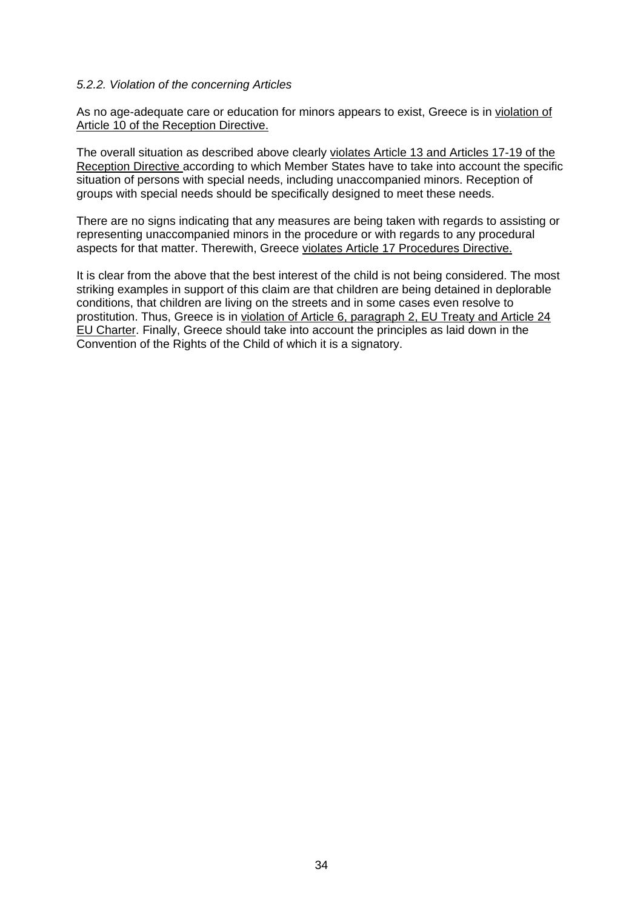## 5.2.2. Violation of the concerning Articles

As no age-adequate care or education for minors appears to exist, Greece is in violation of Article 10 of the Reception Directive.

The overall situation as described above clearly violates Article 13 and Articles 17-19 of the Reception Directive according to which Member States have to take into account the specific situation of persons with special needs, including unaccompanied minors. Reception of groups with special needs should be specifically designed to meet these needs.

There are no signs indicating that any measures are being taken with regards to assisting or representing unaccompanied minors in the procedure or with regards to any procedural aspects for that matter. Therewith, Greece violates Article 17 Procedures Directive.

It is clear from the above that the best interest of the child is not being considered. The most striking examples in support of this claim are that children are being detained in deplorable conditions, that children are living on the streets and in some cases even resolve to prostitution. Thus, Greece is in violation of Article 6, paragraph 2, EU Treaty and Article 24 EU Charter. Finally, Greece should take into account the principles as laid down in the Convention of the Rights of the Child of which it is a signatory.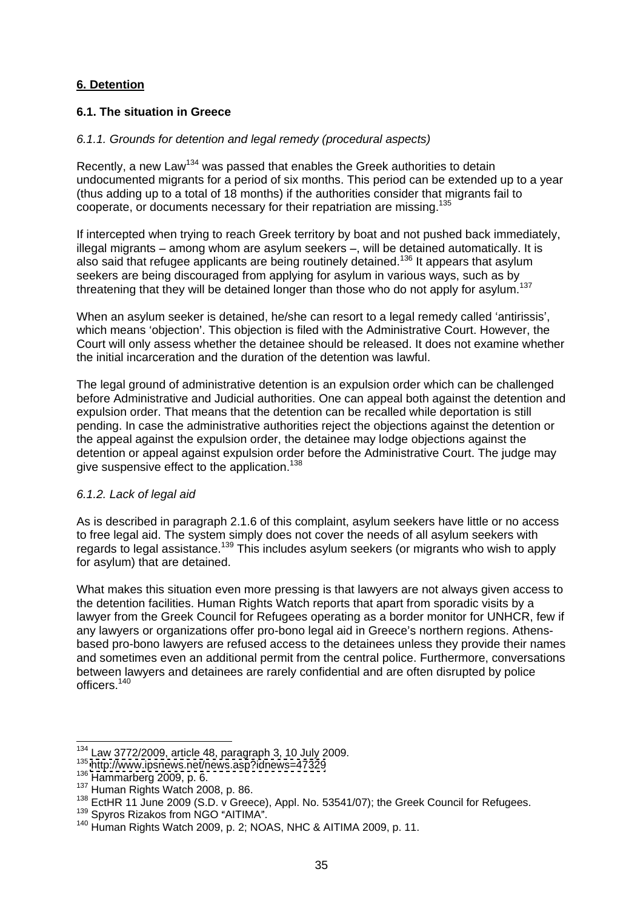## **6. Detention**

## **6.1. The situation in Greece**

## 6.1.1. Grounds for detention and legal remedy (procedural aspects)

Recently, a new Law<sup>134</sup> was passed that enables the Greek authorities to detain undocumented migrants for a period of six months. This period can be extended up to a year (thus adding up to a total of 18 months) if the authorities consider that migrants fail to cooperate, or documents necessary for their repatriation are missing.135

If intercepted when trying to reach Greek territory by boat and not pushed back immediately, illegal migrants  $-$  among whom are asylum seekers  $-$ , will be detained automatically. It is also said that refugee applicants are being routinely detained.<sup>136</sup> It appears that asylum It appears that asylum seekers are being discouraged from applying for asylum in various ways, such as by threatening that they will be detained longer than those who do not apply for asylum.<sup>137</sup>

When an asylum seeker is detained, he/she can resort to a legal remedy called 'antirissis', which means 'objection'. This objection is filed with the Administrative Court. However, the Court will only assess whether the detainee should be released. It does not examine whether the initial incarceration and the duration of the detention was lawful.

The legal ground of administrative detention is an expulsion order which can be challenged before Administrative and Judicial authorities. One can appeal both against the detention and expulsion order. That means that the detention can be recalled while deportation is still pending. In case the administrative authorities reject the objections against the detention or the appeal against the expulsion order, the detainee may lodge objections against the detention or appeal against expulsion order before the Administrative Court. The judge may give suspensive effect to the application.<sup>138</sup>

## 6.1.2. Lack of legal aid

As is described in paragraph 2.1.6 of this complaint, asylum seekers have little or no access to free legal aid. The system simply does not cover the needs of all asylum seekers with regards to legal assistance.<sup>139</sup> This includes asylum seekers (or migrants who wish to apply for asylum) that are detained.

What makes this situation even more pressing is that lawyers are not always given access to the detention facilities. Human Rights Watch reports that apart from sporadic visits by a lawyer from the Greek Council for Refugees operating as a border monitor for UNHCR, few if any lawyers or organizations offer pro-bono legal aid in Greece's northern regions. Athensbased pro-bono lawyers are refused access to the detainees unless they provide their names and sometimes even an additional permit from the central police. Furthermore, conversations between lawyers and detainees are rarely confidential and are often disrupted by police officers.<sup>140</sup> officers.<sup>140</sup>

<sup>&</sup>lt;sup>134</sup> Law 3772/2009, article 48, paragraph 3, 10 July 2009.<br><sup>135</sup> http://www.jpapove.net/pove.con?idpove\_47220.

 $\frac{135}{136}$  <http://www.ipsnews.net/news.asp?idnews=47329><br> $\frac{136}{136}$  Hammarberg 2009, p. 6.

<sup>&</sup>lt;sup>136</sup> Hammarberg 2009, p. 6.<br><sup>137</sup> Human Rights Watch 2008, p. 86.<br><sup>138</sup> EctHR 11 June 2009 (S.D. v Greece), Appl. No. 53541/07); the Greek Council for Refugees.<br><sup>138</sup> Spyros Rizakos from NGO "AITIMA".<br><sup>140</sup> Human Rights W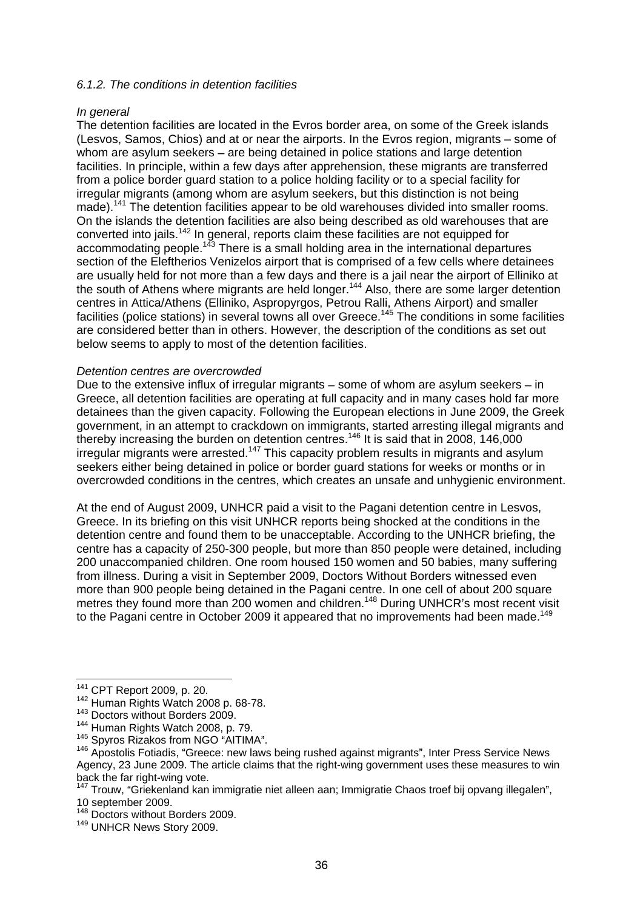## 6.1.2. The conditions in detention facilities

## In general

The detention facilities are located in the Evros border area, on some of the Greek islands  $($ Lesvos, Samos, Chios) and at or near the airports. In the Evros region, migrants  $-$  some of whom are asylum seekers – are being detained in police stations and large detention facilities. In principle, within a few days after apprehension, these migrants are transferred from a police border guard station to a police holding facility or to a special facility for irregular migrants (among whom are asylum seekers, but this distinction is not being made).<sup>141</sup> The detention facilities appear to be old warehouses divided into smaller rooms. On the islands the detention facilities are also being described as old warehouses that are converted into jails.<sup>142</sup> In general, reports claim these facilities are not equipped for accommodating people.143 There is a small holding area in the international departures section of the Eleftherios Venizelos airport that is comprised of a few cells where detainees are usually held for not more than a few days and there is a jail near the airport of Elliniko at the south of Athens where migrants are held longer.<sup>144</sup> Also, there are some larger detention centres in Attica/Athens (Elliniko, Aspropyrgos, Petrou Ralli, Athens Airport) and smaller facilities (police stations) in several towns all over Greece.<sup>145</sup> The conditions in some facilities are considered better than in others. However, the description of the conditions as set out below seems to apply to most of the detention facilities.

### Detention centres are overcrowded

Due to the extensive influx of irregular migrants  $-$  some of whom are asylum seekers  $-$  in Greece, all detention facilities are operating at full capacity and in many cases hold far more detainees than the given capacity. Following the European elections in June 2009, the Greek government, in an attempt to crackdown on immigrants, started arresting illegal migrants and thereby increasing the burden on detention centres.<sup>146</sup> It is said that in 2008, 146,000  $irregular$  migrants were arrested.<sup>147</sup> This capacity problem results in migrants and asylum seekers either being detained in police or border guard stations for weeks or months or in overcrowded conditions in the centres, which creates an unsafe and unhygienic environment.

At the end of August 2009, UNHCR paid a visit to the Pagani detention centre in Lesvos, Greece. In its briefing on this visit UNHCR reports being shocked at the conditions in the detention centre and found them to be unacceptable. According to the UNHCR briefing, the centre has a capacity of 250-300 people, but more than 850 people were detained, including 200 unaccompanied children. One room housed 150 women and 50 babies, many suffering from illness. During a visit in September 2009, Doctors Without Borders witnessed even more than 900 people being detained in the Pagani centre. In one cell of about 200 square metres they found more than 200 women and children.<sup>148</sup> During UNHCR's most recent visit to the Pagani centre in October 2009 it appeared that no improvements had been made.<sup>149</sup>

<sup>&</sup>lt;sup>141</sup> CPT Report 2009, p. 20.<br><sup>142</sup> Human Rights Watch 2008 p. 68-78.<br><sup>143</sup> Doctors without Borders 2009.<br><sup>145</sup> Spyros Rizakos from NGO "AITIMA".<br><sup>146</sup> Apostolis Fotiadis, "Greece: new laws being rushed against migrants", Agency, 23 June 2009. The article claims that the right-wing government uses these measures to win back the far right-wing vote.<br><sup>147</sup> Trouw, "Griekenland kan immigratie niet alleen aan; Immigratie Chaos troef bij opvang illegalen",

<sup>10</sup> september 2009.<br><sup>148</sup> Doctors without Borders 2009.<br><sup>149</sup> UNHCR News Story 2009.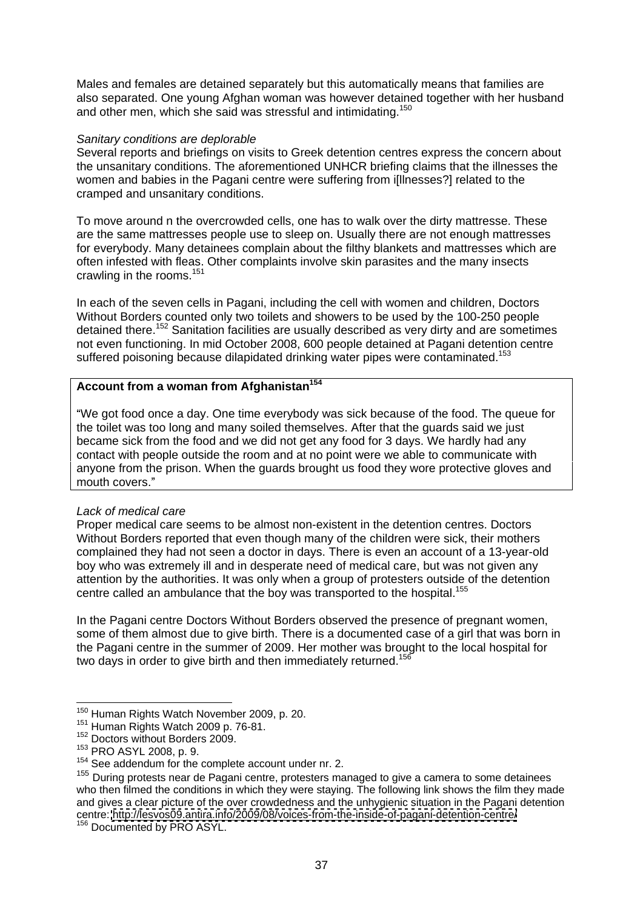Males and females are detained separately but this automatically means that families are also separated. One young Afghan woman was however detained together with her husband and other men, which she said was stressful and intimidating.<sup>150</sup>

### Sanitary conditions are deplorable

Several reports and briefings on visits to Greek detention centres express the concern about the unsanitary conditions. The aforementioned UNHCR briefing claims that the illnesses the women and babies in the Pagani centre were suffering from i[llnesses?] related to the cramped and unsanitary conditions.

To move around n the overcrowded cells, one has to walk over the dirty mattresse. These are the same mattresses people use to sleep on. Usually there are not enough mattresses for everybody. Many detainees complain about the filthy blankets and mattresses which are often infested with fleas. Other complaints involve skin parasites and the many insects crawling in the rooms.<sup>151</sup> crawling in the rooms.<sup>151</sup> and the rooms of the results of the rooms of the rooms of the rooms of the rooms of the rooms of the rooms of the rooms of the rooms of the rooms of the rooms of the rooms of the rooms of the ro

In each of the seven cells in Pagani, including the cell with women and children, Doctors Without Borders counted only two toilets and showers to be used by the 100-250 people detained there.<sup>152</sup> Sanitation facilities are usually described as very dirty and are sometimes not even functioning. In mid October 2008, 600 people detained at Pagani detention centre suffered poisoning because dilapidated drinking water pipes were contaminated.<sup>153</sup>

#### **Account from a woman from Afghanistan 154**

We got food once a day. One time everybody was sick because of the food. The queue for the toilet was too long and many soiled themselves. After that the guards said we just became sick from the food and we did not get any food for 3 days. We hardly had any contact with people outside the room and at no point were we able to communicate with anyone from the prison. When the guards brought us food they wore protective gloves and mouth covers." The covers of the contract of the contract of the contract of the contract of the contract of the contract of the contract of the contract of the contract of the contract of the contract of the contract of t

## Lack of medical care

Proper medical care seems to be almost non-existent in the detention centres. Doctors Without Borders reported that even though many of the children were sick, their mothers complained they had not seen a doctor in days. There is even an account of a 13-year-old boy who was extremely ill and in desperate need of medical care, but was not given any attention by the authorities. It was only when a group of protesters outside of the detention centre called an ambulance that the boy was transported to the hospital.<sup>155</sup>

In the Pagani centre Doctors Without Borders observed the presence of pregnant women, some of them almost due to give birth. There is a documented case of a girl that was born in the Pagani centre in the summer of 2009. Her mother was brought to the local hospital for two days in order to give birth and then immediately returned.<sup>156</sup>

<sup>&</sup>lt;sup>150</sup> Human Rights Watch November 2009, p. 20.<br><sup>151</sup> Human Rights Watch 2009 p. 76-81.<br><sup>152</sup> Doctors without Borders 2009.<br><sup>152</sup> PRO ASYL 2008, p. 9.<br><sup>154</sup> See addendum for the complete account under nr. 2.<br><sup>155</sup> During pr who then filmed the conditions in which they were staying. The following link shows the film they made and gives a clear picture of the over crowdedness and the unhygienic situation in the Pagani detention centre: <http://lesvos09.antira.info/2009/08/voices-from-the-inside-of-pagani-detention-centre/><br><sup>156</sup> Documented by PRO ASYL.

<sup>156</sup> Documented by PRO ASYL.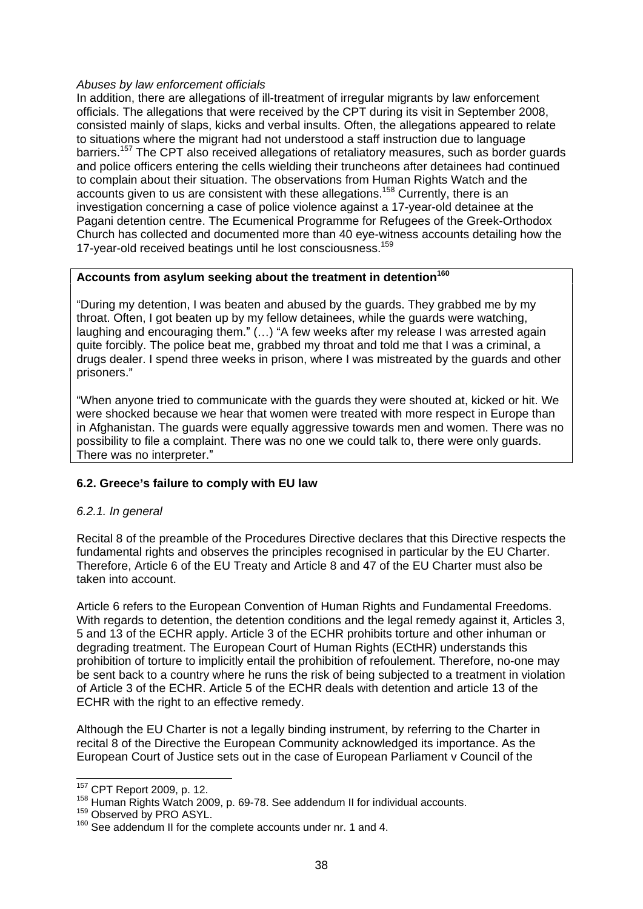## Abuses by law enforcement officials

In addition, there are allegations of ill-treatment of irregular migrants by law enforcement officials. The allegations that were received by the CPT during its visit in September 2008, consisted mainly of slaps, kicks and verbal insults. Often, the allegations appeared to relate to situations where the migrant had not understood a staff instruction due to language barriers.<sup>157</sup> The CPT also received allegations of retaliatory measures, such as border guards and police officers entering the cells wielding their truncheons after detainees had continued to complain about their situation. The observations from Human Rights Watch and the accounts given to us are consistent with these allegations.<sup>158</sup> Currently, there is an investigation concerning a case of police violence against a 17-year-old detainee at the Pagani detention centre. The Ecumenical Programme for Refugees of the Greek-Orthodox Church has collected and documented more than 40 eye-witness accounts detailing how the 17-year-old received beatings until he lost consciousness.<sup>159</sup>

#### **Accounts from asylum seeking about the treatment in detention 160**

During my detention, I was beaten and abused by the guards. They grabbed me by my throat. Often, I got beaten up by my fellow detainees, while the guards were watching, laughing and encouraging them." (...) "A few weeks after my release I was arrested again quite forcibly. The police beat me, grabbed my throat and told me that I was a criminal, a drugs dealer. I spend three weeks in prison, where I was mistreated by the guards and other prisoners." The contract of the contract of the contract of the contract of the contract of the contract of the contract of the contract of the contract of the contract of the contract of the contract of the contract of th

When anyone tried to communicate with the guards they were shouted at, kicked or hit. We were shocked because we hear that women were treated with more respect in Europe than in Afghanistan. The guards were equally aggressive towards men and women. There was no possibility to file a complaint. There was no one we could talk to, there were onlyguards. There was no interpreter." There was no interpreter."

## **6.2. Greece s failure to comply with EU law**

## 6.2.1. In general

Recital 8 of the preamble of the Procedures Directive declares that this Directive respects the fundamental rights and observes the principles recognised in particular by the EU Charter. Therefore, Article 6 of the EU Treaty and Article 8 and 47 of the EU Charter must also be taken into account.

Article 6 refers to the European Convention of Human Rights and Fundamental Freedoms. With regards to detention, the detention conditions and the legal remedy against it, Articles 3, 5 and 13 of the ECHR apply. Article 3 of the ECHR prohibits torture and other inhuman or degrading treatment. The European Court of Human Rights (ECtHR) understands this prohibition of torture to implicitly entail the prohibition of refoulement. Therefore, no-one may be sent back to a country where he runs the risk of being subjected to a treatment in violation of Article 3 of the ECHR. Article 5 of the ECHR deals with detention and article 13 of the ECHR with the right to an effective remedy.

Although the EU Charter is not a legally binding instrument, by referring to the Charter in recital 8 of the Directive the European Community acknowledged its importance. As the European Court of Justice sets out in the case of European Parliament v Council of the

<sup>&</sup>lt;sup>157</sup> CPT Report 2009, p. 12.<br><sup>158</sup> Human Rights Watch 2009, p. 69-78. See addendum II for individual accounts.<br><sup>159</sup> Observed by PRO ASYL.<br><sup>160</sup> See addendum II for the complete accounts under nr. 1 and 4.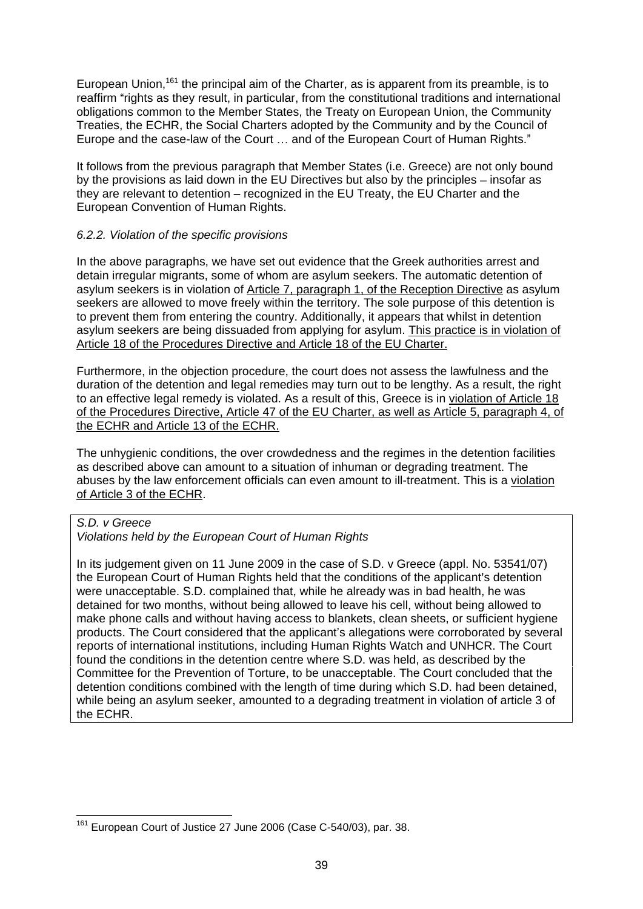European Union,<sup>161</sup> the principal aim of the Charter, as is apparent from its preamble, is to reaffirm "rights as they result, in particular, from the constitutional traditions and international obligations common to the Member States, the Treaty on European Union, the Community Treaties, the ECHR, the Social Charters adopted by the Community and by the Council of Europe and the case-law of the Court ... and of the European Court of Human Rights."

It follows from the previous paragraph that Member States (i.e. Greece) are not only bound by the provisions as laid down in the EU Directives but also by the principles  $-$  insofar as they are relevant to detention – recognized in the EU Treaty, the EU Charter and the European Convention of Human Rights.

## 6.2.2. Violation of the specific provisions

In the above paragraphs, we have set out evidence that the Greek authorities arrest and detain irregular migrants, some of whom are asylum seekers. The automatic detention of asylum seekers is in violation of Article 7, paragraph 1, of the Reception Directive as asylum seekers are allowed to move freely within the territory. The sole purpose of this detention is to prevent them from entering the country. Additionally, it appears that whilst in detention asylum seekers are being dissuaded from applying for asylum. This practice is in violation of Article 18 of the Procedures Directive and Article 18 of the EU Charter.

Furthermore, in the objection procedure, the court does not assess the lawfulness and the duration of the detention and legal remedies may turn out to be lengthy. As a result, the right to an effective legal remedy is violated. As a result of this, Greece is in violation of Article 18 of the Procedures Directive, Article 47 of the EU Charter, as well as Article 5, paragraph 4, of the ECHR and Article 13 of the ECHR.

The unhygienic conditions, the over crowdedness and the regimes in the detention facilities as described above can amount to a situation of inhuman or degrading treatment. The abuses by the law enforcement officials can even amount to ill-treatment. This is a violation of Article 3 of the ECHR.

## S.D. v Greece states and the state of the state of the state of the state of the state of the state of the state of the state of the state of the state of the state of the state of the state of the state of the state of th

Violations held by the European Court of Human Rights

In its judgement given on 11 June 2009 in the case of S.D. v Greece (appl. No. 53541/07) the European Court of Human Rights held that the conditions of the applicant's detention were unacceptable. S.D. complained that, while he already was in bad health, he was detained for two months, without being allowed to leave his cell, without being allowed to make phone calls and without having access to blankets, clean sheets, or sufficient hygiene products. The Court considered that the applicant's allegations were corroborated by several reports of international institutions, including Human Rights Watch and UNHCR. The Court found the conditions in the detention centre where S.D. was held, as described by the Committee for the Prevention of Torture, to be unacceptable. The Court concluded that the detention conditions combined with the length of time during which S.D. had been detained, while being an asylum seeker, amounted to a degrading treatment in violation of article 3 of the ECHR.

<sup>&</sup>lt;sup>161</sup> European Court of Justice 27 June 2006 (Case C-540/03), par. 38.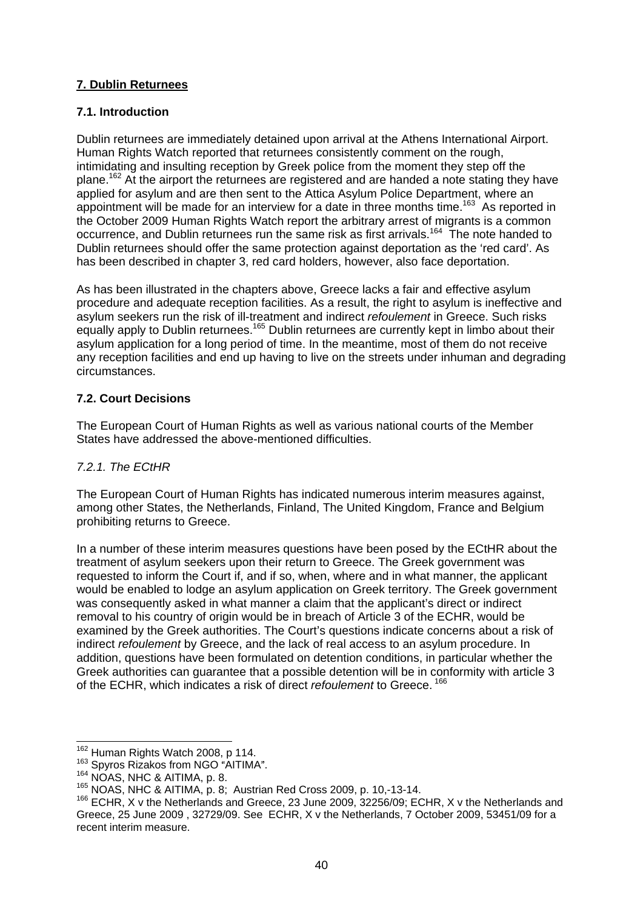## **7. Dublin Returnees**

## **7.1. Introduction**

Dublin returnees are immediately detained upon arrival at the Athens International Airport. Human Rights Watch reported that returnees consistently comment on the rough, intimidating and insulting reception by Greek police from the moment they step off the plane.<sup>162</sup> At the airport the returnees are registered and are handed a note stating they have applied for asylum and are then sent to the Attica Asylum Police Department, where an appointment will be made for an interview for a date in three months time.<sup>163</sup> As reported in the October 2009 Human Rights Watch report the arbitrary arrest of migrants is a common occurrence, and Dublin returnees run the same risk as first arrivals.<sup>164</sup> The note handed to Dublin returnees should offer the same protection against deportation as the 'red card'. As has been described in chapter 3, red card holders, however, also face deportation.

As has been illustrated in the chapters above, Greece lacks a fair and effective asylum procedure and adequate reception facilities. As a result, the right to asylum is ineffective and asylum seekers run the risk of ill-treatment and indirect refoulement in Greece. Such risks equally apply to Dublin returnees.<sup>165</sup> Dublin returnees are currently kept in limbo about their asylum application for a long period of time. In the meantime, most of them do not receive any reception facilities and end up having to live on the streets under inhuman and degrading circumstances. **Example 2018 Contract Contract Contract Contract Contract Contract Contract Contract Contract Contract Contract Contract Contract Contract Contract Contract Contract Contract Contract Contract Contract Co** 

## **7.2. Court Decisions**

The European Court of Human Rights as well as various national courts of the Member States have addressed the above-mentioned difficulties.

## 7.2.1. The ECtHR

The European Court of Human Rights has indicated numerous interim measures against, among other States, the Netherlands, Finland, The United Kingdom, France and Belgium prohibiting returns to Greece.

In a number of these interim measures questions have been posed by the ECtHR about the treatment of asylum seekers upon their return to Greece. The Greek government was requested to inform the Court if, and if so, when, where and in what manner, the applicant would be enabled to lodge an asylum application on Greek territory. The Greek government was consequently asked in what manner a claim that the applicant's direct or indirect removal to his country of origin would be in breach of Article 3 of the ECHR, would be examined by the Greek authorities. The Court's questions indicate concerns about a risk of indirect refoulement by Greece, and the lack of real access to an asylum procedure. In addition, questions have been formulated on detention conditions, in particular whether the Greek authorities can guarantee that a possible detention will be in conformity with article 3 of the ECHR, which indicates a risk of direct refoulement to Greece. <sup>166</sup>

<sup>&</sup>lt;sup>162</sup> Human Rights Watch 2008, p 114.<br><sup>163</sup> Spyros Rizakos from NGO "AITIMA".<br><sup>164</sup> NOAS, NHC & AITIMA, p. 8.<br><sup>165</sup> NOAS, NHC & AITIMA, p. 8; Austrian Red Cross 2009, p. 10,-13-14.<br><sup>166</sup> ECHR, X v the Netherlands and Gree Greece, 25 June 2009 , 32729/09. See ECHR, X v the Netherlands, 7 October 2009, 53451/09 for a recent interim measure.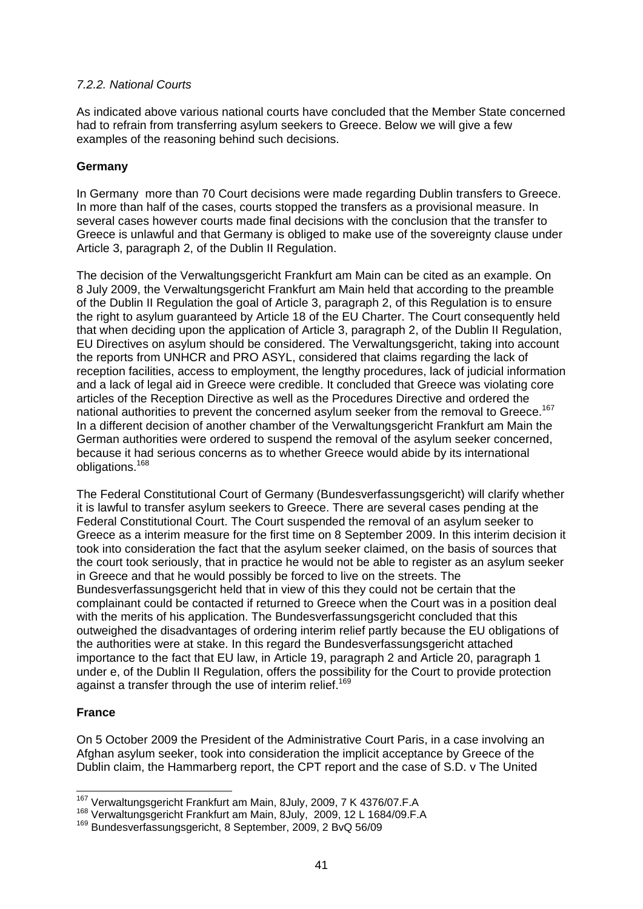## 7.2.2. National Courts

As indicated above various national courtshave concluded that the Member State concerned had to refrain from transferring asylum seekers to Greece. Below we will give a few examples of the reasoning behind such decisions.

## **Germany**

In Germany more than 70 Court decisions were made regarding Dublin transfers to Greece. In more than half of the cases, courts stopped the transfers as a provisional measure. In several cases however courts made final decisions with the conclusion that the transfer to Greece is unlawful and that Germany is obliged to make use of the sovereignty clause under Article 3, paragraph 2, of the Dublin II Regulation.

The decision of the Verwaltungsgericht Frankfurt am Main can be cited as an example. On 8 July 2009, the Verwaltungsgericht Frankfurt am Main held that according to the preamble of the Dublin II Regulation the goal of Article 3, paragraph 2, of this Regulation is to ensure the right to asylum guaranteed by Article 18 of the EU Charter. The Court consequently held that when deciding upon the application of Article 3, paragraph 2, of the Dublin II Regulation, EU Directives on asylum should be considered. The Verwaltungsgericht, taking into account the reports from UNHCR and PRO ASYL, considered that claims regarding the lack of reception facilities, access to employment, the lengthy procedures, lack of judicial information and a lack of legal aid in Greece were credible. It concluded that Greece was violating core articles of the Reception Directive as well as the Procedures Directive and ordered the national authorities to prevent the concerned asylum seeker from the removal to Greece.<sup>167</sup> In a different decision of another chamber of the Verwaltungsgericht Frankfurt am Main the German authorities were ordered to suspend the removal of the asylum seeker concerned, because it had serious concerns as to whether Greece would abide by its international  $\rm obligations.^{168}$  . The contraction of the contraction of the contraction of the contraction of the contraction of the contraction of the contraction of the contraction of the contraction of the contraction of the contraction

The Federal Constitutional Court of Germany (Bundesverfassungsgericht) will clarify whether it is lawful to transfer asylum seekers to Greece. There are several cases pending at the Federal Constitutional Court. The Court suspended the removal of an asylum seeker to Greece as a interim measure for the first time on 8 September 2009. In this interim decision it took into consideration the fact that the asylum seeker claimed, on the basis of sources that the court took seriously, that in practice he would not be able to register as an asylum seeker in Greece and that he would possibly be forced to live on the streets. The Bundesverfassungsgericht held that in view of this theycould not be certain that the complainant could be contacted if returned to Greece when the Court was in a position deal with the merits of his application. The Bundesverfassungsgericht concluded that this outweighed the disadvantages of ordering interim relief partly because the EU obligations of the authorities were at stake. In this regard the Bundesverfassungsgericht attached importance to the fact that EU law, in Article 19, paragraph 2 and Article 20, paragraph 1 under e, of the Dublin II Regulation, offers the possibility for the Court to provide protection against a transfer through the use of interim relief.<sup>169</sup>

## **France France**

On 5 October 2009 the President of the Administrative Court Paris, in a case involving an Afghan asylum seeker, took into consideration the implicit acceptance by Greece of the Dublin claim, the Hammarberg report, the CPT report and the case of S.D. v The United

<sup>167</sup> Verwaltungsgericht Frankfurt am Main, 8July, 2009, 7 K 4376/07.F.A

<sup>168</sup> Verwaltungsgericht Frankfurt am Main, 8July, 2009, 12 L 1684/09.F.A

<sup>169</sup> Bundesverfassungsgericht, 8 September, 2009, 2 BvQ 56/09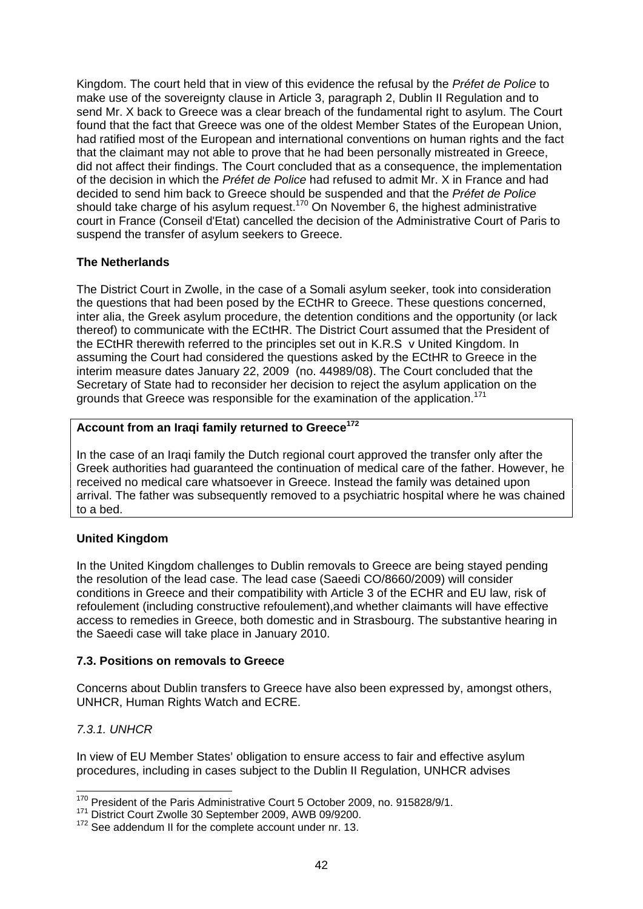Kingdom. The court held that in view of this evidence the refusal by the *Préfet de Police* to make use of the sovereignty clause in Article 3, paragraph 2, Dublin II Regulation and to send Mr. X back to Greece was a clear breach of the fundamental right to asylum. The Court found that the fact that Greece was one of the oldest Member States of the European Union, had ratified most of the European and international conventions on human rights and the fact that the claimant may not able to prove that he had been personally mistreated in Greece, did not affect their findings. The Court concluded that as a consequence, the implementation of the decision in which the Préfet de Police had refused to admit Mr. X in France and had decided to send him back to Greece should be suspended and that the Préfet de Police should take charge of his asylum request.170 On November 6, the highest administrative court in France (Conseil d'Etat) cancelled the decision of the Administrative Court of Paris to suspend the transfer of asylum seekers to Greece.

## **The Netherlands**

The District Court in Zwolle, in the case of a Somali asylum seeker, took into consideration the questions that had been posed by the ECtHR to Greece. These questions concerned, inter alia, the Greek asylum procedure, the detention conditions and the opportunity (or lack thereof) to communicate with the ECtHR. The District Court assumed that the President of the ECtHR therewith referred to the principles set out in K.R.S v United Kingdom. In assuming the Court had considered the questions asked by the ECtHR to Greece in the interim measure dates January 22, 2009 (no. 44989/08). The Court concluded that the Secretary of State had to reconsider her decision to reject the asylum application on the grounds that Greece was responsible for the examination of the application.<sup>171</sup>

#### **Account from an Iraqi family returned to Greece 172**

In the case of an Iraqi family the Dutch regional court approved the transfer only after the Greek authorities had guaranteed the continuation of medical care of the father. However, he received no medical care whatsoever in Greece. Instead the family was detained upon arrival. The father was subsequently removed to a psychiatric hospital where he was chained to a bed.

## **United Kingdom**

In the United Kingdom challenges to Dublin removals to Greece are being stayed pending the resolution of the lead case. The lead case (Saeedi CO/8660/2009) will consider conditions in Greece and their compatibility with Article 3 of the ECHR and EU law, risk of refoulement (including constructive refoulement),and whether claimants will have effective access to remedies in Greece, both domestic and in Strasbourg. The substantive hearing in the Saeedi case will take place in January 2010.

## **7.3. Positions on removals to Greece**

Concerns about Dublin transfers to Greece have also been expressed by, amongst others, UNHCR, Human Rights Watch and ECRE.

## 7.3.1. UNHCR

In view of EU Member States' obligation to ensure access to fair and effective asylum procedures, including in cases subject to the Dublin II Regulation, UNHCR advises

<sup>&</sup>lt;sup>170</sup> President of the Paris Administrative Court 5 October 2009, no. 915828/9/1.<br><sup>171</sup> District Court Zwolle 30 September 2009, AWB 09/9200.<br><sup>172</sup> See addendum II for the complete account under nr. 13.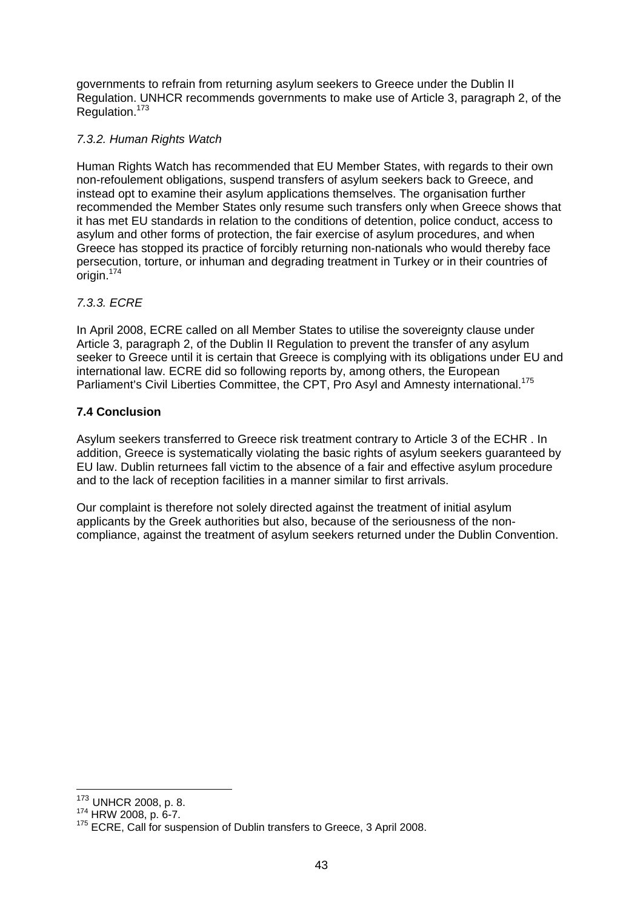governments to refrain from returning asylum seekers to Greece under the Dublin II Regulation. UNHCR recommends governments to make use of Article 3, paragraph 2, of the Regulation.<sup>173</sup> Regulation.<sup>173</sup> and the set of the set of the set of the set of the set of the set of the set of the set of the set of the set of the set of the set of the set of the set of the set of the set of the set of the set of the

## 7.3.2. Human Rights Watch

Human Rights Watch has recommended that EU Member States, with regards to their own non-refoulement obligations, suspend transfers of asylum seekers back to Greece, and instead opt to examine their asylum applications themselves. The organisation further recommended the Member States only resume such transfers only when Greece shows that it has met EU standards in relation to the conditions of detention, police conduct, access to asylum and other forms of protection, the fair exercise of asylum procedures, and when Greece has stopped its practice of forcibly returning non-nationals who would thereby face persecution, torture, or inhuman and degrading treatment in Turkey or in their countries of origin.174

## 7.3.3. ECRE

In April 2008, ECRE called on all Member States to utilise the sovereignty clause under Article 3, paragraph 2, of the Dublin II Regulation to prevent the transfer of any asylum seeker to Greece until it is certain that Greece is complying with its obligations under EU and international law. ECRE did so following reports by, among others, the European Parliament's Civil Liberties Committee, the CPT, Pro Asyl and Amnesty international.<sup>175</sup>

## **7.4 Conclusion**

Asylum seekers transferred to Greece risk treatment contrary to Article 3 of the ECHR . In addition, Greece is systematically violating the basic rights of asylum seekers guaranteed by EU law. Dublin returnees fall victim to the absence of a fair and effective asylum procedure and to the lack of reception facilities in a manner similar to first arrivals.

Our complaint is therefore not solely directed against the treatment of initial asylum applicants by the Greek authorities but also, because of the seriousness of the non compliance, against the treatment of asylum seekers returned under the Dublin Convention.

<sup>&</sup>lt;sup>173</sup> UNHCR 2008, p. 8.<br><sup>174</sup> HRW 2008, p. 6-7.<br><sup>175</sup> ECRE, Call for suspension of Dublin transfers to Greece, 3 April 2008.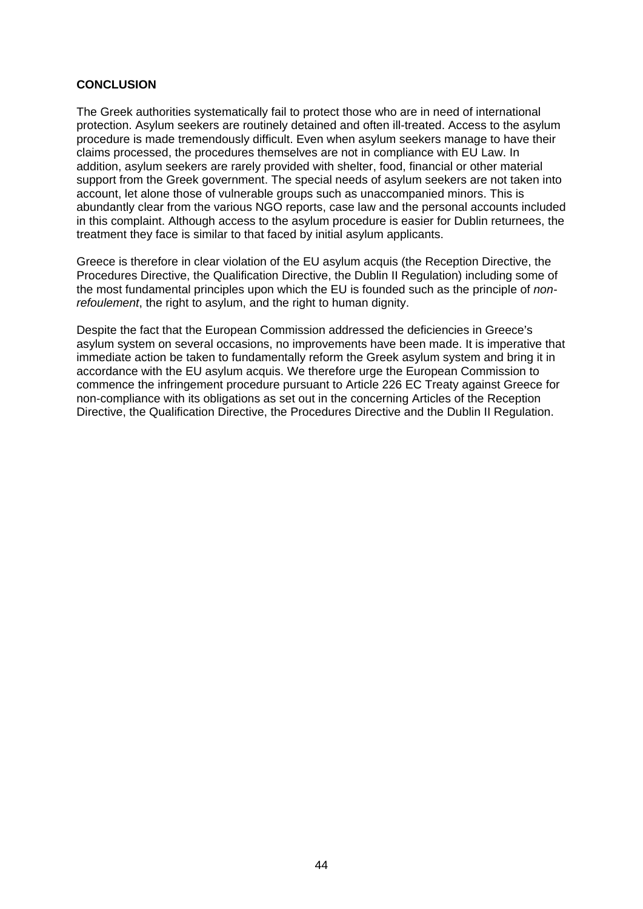## **CONCLUSION**

The Greek authorities systematically fail to protect those who are in need of international protection. Asylum seekers are routinely detained and often ill-treated. Access to the asylum procedure is made tremendously difficult. Even when asylum seekers manage to have their claims processed, the procedures themselves are not in compliance with EU Law. In addition, asylum seekers are rarely provided with shelter, food, financial or other material support from the Greek government. The special needs of asylum seekers are not taken into account, let alone those of vulnerable groups such as unaccompanied minors. This is abundantly clear from the various NGO reports, case law and the personal accounts included in this complaint. Although access to the asylum procedure is easier for Dublin returnees, the treatment they face is similar to that faced by initial asylum applicants.

Greece is therefore in clear violation of the EU asylum acquis (the Reception Directive, the Procedures Directive, the Qualification Directive, the Dublin II Regulation) including some of the most fundamental principles upon which the EU is founded such as the principle of nonrefoulement, the right to asylum, and the right to human dignity.

Despite the fact that the European Commission addressed the deficiencies in Greece's asylum system on several occasions, no improvements have been made. It is imperative that immediate action be taken to fundamentally reform the Greek asylum system and bring it in accordance with the EU asylum acquis. We therefore urge the European Commission to commence the infringement procedure pursuant to Article 226 EC Treaty against Greece for non-compliance with its obligations as set out in the concerning Articles of the Reception Directive, the Qualification Directive, the Procedures Directive and the Dublin II Regulation.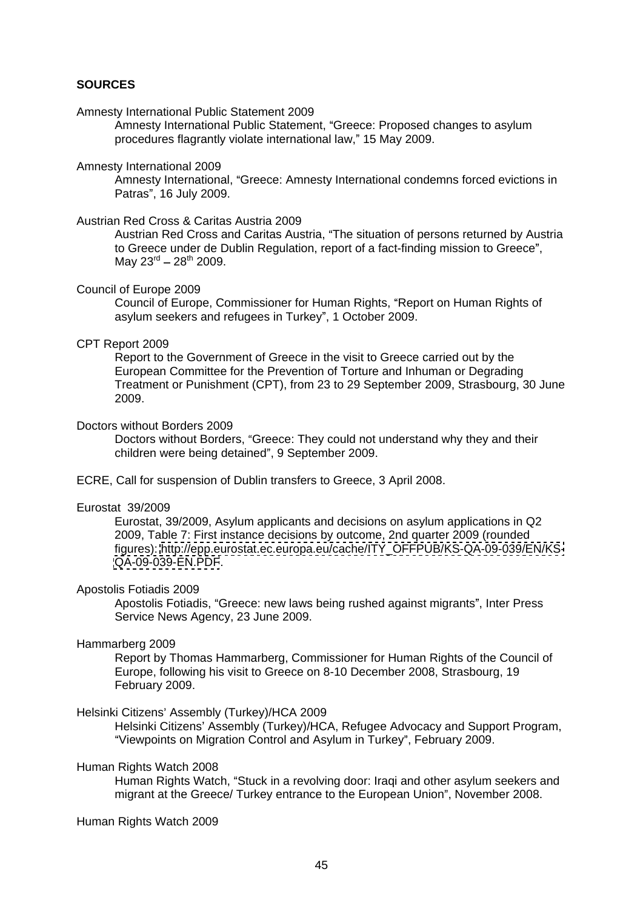## **SOURCES**

#### Amnesty International Public Statement 2009

Amnesty International Public Statement, "Greece: Proposed changes to asylum procedures flagrantly violate international law," 15 May 2009.

#### Amnesty International 2009

Amnesty International, "Greece: Amnesty International condemns forced evictions in Patras , 16 July 2009.

#### Austrian Red Cross & Caritas Austria 2009

Austrian Red Cross and Caritas Austria, "The situation of persons returned by Austria to Greece under de Dublin Regulation, report of a fact-finding mission to Greece", May 23 $^{\text{rd}}$  – 28 $^{\text{th}}$  2009.  $^{\text{cl}}$  $r$ d  $\Omega$ oth  $\Omega$ no  $\Omega$  $28<sup>th</sup>$  2009.  $th$  2000 2009.

#### Council of Europe 2009

Council of Europe, Commissioner for Human Rights, "Report on Human Rights of asylum seekers and refugees in Turkey", 1 October 2009.

#### CPT Report 2009

Report to the Government of Greece in the visit to Greece carried out by the European Committee for the Prevention of Torture and Inhuman or Degrading Treatment or Punishment (CPT), from 23 to 29 September 2009, Strasbourg, 30 June 2009.

#### Doctors without Borders 2009

Doctors without Borders, "Greece: They could not understand why they and their children were being detained", 9 September 2009.

ECRE, Call for suspension of Dublin transfers to Greece, 3 April 2008.

#### Eurostat 39/2009

Eurostat, 39/2009, Asylum applicants and decisions on asylum applications in Q2 2009, Table 7: First instance decisions by outcome, 2nd quarter 2009 (rounded figures): [http://epp.eurostat.ec.europa.eu/cache/ITY\\_OFFPUB/KS-QA-09-039/EN/KS-](http://epp.eurostat.ec.europa.eu/cache/ITY_OFFPUB/KS-QA-09-039/EN/KS-) <QA-09-039-EN.PDF>.

#### Apostolis Fotiadis 2009

Apostolis Fotiadis, "Greece: new laws being rushed against migrants", Inter Press Service News Agency, 23 June 2009.

#### Hammarberg 2009

Report by Thomas Hammarberg, Commissioner for Human Rights of the Council of Europe, following his visit to Greece on 8-10 December 2008, Strasbourg, 19 February 2009.

#### Helsinki Citizens' Assembly (Turkey)/HCA 2009

Helsinki Citizens' Assembly (Turkey)/HCA, Refugee Advocacy and Support Program, "Viewpoints on Migration Control and Asylum in Turkey", February 2009.

#### Human Rights Watch 2008

Human Rights Watch, "Stuck in a revolving door: Iraqi and other asylum seekers and migrant at the Greece/ Turkey entrance to the European Union", November 2008.

Human Rights Watch 2009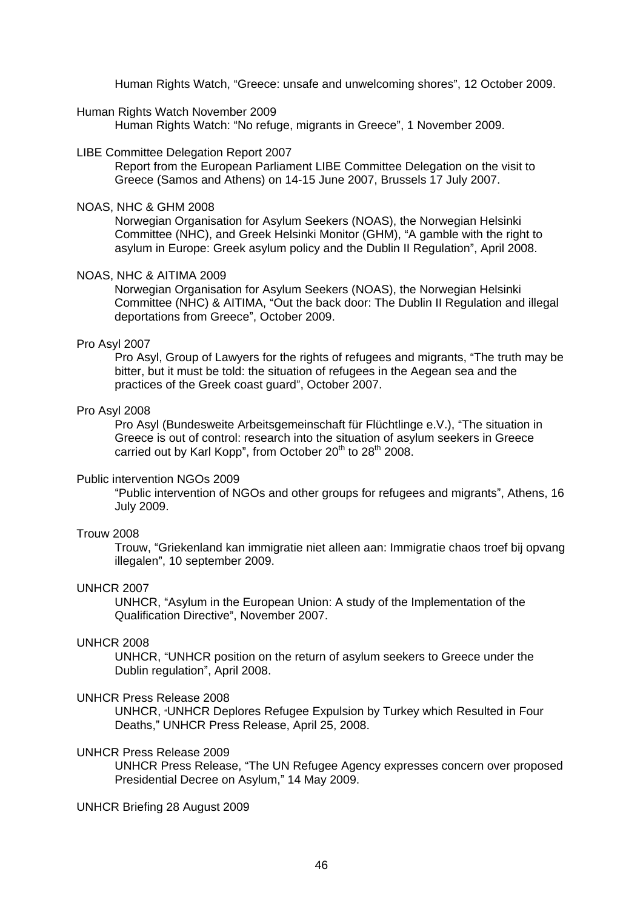Human Rights Watch, "Greece: unsafe and unwelcoming shores", 12 October 2009.

#### Human Rights Watch November 2009

Human Rights Watch: "No refuge, migrants in Greece", 1 November 2009.

#### LIBE Committee Delegation Report 2007

Report from the European Parliament LIBE Committee Delegation on the visit to Greece (Samos and Athens) on 14-15 June 2007, Brussels 17 July 2007.

#### NOAS, NHC & GHM 2008

Norwegian Organisation for Asylum Seekers (NOAS), the Norwegian Helsinki Committee (NHC), and Greek Helsinki Monitor (GHM), "A gamble with the right to asylum in Europe: Greek asylum policy and the Dublin II Regulation", April 2008.

## NOAS, NHC & AITIMA 2009

Norwegian Organisation for Asylum Seekers (NOAS), the Norwegian Helsinki Committee (NHC) & AITIMA, "Out the back door: The Dublin II Regulation and illegal deportations from Greece", October 2009.

#### Pro Asyl 2007

Pro Asyl, Group of Lawyers for the rights of refugees and migrants, "The truth may be bitter, but it must be told: the situation of refugees in the Aegean sea and the practices of the Greek coast guard", October 2007.

#### Pro Asyl 2008

Pro Asyl (Bundesweite Arbeitsgemeinschaft für Flüchtlinge e.V.), "The situation in Greece is out of control: research into the situation of asylum seekers in Greece carried out by Karl Kopp", from October  $20<sup>th</sup>$  to  $28<sup>th</sup>$  2008.  $^{th}$  to 29<sup>th</sup> 2009 to  $28^{\text{m}}$  2008.  $th$  200 $\Omega$ 2008.

#### Public intervention NGOs 2009

"Public intervention of NGOs and other groups for refugees and migrants", Athens, 16 July 2009.

### Trouw 2008

Trouw, "Griekenland kan immigratie niet alleen aan: Immigratie chaos troef bij opvang illegalen", 10 september 2009.

### UNHCR 2007

UNHCR, "Asylum in the European Union: A study of the Implementation of the Qualification Directive", November 2007.

#### UNHCR 2008

UNHCR, UNHCR position on the return of asylum seekers to Greece under the Dublin regulation", April 2008.

#### UNHCR Press Release 2008

UNHCR, "UNHCR Deplores Refugee Expulsion by Turkey which Resulted in Four Deaths," UNHCR Press Release, April 25, 2008.

#### UNHCR Press Release 2009

UNHCR Press Release, The UN Refugee Agency expresses concern over proposed Presidential Decree on Asylum," 14 May 2009.

#### UNHCR Briefing 28 August 2009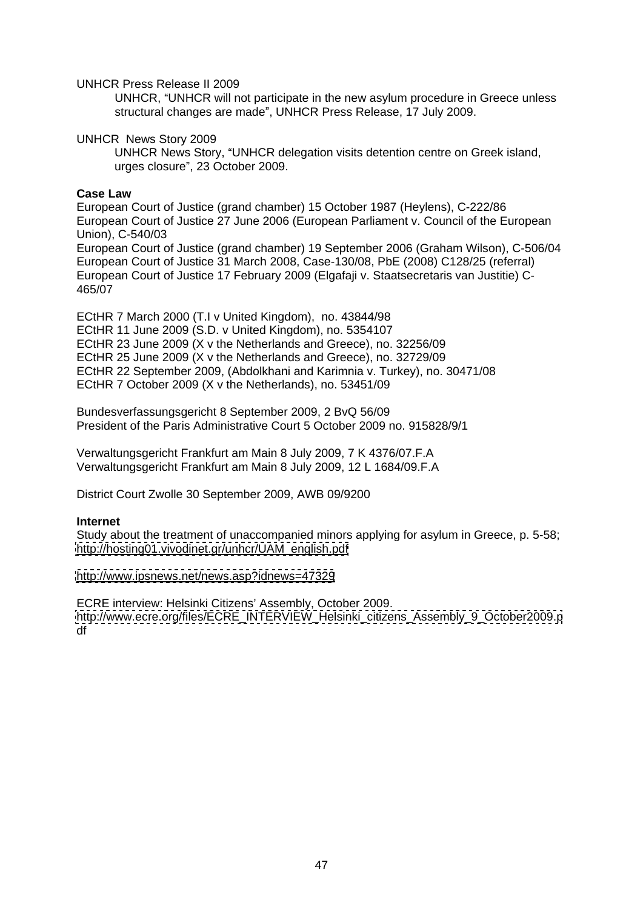UNHCR Press Release II 2009

UNHCR, "UNHCR will not participate in the new asylum procedure in Greece unless structural changes are made", UNHCR Press Release, 17 July 2009.

UNHCR News Story 2009

UNHCR News Story, UNHCR delegation visits detention centre on Greek island, urges closure", 23 October 2009.

### **Case Law**

European Court of Justice (grand chamber) 15 October 1987 (Heylens), C-222/86 European Court of Justice 27 June 2006 (European Parliament v. Council of the European Union), C-540/03

European Court of Justice (grand chamber) 19 September 2006 (Graham Wilson), C-506/04 European Court of Justice 31 March 2008, Case-130/08, PbE (2008) C128/25 (referral) European Court of Justice 17 February 2009 (Elgafaji v. Staatsecretaris van Justitie) C- 465/07

ECtHR 7 March 2000 (T.I v United Kingdom), no. 43844/98 ECtHR 11 June 2009 (S.D. v United Kingdom), no. 5354107 ECtHR 23 June 2009 (X v the Netherlands and Greece), no. 32256/09 ECtHR 25 June 2009 (X v the Netherlands and Greece), no. 32729/09 ECtHR 22 September 2009, (Abdolkhani and Karimnia v. Turkey), no. 30471/08 ECtHR 7 October 2009 (X v the Netherlands), no. 53451/09

Bundesverfassungsgericht 8 September 2009, 2 BvQ 56/09 President of the Paris Administrative Court 5 October 2009 no. 915828/9/1

Verwaltungsgericht Frankfurt am Main 8 July 2009, 7 K 4376/07.F.A Verwaltungsgericht Frankfurt am Main 8 July 2009, 12 L 1684/09.F.A

District Court Zwolle 30 September 2009, AWB 09/9200

## **Internet**

Study about the treatment of unaccompanied minors applying for asylum in Greece, p. 5-58; [http://hosting01.vivodinet.gr/unhcr/UAM\\_english.pdf](http://hosting01.vivodinet.gr/unhcr/UAM_english.pdf)

<http://www.ipsnews.net/news.asp?idnews=47329>

ECRE interview: Helsinki Citizens' Assembly, October 2009. [http://www.ecre.org/files/ECRE\\_INTERVIEW\\_Helsinki\\_citizens\\_Assembly\\_9\\_October2009.p](http://www.ecre.org/files/ECRE_INTERVIEW_Helsinki_citizens_Assembly_9_October2009.p) df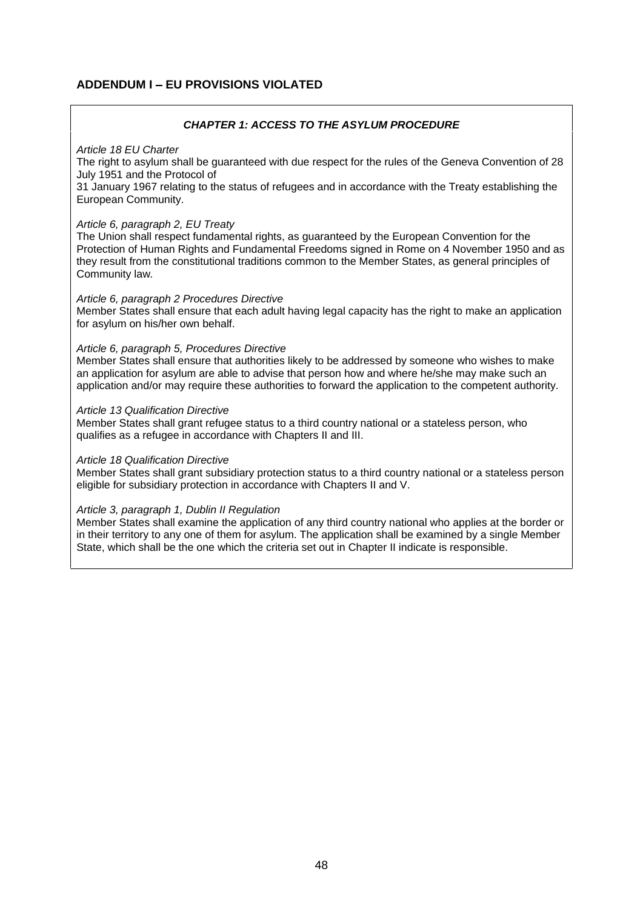## **ADDENDUM I EU PROVISIONS VIOLATED**

## **CHAPTER 1: ACCESS TO THE ASYLUM PROCEDURE**

#### Article 18 EU Charter

The right to asylum shall be guaranteed with due respect for the rules of the Geneva Convention of 28<br>July 1951 and the Protocol of July 1951 and the Protocol of

31 January 1967 relating to the status of refugees and in accordance with the Treaty establishing the European Community.

#### Article 6, paragraph 2, EU Treaty

The Union shall respect fundamental rights, as guaranteed by the European Convention for the Protection of Human Rights and Fundamental Freedoms signed in Rome on 4 November 1950 and as they result from the constitutional traditions common to the Member States, as general principles of Community law.

#### Article 6, paragraph 2 Procedures Directive

Member States shall ensure that each adult having legal capacity has the right to make an application for asylum on his/her own behalf.

#### Article 6, paragraph 5, Procedures Directive

Member States shall ensure that authorities likely to be addressed by someone who wishes to make an application for asylum are able to advise that person how and where he/she may make such an application and/or may require these authorities to forward the application to the competent authority.

#### Article 13 Qualification Directive

Member States shall grant refugee status to a third country national or a stateless person, who qualifies as a refugee in accordance with Chapters II and III.

#### Article 18 Qualification Directive

Member States shall grant subsidiary protection status to a third country national or a stateless person eligible for subsidiary protection in accordance with Chapters II and V.

#### Article 3, paragraph 1, Dublin II Regulation

Member States shall examine the application of any third country nationalwho applies at the border or in their territory to any one of them for asylum. The application shall be examined by a single Member State, which shall be the one which the criteria set out in Chapter II indicate is responsible.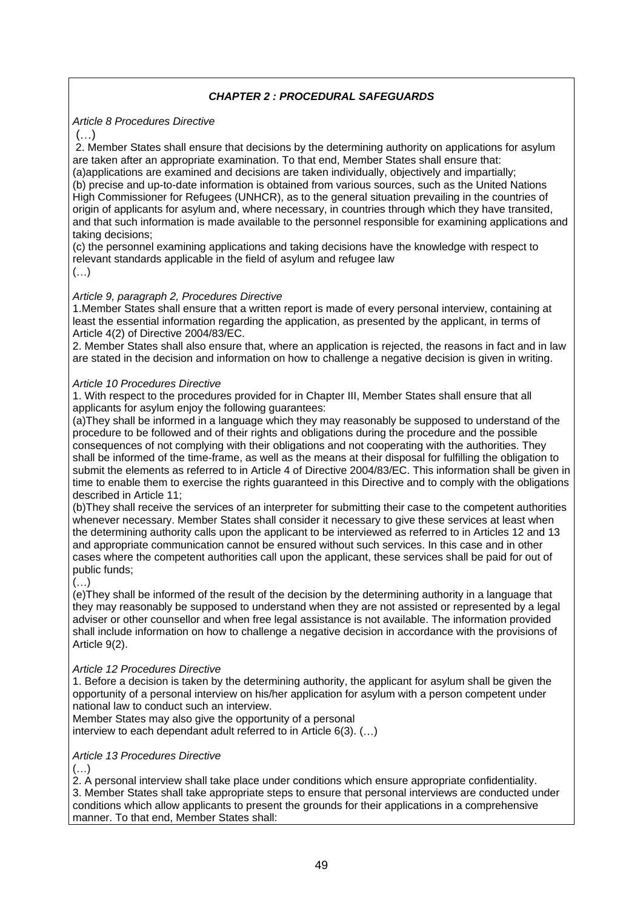## **CHAPTER 2 : PROCEDURAL SAFEGUARDS**

Article 8 Procedures Directive

 $(...)$ 

2. Member States shall ensure that decisions by the determining authority on applications for asylum are taken after an appropriate examination. To that end, Member States shall ensure that: (a)applications are examined and decisions are taken individually, objectively and impartially; (b) precise and up-to-date information is obtained from various sources, such as the United Nations

High Commissioner for Refugees (UNHCR), as to the general situation prevailing in the countries of origin of applicants for asylum and, where necessary, in countries through which they have transited, and that such information is made available to the personnel responsible for examining applications and taking decisions;

(c) the personnel examining applications and taking decisions have the knowledge with respect to relevant standards applicable in the field of asylum and refugee law  $\hspace{.1cm}$  (...)

### Article 9, paragraph 2, Procedures Directive

1.Member States shall ensure that a written report is made of every personal interview, containing at least the essential information regarding the application, as presented by the applicant, in terms of Article 4(2) of Directive 2004/83/EC.

2. Member States shall also ensure that, where an application is rejected, the reasons in fact and in law are stated in the decision and information on how to challenge a negative decision is given in writing.

#### Article 10 Procedures Directive

1. With respect to the procedures provided for in Chapter III, Member States shall ensure that all applicants for asylum enjoy the following guarantees:

(a)They shall be informed in a language which they may reasonably be supposed to understand of the procedure to be followed and of their rights and obligations during the procedure and the possible consequences of not complying with their obligations and not cooperating with the authorities. They shall be informed of the time-frame, as well as the means at their disposal for fulfilling the obligation to submit the elements as referred to in Article 4 of Directive 2004/83/EC. This information shall be given in time to enable them to exercise the rights guaranteed in this Directive and to comply with the obligations described in Article 11;

(b)They shall receive the services of an interpreter for submitting their case to the competent authorities whenever necessary. Member States shall consider it necessary to give these services at least when the determining authority calls upon the applicant to be interviewed as referred to in Articles 12 and 13 and appropriate communication cannot be ensured without such services. In this case and in other cases where the competent authorities call upon the applicant, these services shall be paid for out of public funds;

 $\hspace{.1cm}$  (...)

(e)They shall be informed of the result of the decision by the determining authority in a language that they may reasonably be supposed to understand when they are not assisted or represented by a legal adviser or other counsellor and when free legal assistance is not available. The information provided shall include information on how to challenge a negative decision in accordance with the provisions of Article Article 9(2).

### Article 12 Procedures Directive

1. Before a decision is taken by the determining authority, the applicant for asylum shall be given the opportunity of a personal interview on his/her application for asylum with a person competent under national law to conduct such an interview.

Member States may also give the opportunity of a personal

interview to each dependant adult referred to in Article  $6(3)$ .  $(...)$ 

Article 13 Procedures Directive

 $\hspace{.1cm}$  (...)

2. A personal interview shall take place under conditions which ensure appropriate confidentiality. 3. Member States shall take appropriate steps to ensure that personal interviews are conducted under conditions which allow applicants to present the grounds for their applications in a comprehensive manner. To that end, Member States shall: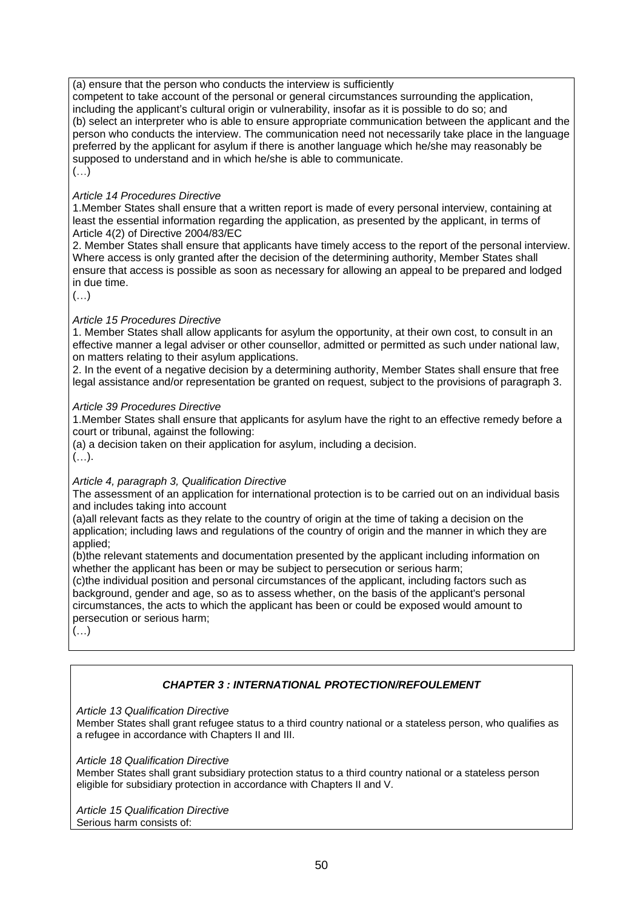(a) ensure that the person who conducts the interview is sufficiently competent to take account of the personal or general circumstances surrounding the application, including the applicant's cultural origin or vulnerability, insofar as it is possible to do so; and (b) select an interpreter who is able to ensure appropriate communication between the applicant and the person who conducts the interview. The communication need not necessarily take place in the language preferred by the applicant for asylum if there is another language which he/she may reasonably be supposed to understand and in which he/she is able to communicate.  $\hspace{.1cm}$  (...)

### Article 14 Procedures Directive

1.Member States shall ensure that a written report is made of every personal interview, containing at least the essential information regarding the application, as presented by the applicant, in terms of Article 4(2) of Directive 2004/83/EC

2. Member States shall ensure that applicants have timely access to the report of the personal interview. Where access is only granted after the decision of the determining authority, Member States shall ensure that access is possible as soon as necessary for allowing an appeal to be prepared and lodged in due time.

 $\hspace{.1cm}$  (...)

## Article 15 Procedures Directive

1. Member States shall allow applicants for asylum the opportunity, at their own cost, to consult in an effective manner a legal adviser or other counsellor, admitted or permitted as such under national law, on matters relating to their asylum applications.

2. In the event of a negative decision by a determining authority, Member Statesshall ensure that free legal assistance and/or representation be granted on request, subject to the provisions of paragraph 3.

### Article 39 Procedures Directive

1.Member States shall ensure that applicants for asylum have the right to an effective remedy before a court or tribunal, against the following:

(a) a decision taken on their application for asylum, including a decision. (...).

### Article 4, paragraph 3, Qualification Directive

The assessment of an application for international protection is to be carried out on an individual basis and includes taking into account

(a)all relevant facts as they relate to the country of origin at the time of taking a decision on the application; including laws and regulations of the country of origin and the manner in which they are applied;

(b)the relevant statements and documentation presented by the applicant including information on whether the applicant has been or may be subject to persecution or serious harm;

(c)the individual position and personal circumstances of the applicant, including factors such as background, gender and age, so as to assess whether, on the basis of the applicant's personal circumstances, the acts to which the applicant has been or could be exposed would amount to persecution or serious harm;

 $\hspace{.1cm}$  (...)

## **CHAPTER 3 : INTERNATIONAL PROTECTION/REFOULEMENT**

Article 13 Qualification Directive

Member States shall grant refugee status to a third country national or a stateless person, who qualifies as a refugee in accordance with Chapters II and III.

Article 18 Qualification Directive

Member States shall grant subsidiary protection status to a third country national or a stateless person eligible for subsidiary protection in accordance with Chapters II and V.

Article 15 Qualification Directive Serious harm consists of: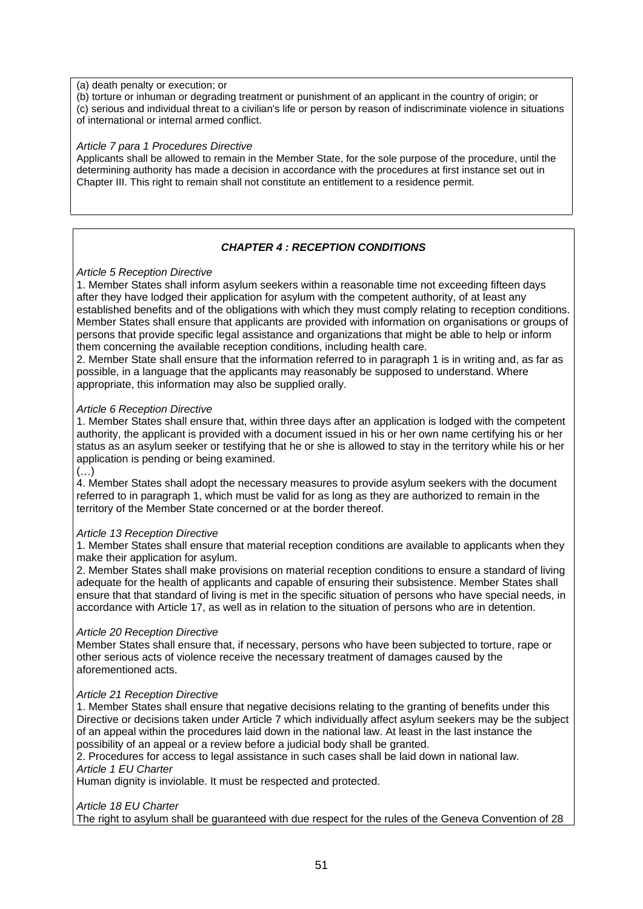#### (a) death penalty or execution; or

(b) torture or inhuman or degrading treatment or punishment of an applicant in the country of origin; or (c) serious and individual threat to a civilian's life or person by reason of indiscriminate violence in situations of international or internal armed conflict.

#### Article 7 para 1 Procedures Directive

Applicants shall be allowed to remain in the Member State, for the sole purpose of the procedure, until the determining authority has made a decision in accordance with the procedures at first instance set out in Chapter III. This right to remain shall not constitute an entitlement to a residence permit.

## **CHAPTER 4 : RECEPTION CONDITIONS**

#### Article 5 Reception Directive

1. Member States shall inform asylum seekers within a reasonable time not exceeding fifteen days after they have lodged their application for asylum with the competent authority, of at least any established benefits and of the obligations with which they must comply relating to reception conditions. Member States shall ensure that applicants are provided with information on organisations or groups of persons that provide specific legal assistance and organizations that might be able to help or inform them concerning the available reception conditions, including health care.

2. Member State shall ensure that the information referred to in paragraph 1 is in writing and, as far as possible, in a language that the applicants may reasonably be supposed to understand. Where appropriate, this information may also be supplied orally.

#### Article 6 Reception Directive

1. Member States shall ensure that, within three days after an application is lodged with the competent authority, the applicant is provided with a document issued in his or her own name certifying his or her status as an asylum seeker or testifying that he or she is allowed to stay in the territory while his or her application is pending or being examined.

 $\hspace{.1cm}$  (...)

4. Member States shall adopt the necessary measures to provide asylum seekers with the document referred to in paragraph 1, which must be valid for as long as they are authorized to remain in the territory of the Member State concerned or at the border thereof.

#### Article 13 Reception Directive

1. Member States shall ensure that material reception conditions are available to applicants when they make their application for asylum.

2. Member States shall make provisions on material reception conditions to ensure a standard of living adequate for the health of applicants and capable of ensuring their subsistence. Member States shall ensure that that standard of living is met in the specific situation of persons who have special needs, in accordance with Article 17, as well as in relation to the situation of persons who are in detention.

#### Article 20 Reception Directive

Member States shall ensure that, if necessary, persons who have been subjected to torture, rape or other serious acts of violence receive the necessary treatment of damages caused by the aforementioned acts.

#### Article 21 Reception Directive

1. Member States shall ensure that negative decisions relating to the granting of benefits under this Directive or decisions taken under Article 7 which individually affect asylum seekers may be the subject of an appeal within the procedures laid down in the national law. At least in the last instance the possibility of an appeal or a review before a judicial body shall be granted.

2. Procedures for access to legal assistance in such cases shall be laid down in national law. Article 1 EU Charter

Human dignity is inviolable. It must be respected and protected.

#### Article 18 EU Charter

The right to asylum shall be guaranteed with due respect for the rules of the Geneva Convention of 28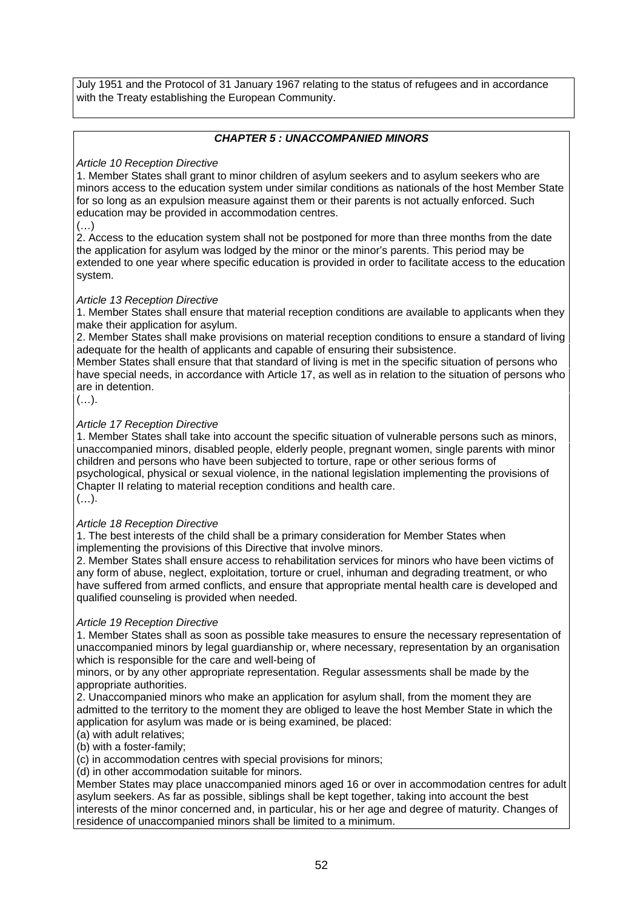July 1951 and the Protocol of 31 January 1967 relating to the status of refugees and in accordance with the Treaty establishing the European Community.

## **CHAPTER 5 : UNACCOMPANIED MINORS**

## Article 10 Reception Directive

1. Member States shall grant to minor children of asylum seekers and to asylum seekers who are minors access to the education system under similar conditions as nationals of the host Member State for so long as an expulsion measure against them or their parents is not actually enforced. Such education may be provided in accommodation centres.

 $\hspace{0.1cm}$  (...)

2. Access to the education system shall not be postponed for more than three months from the date the application for asylum was lodged by the minor or the minor's parents. This period may be extended to one year where specific education is provided in order to facilitate access to the education system. The contract of the contract of the contract of the contract of the contract of the contract of the contract of the contract of the contract of the contract of the contract of the contract of the contract of the co

## Article 13 Reception Directive

1. Member States shall ensure that material reception conditions are available to applicants when they make their application for asylum.

2. Member States shall make provisions on material reception conditions to ensure a standard of living adequate for the health of applicants and capable of ensuring their subsistence.

Member States shall ensure that that standard of living is met in the specific situation of persons who have special needs, in accordance with Article 17, as well as in relation to the situation of persons who are in detention.

(...).

### Article 17 Reception Directive

1. Member States shall take into account the specific situation of vulnerable persons such as minors, unaccompanied minors, disabled people, elderly people, pregnant women, single parents with minor children and persons who have been subjected to torture, rape or other serious forms of psychological, physical or sexual violence, in the national legislation implementing the provisions of Chapter II relating to material reception conditions and health care. (...).

Article 18 Reception Directive

1. The best interests of the child shall be a primary consideration for Member States when implementing the provisions of this Directive that involve minors.

2. Member States shall ensure access to rehabilitation services for minors who have been victims of any form of abuse, neglect, exploitation, torture or cruel, inhuman and degrading treatment, or who have suffered from armed conflicts, and ensure that appropriate mental health care is developed and qualified counseling is provided when needed.

### Article 19 Reception Directive

1. Member States shall as soon as possible take measures to ensure the necessary representation of unaccompanied minors by legal guardianship or, where necessary, representation by an organisation which is responsible for the care and well-being of

minors, or by any other appropriate representation. Regular assessments shall be made by the appropriate authorities.

2. Unaccompanied minors who make an application for asylum shall, from the moment they are admitted to the territory to the moment they are obliged to leave the host Member State in which the application for asylum was made or is being examined, be placed:

(a) with adult relatives;

(b) with a foster-family;

(c) in accommodation centres with special provisions for minors;

(d) in other accommodation suitable for minors.

Member States may place unaccompanied minors aged 16 or over in accommodation centres foradult asylum seekers. As far as possible, siblings shall be kept together, taking into account the best interests of the minor concerned and, in particular, his or her age and degree of maturity. Changes of residence of unaccompanied minors shall be limited to a minimum.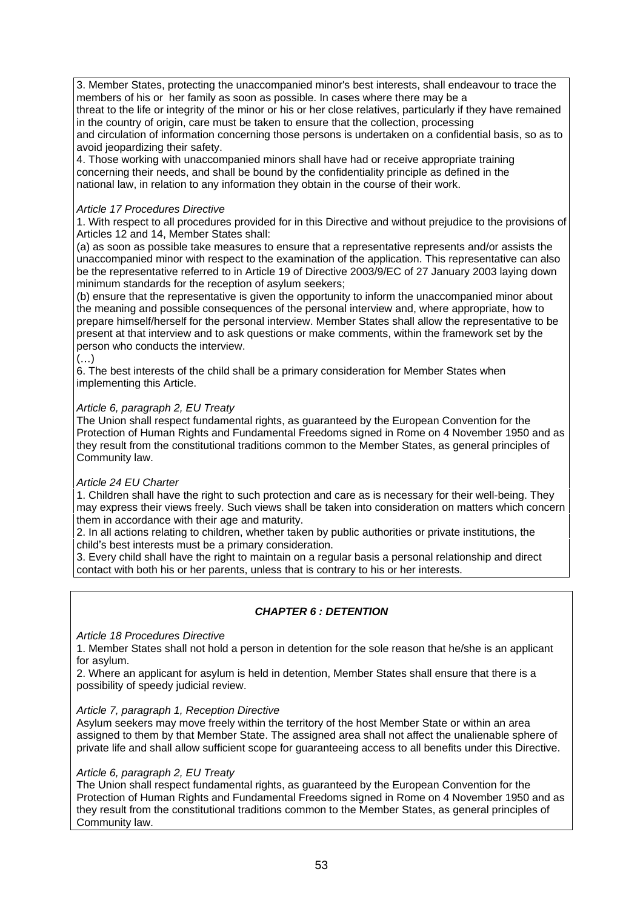3. Member States, protecting the unaccompanied minor's best interests, shall endeavour to trace the members of his or her family as soon as possible. In cases where there may be a

threat to the life or integrity of the minor or his or her close relatives, particularly if they have remained in the country of origin, care must be taken to ensure that the collection, processing

and circulation of information concerning those persons is undertaken on a confidential basis, so as to avoid jeopardizing their safety.

4. Those working with unaccompanied minors shall have had or receive appropriate training concerning their needs, and shall be bound by the confidentiality principle as defined in the national law, in relation to any information they obtain in the course of their work.

### Article 17 Procedures Directive

1. With respect to all procedures provided for in this Directive and without prejudice to the provisions of Articles 12 and 14, Member States shall:

(a) as soon as possible take measures to ensure that a representative represents and/or assists the unaccompanied minor with respect to the examination of the application. This representative can also be the representative referred to in Article 19 of Directive 2003/9/EC of 27 January 2003 laying down minimum standards for the reception of asylum seekers;

(b) ensure that the representative is given the opportunity to inform the unaccompanied minor about the meaning and possible consequences of the personal interview and, where appropriate, how to prepare himself/herself for the personal interview. Member States shall allow the representative to be present at that interview and to ask questions or make comments, within the framework set by the person who conducts the interview.

#### $\hspace{0.1cm}$  (...)

6. The best interests of the child shall be a primary consideration for Member States when implementing this Article.

#### Article 6, paragraph 2, EU Treaty

The Union shall respect fundamental rights, as guaranteed by the European Convention for the Protection of Human Rights and Fundamental Freedoms signed in Rome on 4 November 1950 and as they result from the constitutional traditions common to the Member States, as general principles of Community law.

### Article 24 EU Charter

1. Children shall have the right to such protection and care as is necessary for their well-being. They may express their views freely. Such views shall be taken into consideration on matters which concern them in accordance with their age and maturity.

2. In all actions relating to children, whether taken by public authorities or private institutions, the child's best interests must be a primary consideration.

3. Every child shall have the right to maintain on a regular basis a personal relationship and direct contact with both his or her parents, unless that is contrary to his or her interests.

## **CHAPTER 6 : DETENTION**

#### Article 18 Procedures Directive

1. Member States shall not hold a person in detention for the sole reason that he/she is an applicant for asylum.

2. Where an applicant for asylum is held in detention, Member States shall ensure that there is a possibility of speedy judicial review.

#### Article 7, paragraph 1, Reception Directive

Asylum seekers may move freely within the territory of the host Member State or within an area assigned to them by that Member State. The assigned area shall not affect the unalienable sphere of private life and shall allow sufficient scope for guaranteeing access to all benefits under this Directive.

#### Article 6, paragraph 2, EU Treaty

The Union shall respect fundamental rights, as guaranteed by the European Convention for the Protection of Human Rights and Fundamental Freedoms signed in Rome on 4 November 1950 and as they result from the constitutional traditions common to the Member States, as general principles of Community law.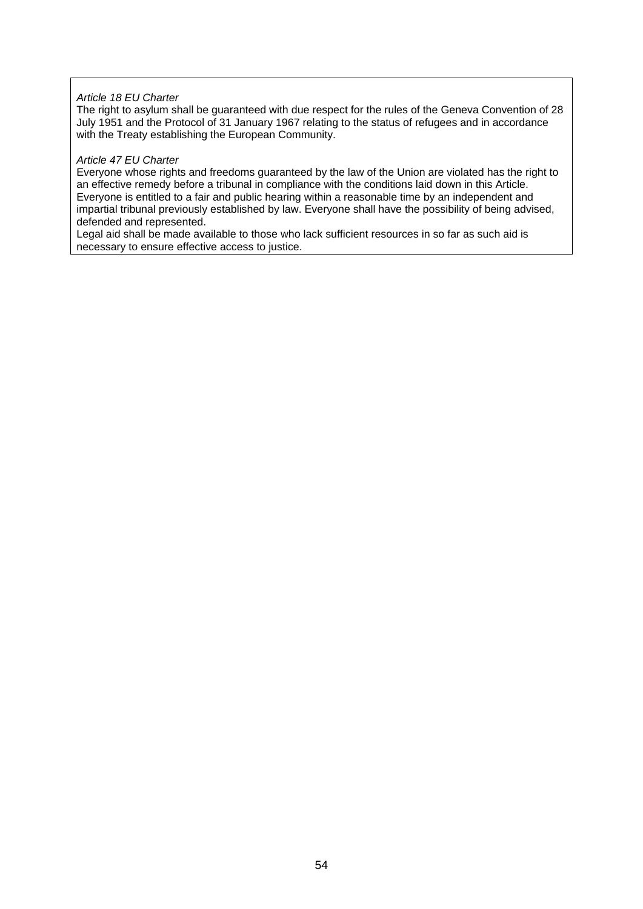#### Article 18 EU Charter

The right to asylum shall be guaranteed with due respect for the rules of the Geneva Convention of 28 July 1951 and the Protocol of 31 January 1967 relating to the status of refugees and in accordance with the Treaty establishing the European Community.

#### Article 47 EU Charter

Everyone whose rights and freedoms guaranteed by the law of the Union are violated has the right to an effective remedy before a tribunal in compliance with the conditions laid down in this Article. Everyone is entitled to a fair and public hearing within a reasonable time by an independent and impartial tribunal previously established by law. Everyone shall have the possibility of being advised, defended and represented.

Legal aid shall be made available to those who lack sufficient resources in so far as such aid is necessary to ensure effective access to justice.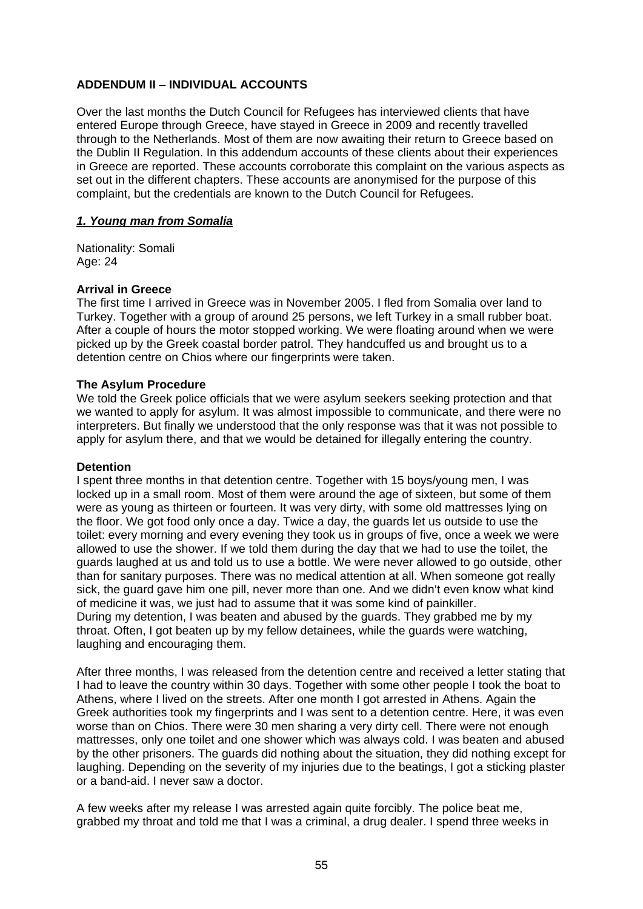## **ADDENDUM II INDIVIDUAL ACCOUNTS**

Over the last months the Dutch Council for Refugees has interviewed clients that have entered Europe through Greece, have stayed in Greece in 2009 and recently travelled through to the Netherlands. Most of them are now awaiting their return to Greece based on the Dublin II Regulation. In this addendum accounts of these clients about their experiences in Greece are reported. These accounts corroborate this complaint on the various aspects as set out in the different chapters. These accounts are anonymised for the purpose of this complaint, but the credentials are known to the Dutch Council for Refugees.

## **1. Young man from Somalia**

Nationality: Somali Age: 24

### **Arrival in Greece**

The first time I arrived in Greece was in November 2005. I fled from Somalia over land to Turkey. Together with a group of around 25 persons, we left Turkey in a small rubber boat. After a couple of hours the motor stopped working. We were floating around when we were picked up by the Greek coastal border patrol. They handcuffed us and brought us to a detention centre on Chios where our fingerprints were taken.

## **The Asylum Procedure**

We told the Greek police officials that we were asylum seekers seeking protection and that we wanted to apply for asylum. It was almost impossible to communicate, and there were no interpreters. But finally we understood that the only response was that it was not possible to apply for asylum there, and that we would be detained for illegally entering the country.

## **Detention**

I spent three months in that detention centre. Together with 15 boys/young men, I was locked up in a small room. Most of them were around the age of sixteen, but some of them were as young as thirteen or fourteen. It was very dirty, with some old mattresses lying on the floor. We got food only once a day. Twice a day, the guards let us outside to use the toilet: every morning and every evening they took us in groups of five, once a week we were allowed to use the shower. If we told them during the day that we had to use the toilet, the guards laughed at us and told us to use a bottle. We were never allowed to go outside, other than for sanitary purposes. There was no medical attention at all. When someone got really sick, the guard gave him one pill, never more than one. And we didn't even know what kind of medicine it was, we just had to assume that it was some kind of painkiller. During my detention, I was beaten and abused by the guards. They grabbed me by my throat. Often, I got beaten up by my fellow detainees, while the guards were watching, laughing and encouraging them.

After three months, I was released from the detention centre and received a letter stating that I had to leave the country within 30 days. Together with some other people I took the boat to Athens, where I lived on the streets. After one month I got arrested in Athens. Again the Greek authorities took my fingerprints and I was sent to a detention centre. Here, it was even worse than on Chios. There were 30 men sharing a very dirty cell. There were not enough mattresses, only one toilet and one shower which was always cold. I was beaten and abused by the other prisoners. The guards did nothing about the situation, they did nothing except for laughing. Depending on the severity of my injuries due to the beatings, I got a sticking plaster or a band-aid. I never saw a doctor.

A few weeks after my release I was arrested again quite forcibly. The police beat me, grabbed my throat and told me that I was a criminal, a drug dealer. I spend three weeks in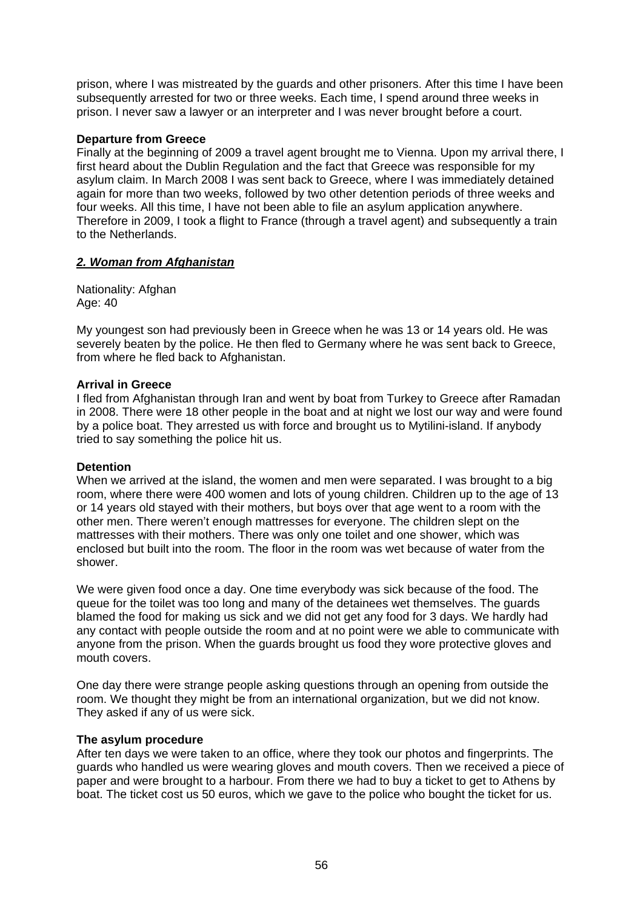prison, where I was mistreated by the guards and other prisoners. After this time I have been subsequently arrested for two or three weeks. Each time, I spend around three weeks in prison. I never saw a lawyer or an interpreter and I was never brought before a court.

## **Departure from Greece**

Finally at the beginning of 2009 a travel agent brought me to Vienna. Upon my arrival there, I first heard about the Dublin Regulation and the fact that Greece was responsible for my asylum claim. In March 2008 I was sent back to Greece, where I was immediately detained again for more than two weeks, followed by two other detention periods of three weeks and four weeks. All this time, I have not been able to file an asylum application anywhere. Therefore in 2009, I took a flight to France (through a travel agent) and subsequently a train to the Netherlands.

## **2. Woman from Afghanistan**

Nationality: Afghan Age: 40

My youngest son had previously been in Greece when he was 13 or 14 years old. He was severely beaten by the police. He then fled to Germany where he was sent back to Greece, from where he fled back to Afghanistan.

## **Arrival in Greece**

I fled from Afghanistan through Iran and went by boat from Turkey to Greece after Ramadan in 2008. There were 18 other people in the boat and at night we lost our way and were found by a police boat. They arrested us with force and brought us to Mytilini-island. If anybody tried to say something the police hit us.

## **Detention**

When we arrived at the island, the women and men were separated. I was brought to a big room, where there were 400 women and lots of young children. Children up to the age of 13 or 14 years old stayed with their mothers, but boys over that age went to a room with the other men. There weren't enough mattresses for everyone. The children slept on the mattresses with their mothers. There was only one toilet and one shower, which was enclosed but built into the room. The floor in the room was wet because of water from the shower. The contract of the contract of the contract of the contract of the contract of the contract of the contract of the contract of the contract of the contract of the contract of the contract of the contract of the co

We were given food once a day. One time everybody was sick because of the food. The queue for the toilet was too long and many of the detainees wet themselves. The guards blamed the food for making us sick and we did not get any food for 3 days. We hardly had any contact with people outside the room and at no point were we able to communicate with anyone from the prison. When the guards brought us food they wore protective gloves and mouth covers. The contract of the contract of the contract of the contract of the contract of the contract of the contract of the contract of the contract of the contract of the contract of the contract of the contract of

One day there were strange people asking questions through an opening from outside the room. We thought they might be from an international organization, but we did not know. They asked if any of us were sick.

## **The asylum procedure**

After ten days we were taken to an office, where they took our photos and fingerprints. The guards who handled us were wearing gloves and mouth covers. Then we received a piece of paper and were brought to a harbour. From there we had to buy a ticket to get to Athens by boat. The ticket cost us 50 euros, which we gave to the police who bought the ticket for us.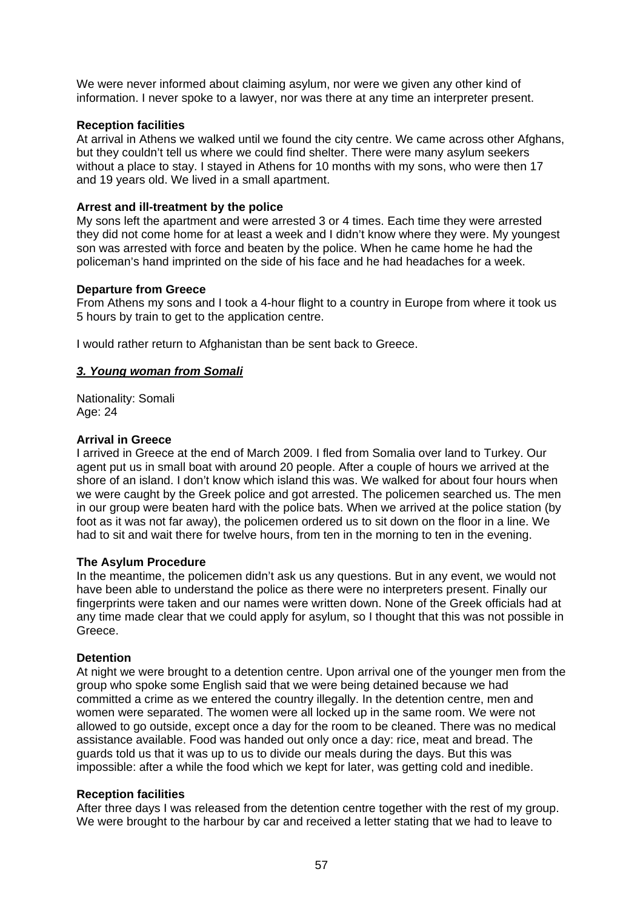We were never informed about claiming asylum, nor were we given any other kind of information. I never spoke to a lawyer, nor was there at any time an interpreter present.

## **Reception facilities**

At arrival in Athens we walked until we found the city centre. We came across other Afghans, but they couldn't tell us where we could find shelter. There were many asylum seekers without a place to stay. I stayed in Athens for 10 months with my sons, who were then 17 and 19 years old. We lived in a small apartment.

## **Arrest and ill-treatment by the police**

My sons left the apartment and were arrested 3 or 4 times. Each time they were arrested they did not come home for at least a week and I didn't know where they were. My youngest son was arrested with force and beaten by the police. When he came home he had the policeman's hand imprinted on the side of his face and he had headaches for a week.

## **Departure from Greece**

From Athens my sons and I took a 4-hour flight to a country in Europe from where it took us 5 hours by train to get to the application centre.

I would rather return to Afghanistan than be sent back to Greece.

### **3. Young woman from Somali**

Nationality: Somali Age: 24

### **Arrival in Greece**

I arrived in Greece at the end of March 2009. I fled from Somalia over land to Turkey. Our agent put us in small boat with around 20 people. After a couple of hours we arrived at the shore of an island. I don't know which island this was. We walked for about four hours when we were caught by the Greek police and got arrested. The policemen searched us. The men in our group were beaten hard with the police bats. When we arrived at the police station (by foot as it was not far away), the policemen ordered us to sit down on the floor in a line. We had to sit and wait there for twelve hours, from ten in the morning to ten in the evening.

### **The Asylum Procedure**

In the meantime, the policemen didn't ask us any questions. But in any event, we would not have been able to understand the police as there were no interpreters present. Finally our fingerprints were taken and our names were written down. None of the Greek officials had at any time made clear that we could apply for asylum, so I thought that this was not possible in Greece. **Greece** and the contract of the contract of the contract of the contract of the contract of the contract of the contract of the contract of the contract of the contract of the contract of the contract of the contr

### **Detention**

At night we were brought to a detention centre. Upon arrival one of the younger men from the group who spoke some English said that we were being detained because we had committed a crime as we entered the country illegally. In the detention centre, men and women were separated. The women were all locked up in the same room. We were not allowed to go outside, except once a day for the room to be cleaned. There was no medical assistance available. Food was handed out only once a day: rice, meat and bread. The guards told us that it was up to us to divide our meals during the days. But this was impossible: after a while the food which we kept for later, was getting cold and inedible.

### **Reception facilities**

After three days I was released from the detention centre together with the rest of my group. We were brought to the harbour by car and received a letter stating that we had to leave to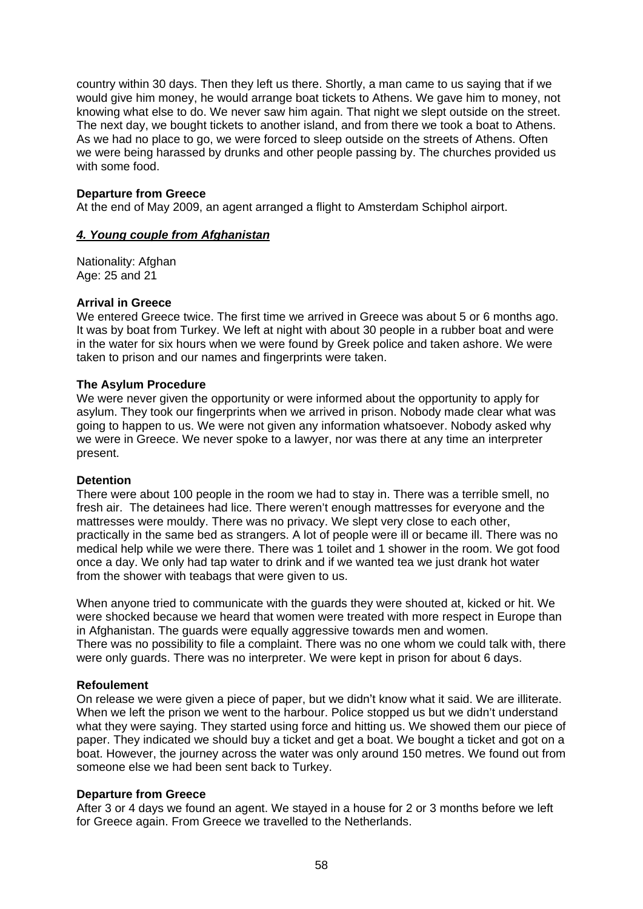country within 30 days. Then they left us there. Shortly, a man came to us saying that if we would give him money, he would arrange boat tickets to Athens. We gave him to money, not knowing what else to do. We never saw him again. That night we slept outside on the street. The next day, we bought tickets to another island, and from there we took a boat to Athens. As we had no place to go, we were forced to sleep outside on the streets of Athens. Often we were being harassed by drunks and other people passing by. The churches provided us with some food. The same state of the state of the state of the state of the state of the state of the state of the state of the state of the state of the state of the state of the state of the state of the state of the st

## **Departure from Greece**

At the end of May 2009, an agent arranged a flight to Amsterdam Schiphol airport.

#### **4. Young couple from Afghanistan**

Nationality: Afghan Age: 25 and 21

#### **Arrival in Greece**

We entered Greece twice. The first time we arrived in Greece was about 5 or 6 months ago. It was by boat from Turkey. We left at night with about 30 people in a rubber boat and were in the water for six hours when we were found by Greek police and taken ashore. We were taken to prison and our names and fingerprints were taken.

#### **The Asylum Procedure**

We were never given the opportunity or were informed about the opportunity to apply for asylum. They took our fingerprints when we arrived in prison. Nobody made clear what was going to happen to us. We were not given any information whatsoever. Nobody asked why we were in Greece. We never spoke to a lawyer, nor was there at any time an interpreter present. The contract of the contract of the contract of the contract of the contract of the contract of the contract of the contract of the contract of the contract of the contract of the contract of the contract of the c

#### **Detention**

There were about 100 people in the room we had to stay in. There was a terrible smell, no fresh air. The detainees had lice. There weren t enough mattresses for everyone and the mattresses were mouldy. There was no privacy. We slept very close to each other, practically in the same bed as strangers. A lot of people were ill or became ill. There was no medical help while we were there. There was 1 toilet and 1 shower in the room. We got food once a day. We only had tap water to drink and if we wanted tea we just drank hot water from the shower with teabags that were given to us.

When anyone tried to communicate with the guards they were shouted at, kicked or hit. We were shocked because we heard that women were treated with more respect in Europe than in Afghanistan. The guards were equally aggressive towards men and women. There was no possibility to file a complaint. There was no one whom we could talk with, there were only guards. There was no interpreter. We were kept in prison for about 6 days.

### **Refoulement**

On release we were given a piece of paper, but we didn't know what it said. We are illiterate. When we left the prison we went to the harbour. Police stopped us but we didn't understand what they were saying. They started using force and hitting us. We showed them our piece of paper. They indicated we should buy a ticket and get a boat. We bought a ticket and got on a boat. However, the journey across the water was only around 150 metres. We found out from someone else we had been sent back to Turkey.

#### **Departure from Greece**

After 3 or 4 days we found an agent. We stayed in a house for 2 or 3 months before we left for Greece again. From Greece we travelled to the Netherlands.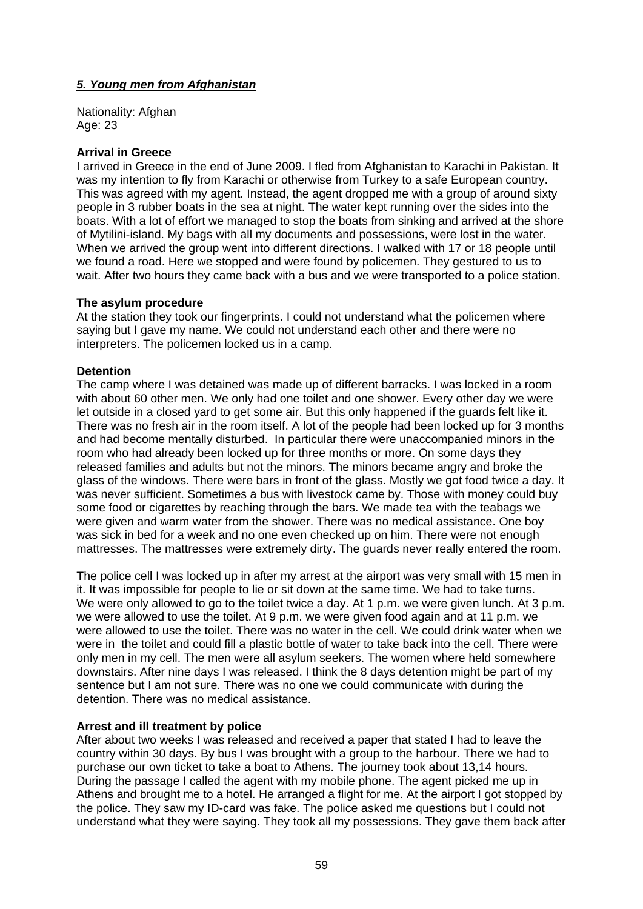## **5. Young men from Afghanistan**

Nationality: Afghan Age: 23

## **Arrival in Greece**

I arrived in Greece in the end of June 2009. I fled from Afghanistan to Karachi in Pakistan. It was my intention to fly from Karachi or otherwise from Turkey to a safe European country. This was agreed with my agent. Instead, the agent dropped me with a group of around sixty people in 3 rubber boats in the sea at night. The water kept running over the sides into the boats. With a lot of effort we managed to stop the boats from sinking and arrived at the shore of Mytilini-island. My bags with all my documents and possessions, were lost in the water. When we arrived the group went into different directions. I walked with 17 or 18 people until we found a road. Here we stopped and were found by policemen. They gestured to us to wait. After two hours they came back with a bus and we were transported to a police station.

## **The asylum procedure**

At the station they took our fingerprints. I could not understand what the policemen where saying but I gave my name. We could not understand each other and there were no interpreters. The policemen locked us in a camp.

## **Detention**

The camp where I was detained was made up of different barracks. I was locked in a room with about 60 other men. We only had one toilet and one shower. Every other day we were let outside in a closed yard to get some air. But this only happened if the guards felt like it. There was no fresh air in the room itself. A lot of the people had been locked up for 3 months and had become mentally disturbed. In particular there were unaccompanied minors in the room who had already been locked up for three months or more. On some days they released families and adults but not the minors. The minors became angry and broke the glass of the windows. There were bars in front of the glass. Mostly we got food twice a day. It was never sufficient. Sometimes a bus with livestock came by. Those with money could buy some food or cigarettes by reaching through the bars. We made tea with the teabags we were given and warm water from the shower. There was no medical assistance. One boy was sick in bed for a week and no one even checked up on him. There were not enough mattresses. The mattresses were extremely dirty. The guards never really entered the room.

The police cell I was locked up in after my arrest at the airport was very small with 15 men in it. It was impossible for people to lie or sit down at the same time. We had to take turns. We were only allowed to go to the toilet twice a day. At 1 p.m. we were given lunch. At 3 p.m. we were allowed to use the toilet. At 9 p.m. we were given food again and at 11 p.m. we were allowed to use the toilet. There was no water in the cell. We could drink water when we were in the toilet and could fill a plastic bottle of water to take back into the cell. There were only men in my cell. The men were all asylum seekers. The women where held somewhere downstairs. After nine days I was released. I think the 8 days detention might be part of my sentence but I am not sure. There was no one we could communicate with during the detention. There was no medical assistance.

## **Arrest and ill treatment by police**

After about two weeks I was released and received a paper that stated I had to leave the country within 30 days. By bus I was brought with a group to the harbour. There we had to purchase our own ticket to take a boat to Athens. The journey took about 13,14 hours. During the passage I called the agent with my mobile phone. The agent picked me up in Athens and brought me to a hotel. He arranged a flight for me. At the airport I got stopped by the police. They saw my ID-card was fake. The police asked me questions but I could not understand what they were saying. They took all my possessions. They gave them back after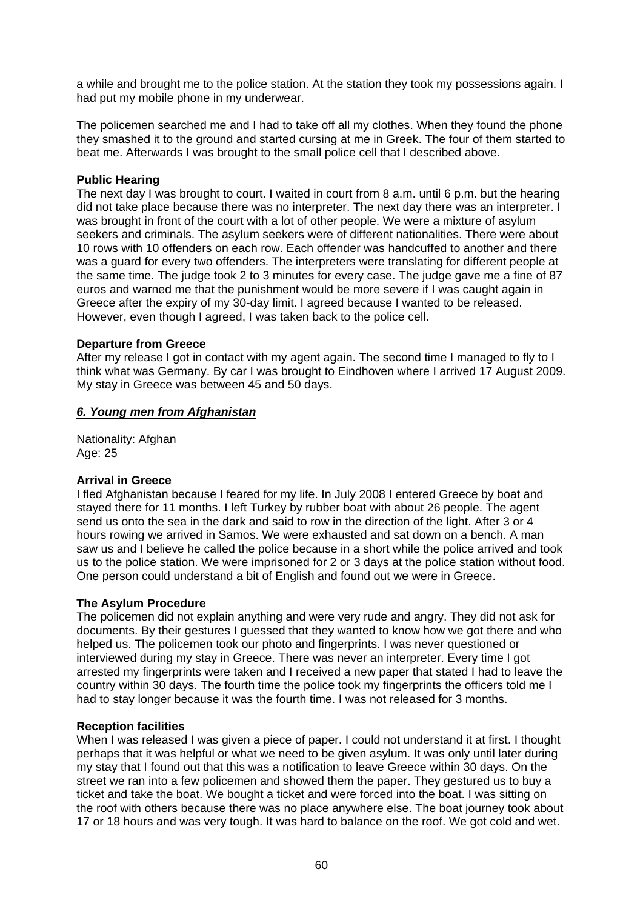a while and brought me to the police station. At the station they took my possessions again. I had put my mobile phone in my underwear.

The policemen searched me and I had to take off all my clothes. When they found the phone they smashed it to the ground and started cursing at me in Greek. The four of them started to beat me. Afterwards I was brought to the small police cell that I described above.

## **Public Hearing**

The next day I was brought to court. I waited in court from 8 a.m. until 6 p.m. but the hearing did not take place because there was no interpreter. The next day there was an interpreter. I was brought in front of the court with a lot of other people. We were a mixture of asylum seekers and criminals. The asylum seekers were of different nationalities. There were about 10 rows with 10 offenders on each row. Each offender was handcuffed to another and there was a guard for every two offenders. The interpreters were translating for different people at the same time. The judge took 2 to 3 minutes for every case. The judge gave me a fine of 87 euros and warned me that the punishment would be more severe if I was caught again in Greece after the expiry of my 30-day limit. I agreed because I wanted to be released. However, even though I agreed, I was taken back to the police cell.

## **Departure from Greece**

After my release I got in contact with my agent again. The second time I managed to fly to I think what was Germany. By car I was brought to Eindhoven where I arrived 17 August 2009. My stay in Greece was between 45 and 50 days.

## **6. Young men from Afghanistan**

Nationality: Afghan Age: 25

### **Arrival in Greece**

I fled Afghanistan because I feared for my life. In July 2008 I entered Greece by boat and stayed there for 11 months. I left Turkey by rubber boat with about 26 people. The agent send us onto the sea in the dark and said to row in the direction of the light. After 3 or 4 hours rowing we arrived in Samos. We were exhausted and sat down on a bench. A man saw us and I believe he called the police because in a short while the police arrived and took us to the police station. We were imprisoned for 2 or 3 days at the police station without food. One person could understand a bit of English and found out we were in Greece.

### **The Asylum Procedure**

The policemen did not explain anything and were very rude and angry. They did not ask for documents. By their gestures I guessed that they wanted to know how we got there and who helped us. The policemen took our photo and fingerprints. I was never questioned or interviewed during my stay in Greece. There was never an interpreter. Every time I got arrested my fingerprints were taken and I received a new paper that stated I had to leave the country within 30 days. The fourth time the police took my fingerprints the officers told me I had to stay longer because it was the fourth time. I was not released for 3 months.

## **Reception facilities**

When I was released I was given a piece of paper. I could not understand it at first. I thought perhaps that it was helpful or what we need to be given asylum. It was only until later during my stay that I found out that this was a notification to leave Greece within 30 days. On the street we ran into a few policemen and showed them the paper. They gestured us to buy a ticket and take the boat. We bought a ticket and were forced into the boat. I was sitting on the roof with others because there was no place anywhere else. The boat journey took about 17 or 18 hours and was very tough. It was hard to balance on the roof. We got cold and wet.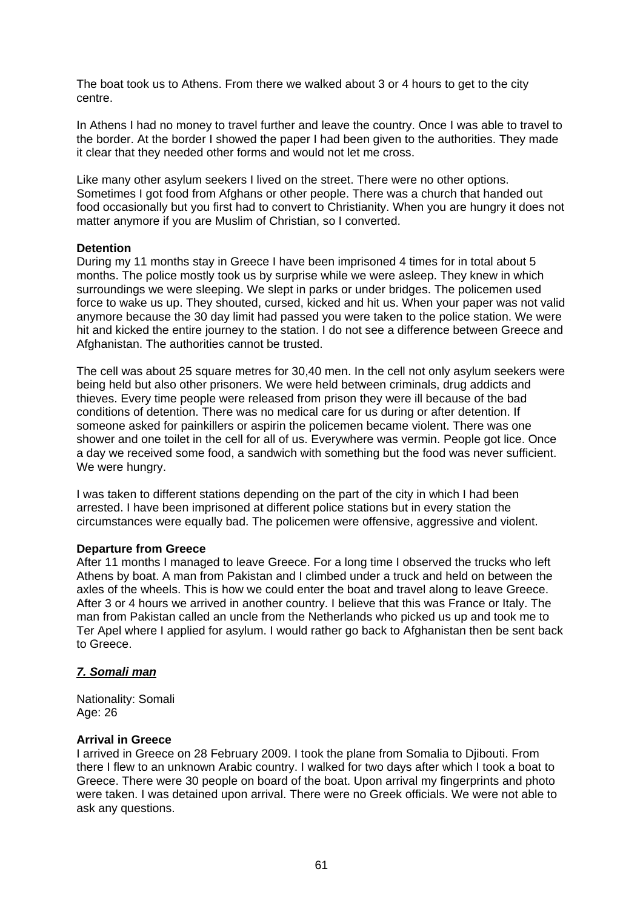The boat took us to Athens. From there we walked about 3 or 4 hours to get to the city centre.

In Athens I had no money to travel further and leave the country. Once I was able to travel to the border. At the border I showed the paper I had been given to the authorities. They made it clear that they needed other forms and would not let me cross.

Like many other asylum seekers I lived on the street. There were no other options. Sometimes I got food from Afghans or other people. There was a church that handed out food occasionally but you first had to convert to Christianity. When you are hungry it does not matter anymore if you are Muslim of Christian, so I converted.

## **Detention**

During my 11 months stay in Greece I have been imprisoned 4 times for in total about 5 months. The police mostly took us by surprise while we were asleep. They knew in which surroundings we were sleeping. We slept in parks or under bridges. The policemen used force to wake us up. They shouted, cursed, kicked and hit us. When your paper was not valid anymore because the 30 day limit had passed you were taken to the police station. We were hit and kicked the entire journey to the station. I do not see a difference between Greece and Afghanistan. The authorities cannot be trusted.

The cell was about 25 square metres for 30,40 men. In the cell not only asylum seekers were being held but also other prisoners. We were held between criminals, drug addicts and thieves. Every time people were released from prison they were ill because of the bad conditions of detention. There was no medical care for us during or after detention. If someone asked for painkillers or aspirin the policemen became violent. There was one shower and one toilet in the cell for all of us. Everywhere was vermin. People got lice. Once a day we received some food, a sandwich with something but the food was never sufficient. We were hungry.

I was taken to different stations depending on the part of the city in which I had been arrested. I have been imprisoned at different police stations but in every station the circumstances were equally bad. The policemen were offensive, aggressive and violent.

### **Departure from Greece**

After 11 months I managed to leave Greece. For a long time I observed the trucks who left Athens by boat. A man from Pakistan and I climbed under a truck and held on between the axles of the wheels. This is how we could enter the boat and travel along to leave Greece. After 3 or 4 hours we arrived in another country. I believe that this was France or Italy. The man from Pakistan called an uncle from the Netherlands who picked us up and took me to Ter Apel where I applied for asylum. I would rather go back to Afghanistan then be sent back to Greece.

## **7. Somali man**

Nationality: Somali Age: 26

### **Arrival in Greece**

I arrived in Greece on 28 February 2009. I took the plane from Somalia to Djibouti. From there I flew to an unknown Arabic country. I walked for two days after which I took a boat to Greece. There were 30 people on board of the boat. Upon arrival my fingerprints and photo were taken. I was detained upon arrival. There were no Greek officials. We were not able to ask any questions.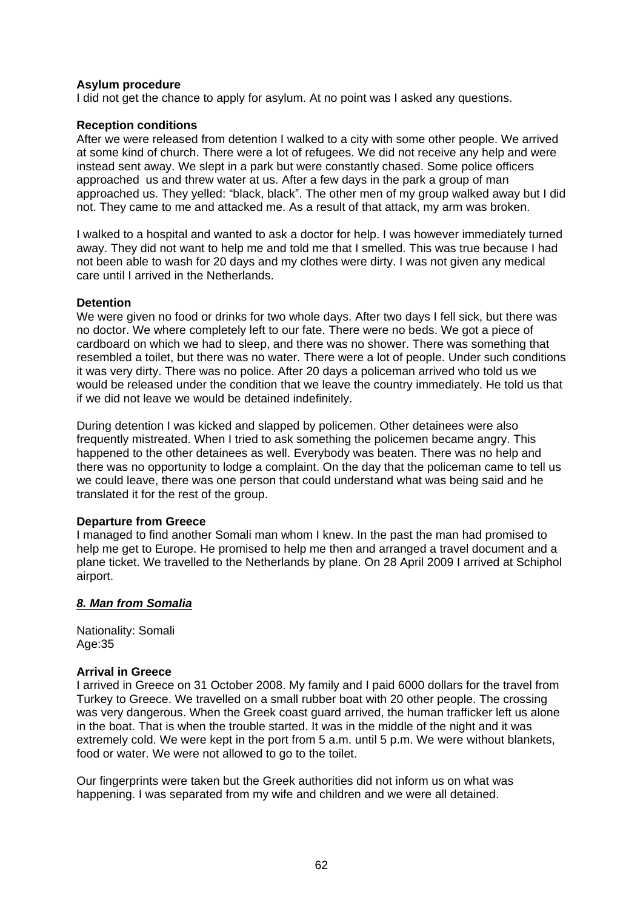## **Asylum procedure**

I did not get the chance to apply for asylum. At no point was I asked any questions.

## **Reception conditions**

After we were released from detention I walked to a city with some other people. We arrived at some kind of church. There were a lot of refugees. We did not receive any help and were instead sent away. We slept in a park but were constantly chased. Some police officers approached us and threw water at us. After a few days in the park a group of man approached us. They yelled: "black, black". The other men of my group walked away but I did not. They came to me and attacked me. As a result of that attack, my arm was broken.

I walked to a hospital and wanted to ask a doctor for help. I was however immediately turned away. They did not want to help me and told me that I smelled. This was true because I had not been able to wash for 20 days and my clothes were dirty. I was not given any medical care until I arrived in the Netherlands.

## **Detention**

We were given no food or drinks for two whole days. After two days I fell sick, but there was no doctor. We where completely left to our fate. There were no beds. We got a piece of cardboard on which we had to sleep, and there was no shower. There was something that resembled a toilet, but there was no water. There were a lot of people. Under such conditions it was very dirty. There was no police. After 20 days a policeman arrived who told us we would be released under the condition that we leave the country immediately. He told us that if we did not leave we would be detained indefinitely.

During detention I was kicked and slapped by policemen. Other detainees were also frequently mistreated. When I tried to ask something the policemen became angry. This happened to the other detainees as well. Everybody was beaten. There was no help and there was no opportunity to lodge a complaint. On the day that the policeman came to tell us we could leave, there was one person that could understand what was being said and he translated it for the rest of the group.

## **Departure from Greece**

I managed to find another Somali man whom I knew. In the past the man had promised to help me get to Europe. He promised to help me then and arranged a travel document and a plane ticket. We travelled to the Netherlands by plane. On 28 April 2009 I arrived at Schiphol airport.

## **8. Man from Somalia**

Nationality: Somali Age:35

### **Arrival in Greece**

I arrived in Greece on 31 October 2008. My family and I paid 6000 dollars for the travel from Turkey to Greece. We travelled on a small rubber boat with 20 other people. The crossing was very dangerous. When the Greek coast guard arrived, the human trafficker left us alone in the boat. That is when the trouble started. It was in the middle of the night and it was extremely cold. We were kept in the port from 5 a.m. until 5 p.m. We were without blankets, food or water. We were not allowed to go to the toilet.

Our fingerprints were taken but the Greek authorities did not inform us on what was happening. I was separated from my wife and children and we were all detained.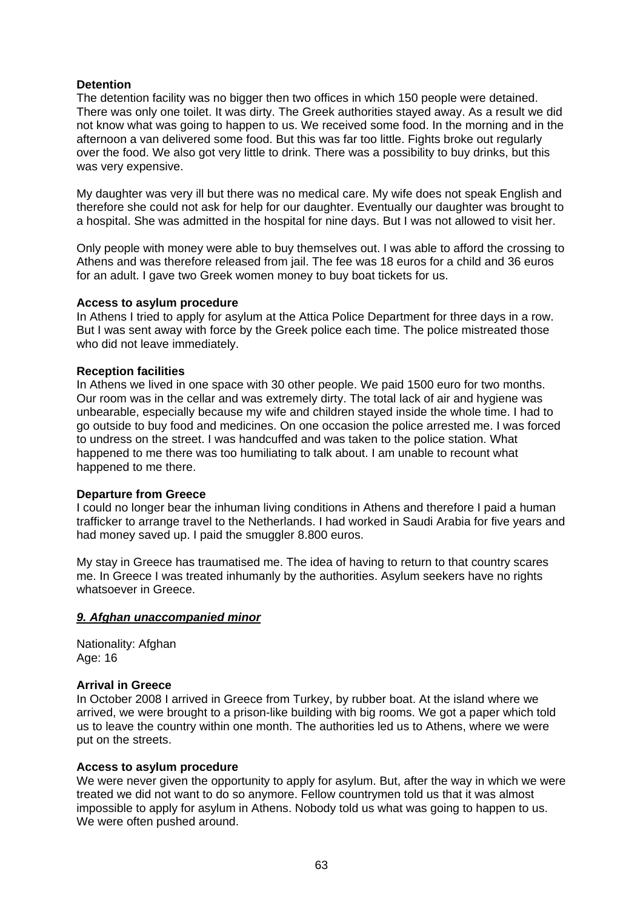## **Detention**

The detention facility was no bigger then two offices in which 150 people were detained. There was only one toilet. It was dirty. The Greek authorities stayed away. As a result we did not know what was going to happen to us. We received some food. In the morning and in the afternoon a van delivered some food. But this was far too little. Fights broke out regularly over the food. We also got very little to drink. There was a possibility to buy drinks, but this was very expensive.

My daughter was very ill but there was no medical care. My wife does not speak English and therefore she could not ask for help for our daughter. Eventually our daughter was brought to a hospital. She was admitted in the hospital for nine days. But I was not allowed to visit her.

Only people with money were able to buy themselves out. I was able to afford the crossing to Athens and was therefore released from jail. The fee was 18 euros for a child and 36 euros for an adult. I gave two Greek women money to buy boat tickets for us.

### **Access to asylum procedure**

In Athens I tried to apply for asylum at the Attica Police Department for three days in a row. But I was sent away with force by the Greek police each time. The police mistreated those who did not leave immediately.

#### **Reception facilities**

In Athens we lived in one space with 30 other people. We paid 1500 euro for two months. Our room was in the cellar and was extremely dirty. The total lack of air and hygiene was unbearable, especially because my wife and children stayed inside the whole time. I had to go outside to buy food and medicines. On one occasion the police arrested me. I was forced to undress on the street. I was handcuffed and was taken to the police station. What happened to me there was too humiliating to talk about. I am unable to recount what happened to me there. The state of the state of the state of the state of the state of the state of the state of the state of the state of the state of the state of the state of the state of the state of the state of the s

### **Departure from Greece**

I could no longer bear the inhuman living conditions in Athens and therefore I paid a human trafficker to arrange travel to the Netherlands. I had worked in Saudi Arabia for five years and had money saved up. I paid the smuggler 8.800 euros.

My stay in Greece has traumatised me. The idea of having to return to that country scares me. In Greece I was treated inhumanly by the authorities. Asylum seekers have no rights whatsoever in Greece. **Example 20**  $\blacksquare$  and  $\blacksquare$  and  $\blacksquare$  and  $\blacksquare$  and  $\blacksquare$  and  $\blacksquare$  and  $\blacksquare$  and  $\blacksquare$  and  $\blacksquare$  and  $\blacksquare$  and  $\blacksquare$  and  $\blacksquare$  and  $\blacksquare$  and  $\blacksquare$  and  $\blacksquare$  and  $\blacksquare$  and  $\blacksquare$  and

### **9. Afghan unaccompanied minor**

Nationality: Afghan Age: 16

### **Arrival in Greece**

In October 2008 I arrived in Greece from Turkey, by rubber boat. At the island where we arrived, we were brought to a prison-like building with big rooms. We got a paper which told us to leave the country within one month. The authorities led us to Athens, where we were put on the streets. The streets of the streets of the streets of the streets of the streets of the streets.

### **Access to asylum procedure**

We were never given the opportunity to apply for asylum. But, after the way in which we were treated we did not want to do so anymore. Fellow countrymen told us that it was almost impossible to apply for asylum in Athens. Nobody told us what was going to happen to us. We were often pushed around.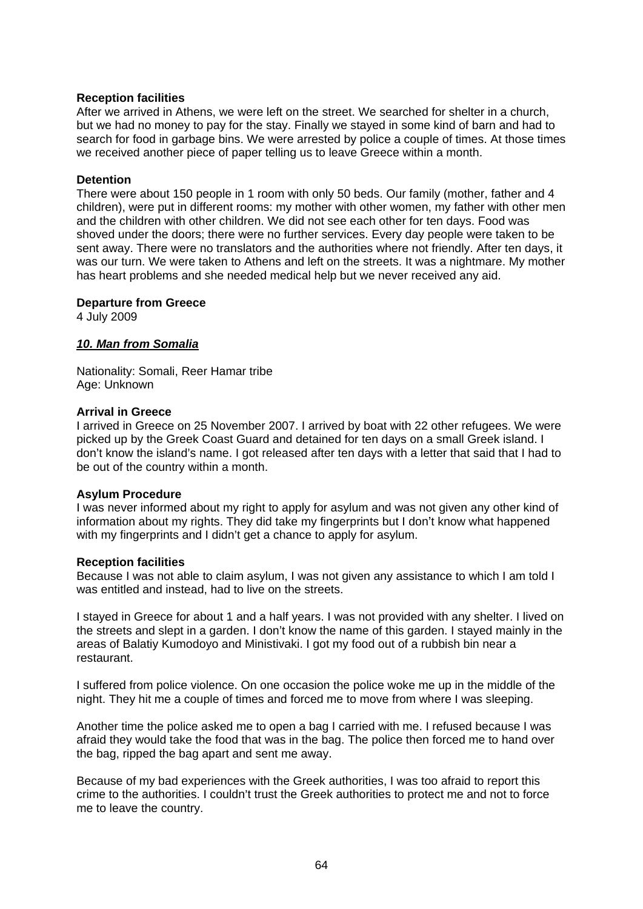## **Reception facilities**

After we arrived in Athens, we were left on the street. We searched for shelter in a church, but we had no money to pay for the stay. Finally we stayed in some kind of barn and had to search for food in garbage bins. We were arrested by police a couple of times. At those times we received another piece of paper telling us to leave Greece within a month.

## **Detention**

There were about 150 people in 1 room with only 50 beds. Our family (mother, father and 4 children), were put in different rooms: my mother with other women, my father with other men and the children with other children. We did not see each other for ten days. Food was shoved under the doors; there were no further services. Every day people were taken to be sent away. There were no translators and the authorities where not friendly. After ten days, it was our turn. We were taken to Athens and left on the streets. It was a nightmare. My mother has heart problems and she needed medical help but we never received any aid.

## **Departure from Greece**

4 July 2009

## **10. Man from Somalia**

Nationality: Somali, Reer Hamar tribe Age: Unknown

## **Arrival in Greece**

I arrived in Greece on 25 November 2007. I arrived by boat with 22 other refugees. We were picked up by the Greek Coast Guard and detained for ten days on a small Greek island. I don't know the island's name. I got released after ten days with a letter that said that I had to be out of the country within a month.

### **Asylum Procedure**

I was never informed about my right to apply for asylum and was not given any other kind of information about my rights. They did take my fingerprints but I don't know what happened with my fingerprints and I didn't get a chance to apply for asylum.

### **Reception facilities**

Because I was not able to claim asylum, I was not given any assistance to which I am told I was entitled and instead, had to live on the streets.

I stayed in Greece for about 1 and a half years. I was not provided with any shelter. I lived on the streets and slept in a garden. I don't know the name of this garden. I stayed mainly in the areas of Balatiy Kumodoyo and Ministivaki. I got my food out of a rubbish bin near a restaurant. The contract of the contract of the contract of the contract of the contract of the contract of the contract of the contract of the contract of the contract of the contract of the contract of the contract of th

I suffered from police violence. On one occasion the police woke me up in the middle of the night. They hit me a couple of times and forced me to move from where I was sleeping.

Another time the police asked me to open a bag I carried with me. I refused because I was afraid they would take the food that was in the bag. The police then forced me to hand over the bag, ripped the bag apart and sent me away.

Because of my bad experienceswith the Greek authorities, I was too afraid to report this crime to the authorities. I couldn't trust the Greek authorities to protect me and not to force me to leave the country.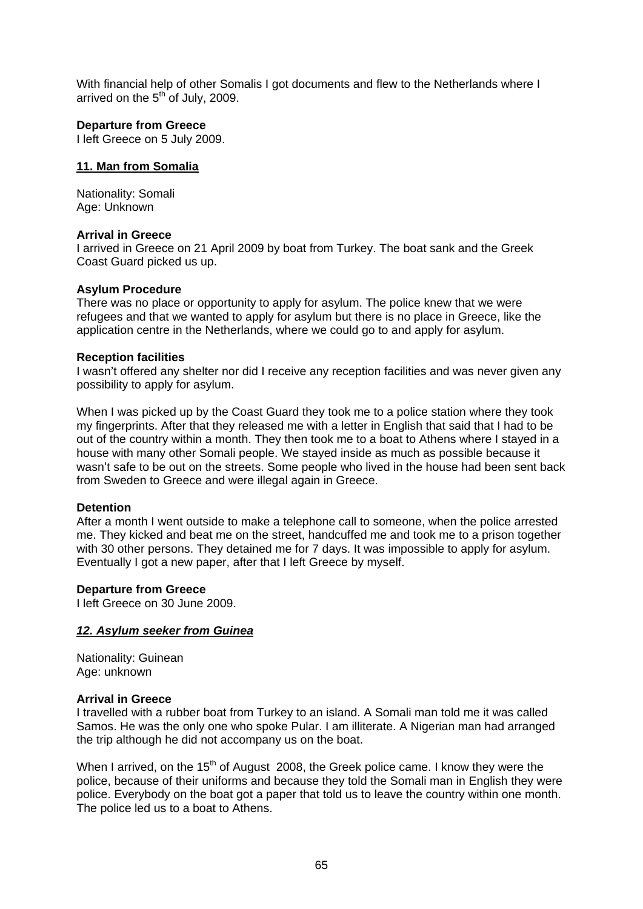With financial help of other Somalis I got documents and flew to the Netherlands where I arrived on the  $5<sup>th</sup>$  of July, 2009.  $th$  of  $luh$ , 2000 of July, 2009.

## **Departure from Greece**

I left Greece on 5 July 2009.

## **11. Man from Somalia**

Nationality: Somali<br>Age: Unknown Age: Unknown

## **Arrival in Greece**

I arrived in Greece on 21 April 2009 by boat from Turkey. The boat sank and the Greek Coast Guard picked us up.

## **Asylum Procedure**

There was no place or opportunity to apply for asylum. The police knew that we were refugees and that we wanted to apply for asylum but there is no place in Greece, like the application centre in the Netherlands, where we could go to and apply for asylum.

## **Reception facilities**

I wasn't offered any shelter nor did I receive any reception facilities and was never given any possibility to apply for asylum.

When I was picked up by the Coast Guard they took me to a police station where they took my fingerprints. After that they released me with a letter in English that said that I had to be out of the country within a month. They then took me to a boat to Athens where I stayed in a house with many other Somali people. We stayed inside as much as possible because it wasn't safe to be out on the streets. Some people who lived in the house had been sent back from Sweden to Greece and were illegal again in Greece.

## **Detention**

After a month I went outside to make a telephone call to someone, when the police arrested me. They kicked and beat me on the street, handcuffed me and took me to a prison together with 30 other persons. They detained me for 7 days. It was impossible to apply for asylum. Eventually I got a new paper, after that I left Greece by myself.

## **Departure from Greece**

I left Greece on 30 June 2009.

### **12. Asylum seeker from Guinea**

Nationality: Guinean Age: unknown

### **Arrival in Greece**

I travelled with a rubber boat from Turkey to an island. A Somali man told me it was called Samos. He was the only one who spoke Pular. I am illiterate. A Nigerian man had arranged the trip although he did not accompany us on the boat.

When I arrived, on the 15<sup>th</sup> of August 2008, the Greek police came. I know they were the police, because of their uniforms and because they told the Somali man in English they were police. Everybody on the boat got a paper that told us to leave the country within one month. The police led us to a boat to Athens.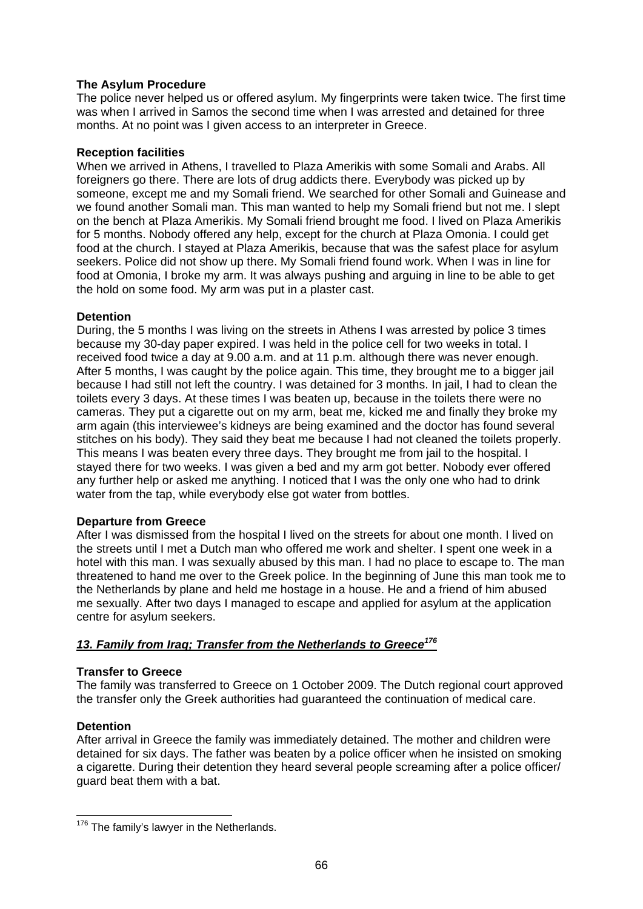## **The Asylum Procedure**

The police never helped us or offered asylum. My fingerprints were taken twice. The first time was when I arrived in Samos the second time when I was arrested and detained for three months. At no point was I given access to an interpreter in Greece.

## **Reception facilities**

When we arrived in Athens, I travelled to Plaza Amerikis with some Somali and Arabs. All foreigners go there. There are lots of drug addicts there. Everybody was picked up by someone, except me and my Somali friend. We searched for other Somali and Guinease and we found another Somali man. This man wanted to help my Somali friend but not me. I slept on the bench at Plaza Amerikis. My Somali friend brought me food. I lived on Plaza Amerikis for 5 months. Nobody offered any help, except for the church at Plaza Omonia. I could get food at the church. I stayed at Plaza Amerikis, because that was the safest place for asylum seekers. Police did not show up there. My Somali friend found work. When I was in line for food at Omonia, I broke my arm. It was always pushing and arguing in line to be able to get the hold on some food. Myarm was put in a plaster cast.

## **Detention**

During, the 5 months I was living on the streets in Athens I was arrested by police 3 times because my 30-day paper expired. I was held in the police cell for two weeks in total. I received food twice a day at 9.00 a.m. and at 11 p.m. although there was never enough. After 5 months, I was caught by the police again. This time, they brought me to a bigger jail because I had still not left the country. I was detained for 3 months. In jail, I had to clean the toilets every 3 days. At these times I was beaten up, because in the toilets there were no cameras. They put a cigarette out on my arm, beat me, kicked me and finally they broke my arm again (this interviewee's kidneys are being examined and the doctor has found several stitches on his body). They said they beat me because I had not cleaned the toilets properly. This means I was beaten every three days. They brought me from jail to the hospital. I stayed there for two weeks. I was given a bed and my arm got better. Nobody ever offered any further help or asked me anything. I noticed that I was the only one who had to drink water from the tap, while everybody else got water from bottles.

## **Departure from Greece**

After I was dismissed from the hospital I lived on the streets for about one month. I lived on the streets until I met a Dutch man who offered me work and shelter. I spent one week in a hotel with this man. I was sexually abused by this man. I had no place to escape to. The man threatened to hand me over to the Greek police. In the beginning of June this man took me to the Netherlands by plane and held me hostage in a house. He and a friend of him abused me sexually. After two days I managed to escape and applied for asylum at the application centre for asylum seekers.

#### **13. Family from Iraq; Transfer from the Netherlands to Greece 176**

## **Transfer to Greece**

The family was transferred to Greece on 1 October 2009. The Dutch regional court approved the transfer only the Greek authorities had guaranteed the continuation of medical care.

## **Detention**

After arrival in Greece the family was immediately detained. The mother and children were detained for six days. The father was beaten by a police officer when he insisted on smoking a cigarette. During their detention they heard several people screaming after a police officer/ guard beat them with a bat. **Example 2008 Security**  $\alpha$  is a set of the security of the security of the security of the security of the security of the security of the security of the security of the security of the sec

 $176$  The family's lawyer in the Netherlands.